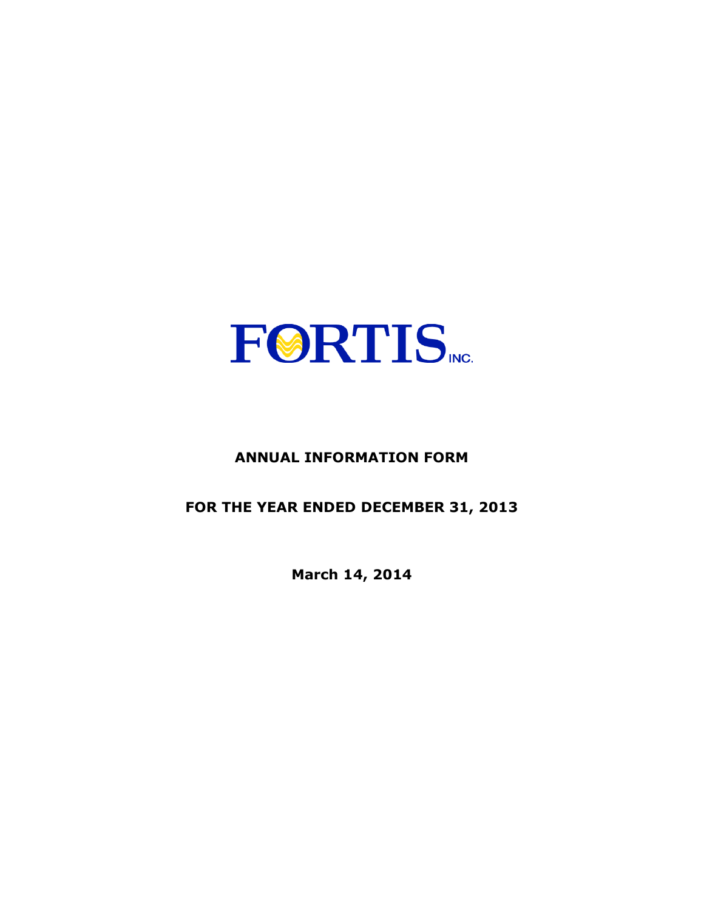

# **ANNUAL INFORMATION FORM**

**FOR THE YEAR ENDED DECEMBER 31, 2013** 

**March 14, 2014**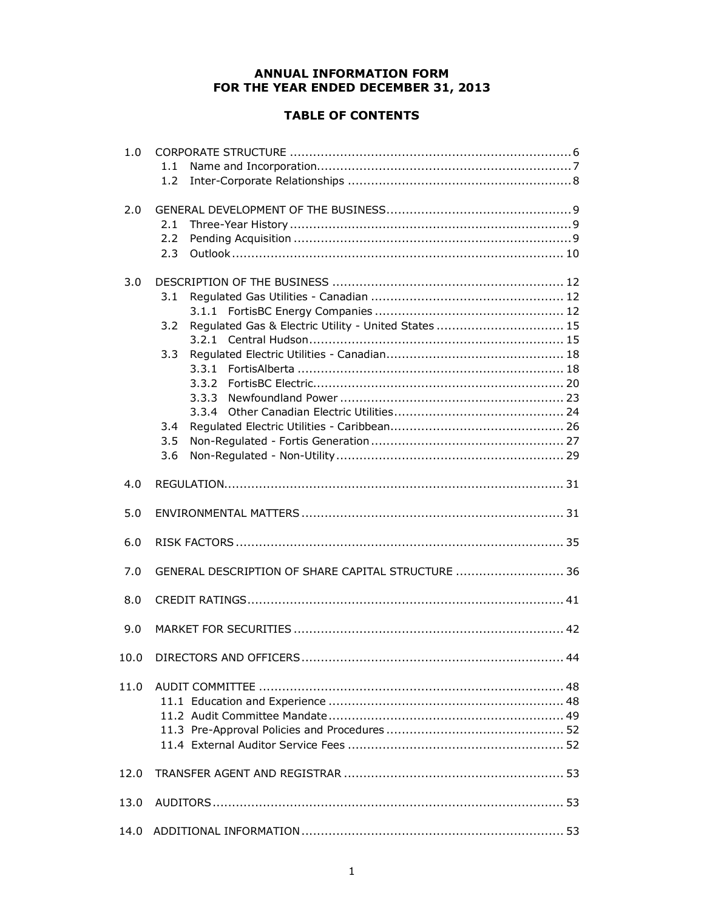## **ANNUAL INFORMATION FORM FOR THE YEAR ENDED DECEMBER 31, 2013**

## **TABLE OF CONTENTS**

| 1.0                                                                   |
|-----------------------------------------------------------------------|
| 1.1                                                                   |
| $1.2^{\circ}$                                                         |
| 2.0                                                                   |
| 2.1                                                                   |
| 2.2                                                                   |
| 2.3                                                                   |
| 3.0                                                                   |
| 3.1                                                                   |
|                                                                       |
| Regulated Gas & Electric Utility - United States  15<br>$3.2^{\circ}$ |
| 3.3                                                                   |
|                                                                       |
|                                                                       |
| 3.3.3                                                                 |
| 3.3.4<br>3.4                                                          |
| 3.5                                                                   |
| 3.6                                                                   |
| 4.0                                                                   |
|                                                                       |
|                                                                       |
| 6.0                                                                   |
| GENERAL DESCRIPTION OF SHARE CAPITAL STRUCTURE  36<br>7.0             |
| 8.0                                                                   |
| 9.0                                                                   |
| 10.0 DIRECTORS AND OFFICERS<br>44                                     |
|                                                                       |
| 11.0                                                                  |
|                                                                       |
|                                                                       |
|                                                                       |
| 12.0                                                                  |
| 13.0                                                                  |
| 14.0                                                                  |
| 5.0                                                                   |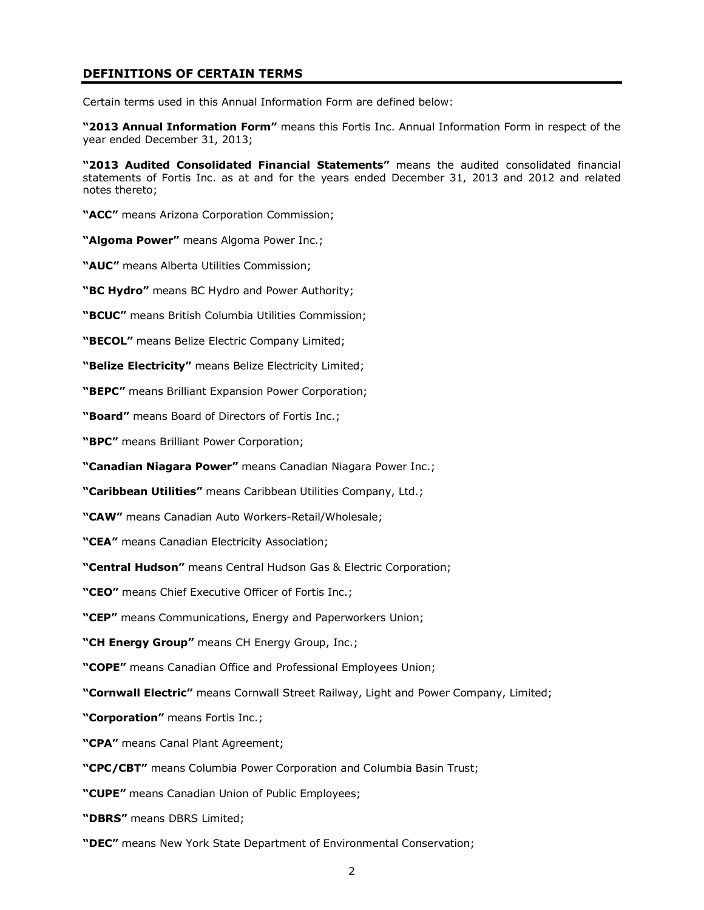## **DEFINITIONS OF CERTAIN TERMS**

Certain terms used in this Annual Information Form are defined below:

**"2013 Annual Information Form"** means this Fortis Inc. Annual Information Form in respect of the year ended December 31, 2013;

**"2013 Audited Consolidated Financial Statements"** means the audited consolidated financial statements of Fortis Inc. as at and for the years ended December 31, 2013 and 2012 and related notes thereto;

**"ACC"** means Arizona Corporation Commission;

**"Algoma Power"** means Algoma Power Inc.;

**"AUC"** means Alberta Utilities Commission;

**"BC Hydro"** means BC Hydro and Power Authority;

**"BCUC"** means British Columbia Utilities Commission;

**"BECOL"** means Belize Electric Company Limited;

**"Belize Electricity"** means Belize Electricity Limited;

**"BEPC"** means Brilliant Expansion Power Corporation;

**"Board"** means Board of Directors of Fortis Inc.;

**"BPC"** means Brilliant Power Corporation;

**"Canadian Niagara Power"** means Canadian Niagara Power Inc.;

**"Caribbean Utilities"** means Caribbean Utilities Company, Ltd.;

**"CAW"** means Canadian Auto Workers-Retail/Wholesale;

**"CEA"** means Canadian Electricity Association;

**"Central Hudson"** means Central Hudson Gas & Electric Corporation;

**"CEO"** means Chief Executive Officer of Fortis Inc.;

**"CEP"** means Communications, Energy and Paperworkers Union;

**"CH Energy Group"** means CH Energy Group, Inc.;

**"COPE"** means Canadian Office and Professional Employees Union;

**"Cornwall Electric"** means Cornwall Street Railway, Light and Power Company, Limited;

**"Corporation"** means Fortis Inc.;

**"CPA"** means Canal Plant Agreement;

**"CPC/CBT"** means Columbia Power Corporation and Columbia Basin Trust;

**"CUPE"** means Canadian Union of Public Employees;

**"DBRS"** means DBRS Limited;

**"DEC"** means New York State Department of Environmental Conservation;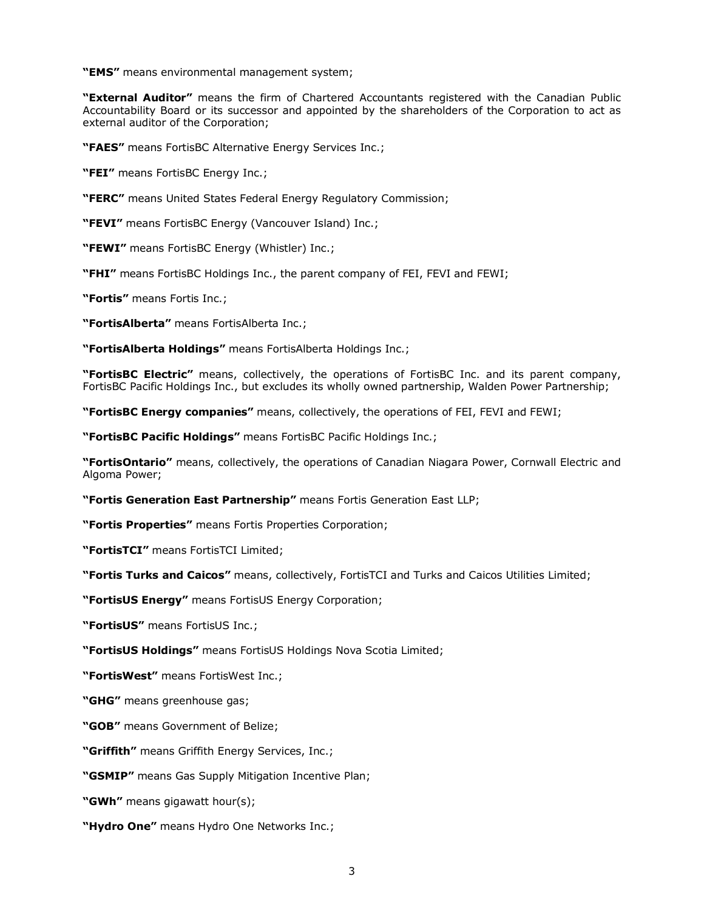**"EMS"** means environmental management system;

**"External Auditor"** means the firm of Chartered Accountants registered with the Canadian Public Accountability Board or its successor and appointed by the shareholders of the Corporation to act as external auditor of the Corporation;

**"FAES"** means FortisBC Alternative Energy Services Inc.;

**"FEI"** means FortisBC Energy Inc.;

**"FERC"** means United States Federal Energy Regulatory Commission;

**"FEVI"** means FortisBC Energy (Vancouver Island) Inc.;

**"FEWI"** means FortisBC Energy (Whistler) Inc.;

**"FHI"** means FortisBC Holdings Inc., the parent company of FEI, FEVI and FEWI;

**"Fortis"** means Fortis Inc.;

**"FortisAlberta"** means FortisAlberta Inc.;

**"FortisAlberta Holdings"** means FortisAlberta Holdings Inc.;

**"FortisBC Electric"** means, collectively, the operations of FortisBC Inc. and its parent company, FortisBC Pacific Holdings Inc., but excludes its wholly owned partnership, Walden Power Partnership;

**"FortisBC Energy companies"** means, collectively, the operations of FEI, FEVI and FEWI;

**"FortisBC Pacific Holdings"** means FortisBC Pacific Holdings Inc.;

**"FortisOntario"** means, collectively, the operations of Canadian Niagara Power, Cornwall Electric and Algoma Power;

**"Fortis Generation East Partnership"** means Fortis Generation East LLP;

**"Fortis Properties"** means Fortis Properties Corporation;

**"FortisTCI"** means FortisTCI Limited;

**"Fortis Turks and Caicos"** means, collectively, FortisTCI and Turks and Caicos Utilities Limited;

**"FortisUS Energy"** means FortisUS Energy Corporation;

**"FortisUS"** means FortisUS Inc.;

**"FortisUS Holdings"** means FortisUS Holdings Nova Scotia Limited;

**"FortisWest"** means FortisWest Inc.;

**"GHG"** means greenhouse gas;

**"GOB"** means Government of Belize;

**"Griffith"** means Griffith Energy Services, Inc.;

**"GSMIP"** means Gas Supply Mitigation Incentive Plan;

**"GWh"** means gigawatt hour(s);

**"Hydro One"** means Hydro One Networks Inc.;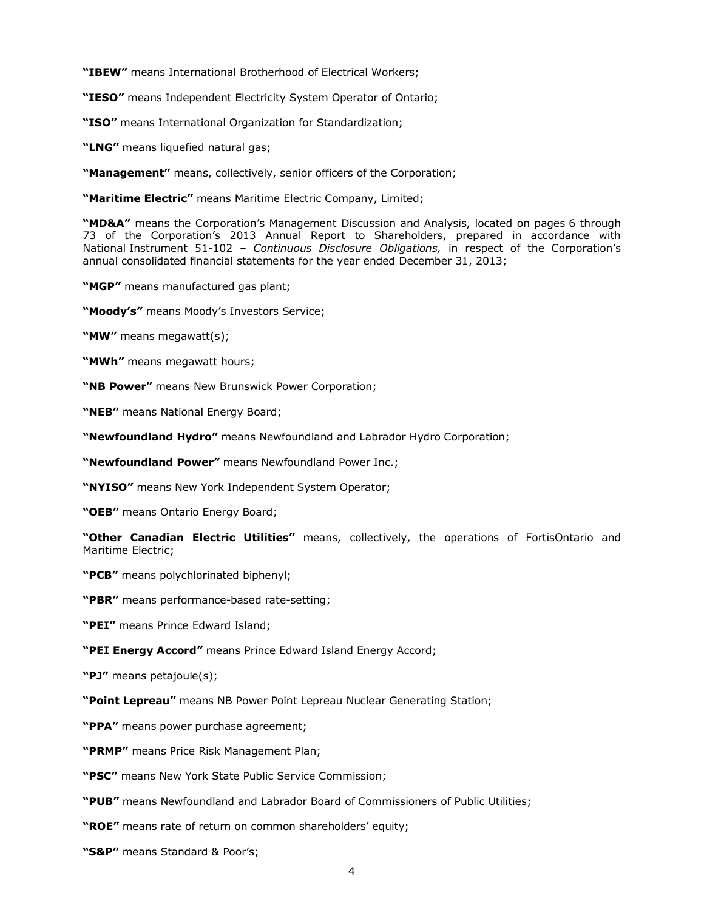**"IBEW"** means International Brotherhood of Electrical Workers;

**"IESO"** means Independent Electricity System Operator of Ontario;

**"ISO"** means International Organization for Standardization;

**"LNG"** means liquefied natural gas;

**"Management"** means, collectively, senior officers of the Corporation;

**"Maritime Electric"** means Maritime Electric Company, Limited;

**"MD&A"** means the Corporation's Management Discussion and Analysis, located on pages 6 through 73 of the Corporation's 2013 Annual Report to Shareholders, prepared in accordance with National Instrument 51-102 – *Continuous Disclosure Obligations,* in respect of the Corporation's annual consolidated financial statements for the year ended December 31, 2013;

**"MGP"** means manufactured gas plant;

**"Moody's"** means Moody's Investors Service;

**"MW"** means megawatt(s);

**"MWh"** means megawatt hours;

**"NB Power"** means New Brunswick Power Corporation;

**"NEB"** means National Energy Board;

**"Newfoundland Hydro"** means Newfoundland and Labrador Hydro Corporation;

**"Newfoundland Power"** means Newfoundland Power Inc.;

**"NYISO"** means New York Independent System Operator;

**"OEB"** means Ontario Energy Board;

**"Other Canadian Electric Utilities"** means, collectively, the operations of FortisOntario and Maritime Electric;

**"PCB"** means polychlorinated biphenyl;

**"PBR"** means performance-based rate-setting;

**"PEI"** means Prince Edward Island;

**"PEI Energy Accord"** means Prince Edward Island Energy Accord;

**"PJ"** means petajoule(s);

**"Point Lepreau"** means NB Power Point Lepreau Nuclear Generating Station;

**"PPA"** means power purchase agreement;

**"PRMP"** means Price Risk Management Plan;

**"PSC"** means New York State Public Service Commission;

**"PUB"** means Newfoundland and Labrador Board of Commissioners of Public Utilities;

**"ROE"** means rate of return on common shareholders' equity;

**"S&P"** means Standard & Poor's;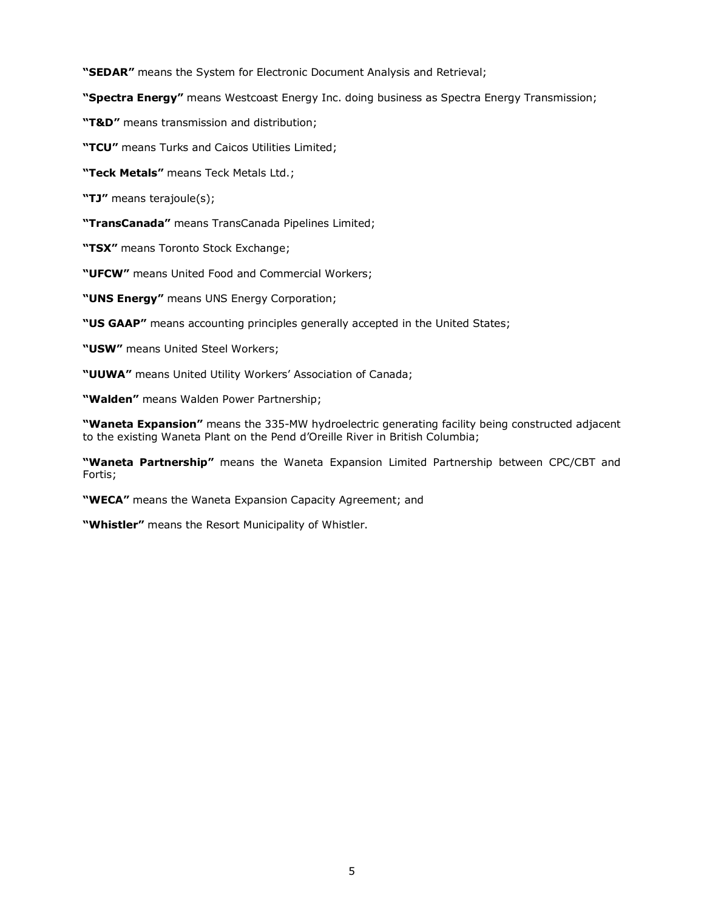**"SEDAR"** means the System for Electronic Document Analysis and Retrieval;

**"Spectra Energy"** means Westcoast Energy Inc. doing business as Spectra Energy Transmission;

**"T&D"** means transmission and distribution;

**"TCU"** means Turks and Caicos Utilities Limited;

**"Teck Metals"** means Teck Metals Ltd.;

**"TJ"** means terajoule(s);

**"TransCanada"** means TransCanada Pipelines Limited;

**"TSX"** means Toronto Stock Exchange;

**"UFCW"** means United Food and Commercial Workers;

**"UNS Energy"** means UNS Energy Corporation;

**"US GAAP"** means accounting principles generally accepted in the United States;

**"USW"** means United Steel Workers;

**"UUWA"** means United Utility Workers' Association of Canada;

**"Walden"** means Walden Power Partnership;

**"Waneta Expansion"** means the 335-MW hydroelectric generating facility being constructed adjacent to the existing Waneta Plant on the Pend d'Oreille River in British Columbia;

**"Waneta Partnership"** means the Waneta Expansion Limited Partnership between CPC/CBT and Fortis;

**"WECA"** means the Waneta Expansion Capacity Agreement; and

**"Whistler"** means the Resort Municipality of Whistler.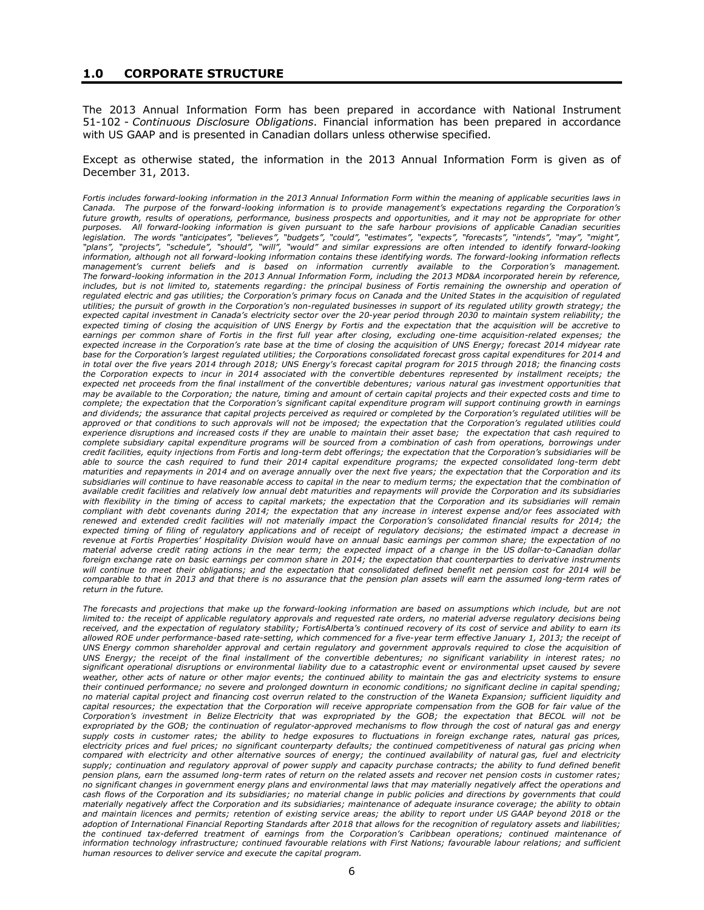#### **1.0 CORPORATE STRUCTURE**

The 2013 Annual Information Form has been prepared in accordance with National Instrument 51-102 - *Continuous Disclosure Obligations*. Financial information has been prepared in accordance with US GAAP and is presented in Canadian dollars unless otherwise specified.

Except as otherwise stated, the information in the 2013 Annual Information Form is given as of December 31, 2013.

*Fortis includes forward-looking information in the 2013 Annual Information Form within the meaning of applicable securities laws in*  Canada. The purpose of the forward-looking information is to provide management's expectations regarding the Corporation's *future growth, results of operations, performance, business prospects and opportunities, and it may not be appropriate for other purposes. All forward-looking information is given pursuant to the safe harbour provisions of applicable Canadian securities legislation. The words "anticipates", "believes", "budgets", "could", "estimates", "expects", "forecasts", "intends", "may", "might", "plans", "projects", "schedule", "should", "will", "would" and similar expressions are often intended to identify forward-looking information, although not all forward-looking information contains these identifying words. The forward-looking information reflects management's current beliefs and is based on information currently available to the Corporation's management. The forward-looking information in the 2013 Annual Information Form, including the 2013 MD&A incorporated herein by reference,*  includes, but is not limited to, statements regarding: the principal business of Fortis remaining the ownership and operation of *regulated electric and gas utilities; the Corporation's primary focus on Canada and the United States in the acquisition of regulated utilities; the pursuit of growth in the Corporation's non-regulated businesses in support of its regulated utility growth strategy; the expected capital investment in Canada's electricity sector over the 20-year period through 2030 to maintain system reliability; the expected timing of closing the acquisition of UNS Energy by Fortis and the expectation that the acquisition will be accretive to earnings per common share of Fortis in the first full year after closing, excluding one-time acquisition-related expenses; the expected increase in the Corporation's rate base at the time of closing the acquisition of UNS Energy; forecast 2014 midyear rate base for the Corporation's largest regulated utilities; the Corporations consolidated forecast gross capital expenditures for 2014 and in total over the five years 2014 through 2018; UNS Energy's forecast capital program for 2015 through 2018; the financing costs the Corporation expects to incur in 2014 associated with the convertible debentures represented by installment receipts; the expected net proceeds from the final installment of the convertible debentures; various natural gas investment opportunities that may be available to the Corporation; the nature, timing and amount of certain capital projects and their expected costs and time to complete; the expectation that the Corporation's significant capital expenditure program will support continuing growth in earnings and dividends; the assurance that capital projects perceived as required or completed by the Corporation's regulated utilities will be approved or that conditions to such approvals will not be imposed; the expectation that the Corporation's regulated utilities could experience disruptions and increased costs if they are unable to maintain their asset base; the expectation that cash required to*  complete subsidiary capital expenditure programs will be sourced from a combination of cash from operations, borrowings under *credit facilities, equity injections from Fortis and long-term debt offerings; the expectation that the Corporation's subsidiaries will be able to source the cash required to fund their 2014 capital expenditure programs; the expected consolidated long-term debt maturities and repayments in 2014 and on average annually over the next five years; the expectation that the Corporation and its subsidiaries will continue to have reasonable access to capital in the near to medium terms; the expectation that the combination of*  available credit facilities and relatively low annual debt maturities and repayments will provide the Corporation and its subsidiaries with flexibility in the timing of access to capital markets; the expectation that the Corporation and its subsidiaries will remain *compliant with debt covenants during 2014; the expectation that any increase in interest expense and/or fees associated with renewed and extended credit facilities will not materially impact the Corporation's consolidated financial results for 2014; the expected timing of filing of regulatory applications and of receipt of regulatory decisions; the estimated impact a decrease in revenue at Fortis Properties' Hospitality Division would have on annual basic earnings per common share; the expectation of no material adverse credit rating actions in the near term; the expected impact of a change in the US dollar-to-Canadian dollar foreign exchange rate on basic earnings per common share in 2014; the expectation that counterparties to derivative instruments will continue to meet their obligations; and the expectation that consolidated defined benefit net pension cost for 2014 will be comparable to that in 2013 and that there is no assurance that the pension plan assets will earn the assumed long-term rates of return in the future.* 

*The forecasts and projections that make up the forward-looking information are based on assumptions which include, but are not*  limited to: the receipt of applicable regulatory approvals and requested rate orders, no material adverse regulatory decisions being *received, and the expectation of regulatory stability; FortisAlberta's continued recovery of its cost of service and ability to earn its allowed ROE under performance-based rate-setting, which commenced for a five-year term effective January 1, 2013; the receipt of UNS Energy common shareholder approval and certain regulatory and government approvals required to close the acquisition of UNS Energy; the receipt of the final installment of the convertible debentures; no significant variability in interest rates; no significant operational disruptions or environmental liability due to a catastrophic event or environmental upset caused by severe weather, other acts of nature or other major events; the continued ability to maintain the gas and electricity systems to ensure their continued performance; no severe and prolonged downturn in economic conditions; no significant decline in capital spending; no material capital project and financing cost overrun related to the construction of the Waneta Expansion; sufficient liquidity and capital resources; the expectation that the Corporation will receive appropriate compensation from the GOB for fair value of the Corporation's investment in Belize Electricity that was expropriated by the GOB; the expectation that BECOL will not be expropriated by the GOB; the continuation of regulator-approved mechanisms to flow through the cost of natural gas and energy supply costs in customer rates; the ability to hedge exposures to fluctuations in foreign exchange rates, natural gas prices, electricity prices and fuel prices; no significant counterparty defaults; the continued competitiveness of natural gas pricing when*  compared with electricity and other alternative sources of energy; the continued availability of natural gas, fuel and electricity *supply; continuation and regulatory approval of power supply and capacity purchase contracts; the ability to fund defined benefit pension plans, earn the assumed long-term rates of return on the related assets and recover net pension costs in customer rates; no significant changes in government energy plans and environmental laws that may materially negatively affect the operations and cash flows of the Corporation and its subsidiaries; no material change in public policies and directions by governments that could materially negatively affect the Corporation and its subsidiaries; maintenance of adequate insurance coverage; the ability to obtain and maintain licences and permits; retention of existing service areas; the ability to report under US GAAP beyond 2018 or the adoption of International Financial Reporting Standards after 2018 that allows for the recognition of regulatory assets and liabilities; the continued tax-deferred treatment of earnings from the Corporation's Caribbean operations; continued maintenance of*  information technology infrastructure; continued favourable relations with First Nations; favourable labour relations; and sufficient *human resources to deliver service and execute the capital program.*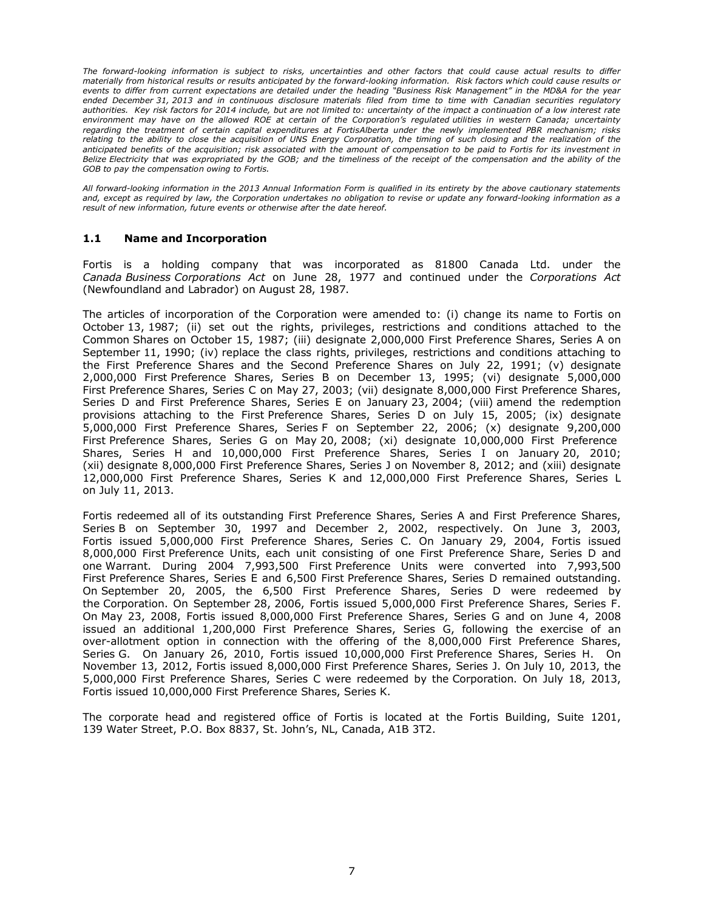*The forward-looking information is subject to risks, uncertainties and other factors that could cause actual results to differ materially from historical results or results anticipated by the forward-looking information. Risk factors which could cause results or events to differ from current expectations are detailed under the heading "Business Risk Management" in the MD&A for the year ended December 31, 2013 and in continuous disclosure materials filed from time to time with Canadian securities regulatory authorities. Key risk factors for 2014 include, but are not limited to: uncertainty of the impact a continuation of a low interest rate environment may have on the allowed ROE at certain of the Corporation's regulated utilities in western Canada; uncertainty regarding the treatment of certain capital expenditures at FortisAlberta under the newly implemented PBR mechanism; risks relating to the ability to close the acquisition of UNS Energy Corporation, the timing of such closing and the realization of the anticipated benefits of the acquisition; risk associated with the amount of compensation to be paid to Fortis for its investment in Belize Electricity that was expropriated by the GOB; and the timeliness of the receipt of the compensation and the ability of the GOB to pay the compensation owing to Fortis.* 

*All forward-looking information in the 2013 Annual Information Form is qualified in its entirety by the above cautionary statements and, except as required by law, the Corporation undertakes no obligation to revise or update any forward-looking information as a result of new information, future events or otherwise after the date hereof.* 

#### **1.1 Name and Incorporation**

Fortis is a holding company that was incorporated as 81800 Canada Ltd. under the *Canada Business Corporations Act* on June 28, 1977 and continued under the *Corporations Act* (Newfoundland and Labrador) on August 28, 1987.

The articles of incorporation of the Corporation were amended to: (i) change its name to Fortis on October 13, 1987; (ii) set out the rights, privileges, restrictions and conditions attached to the Common Shares on October 15, 1987; (iii) designate 2,000,000 First Preference Shares, Series A on September 11, 1990; (iv) replace the class rights, privileges, restrictions and conditions attaching to the First Preference Shares and the Second Preference Shares on July 22, 1991; (v) designate 2,000,000 First Preference Shares, Series B on December 13, 1995; (vi) designate 5,000,000 First Preference Shares, Series C on May 27, 2003; (vii) designate 8,000,000 First Preference Shares, Series D and First Preference Shares, Series E on January 23, 2004; (viii) amend the redemption provisions attaching to the First Preference Shares, Series D on July 15, 2005; (ix) designate 5,000,000 First Preference Shares, Series F on September 22, 2006; (x) designate 9,200,000 First Preference Shares, Series G on May 20, 2008; (xi) designate 10,000,000 First Preference Shares, Series H and 10,000,000 First Preference Shares, Series I on January 20, 2010; (xii) designate 8,000,000 First Preference Shares, Series J on November 8, 2012; and (xiii) designate 12,000,000 First Preference Shares, Series K and 12,000,000 First Preference Shares, Series L on July 11, 2013.

Fortis redeemed all of its outstanding First Preference Shares, Series A and First Preference Shares, Series B on September 30, 1997 and December 2, 2002, respectively. On June 3, 2003, Fortis issued 5,000,000 First Preference Shares, Series C. On January 29, 2004, Fortis issued 8,000,000 First Preference Units, each unit consisting of one First Preference Share, Series D and one Warrant. During 2004 7,993,500 First Preference Units were converted into 7,993,500 First Preference Shares, Series E and 6,500 First Preference Shares, Series D remained outstanding. On September 20, 2005, the 6,500 First Preference Shares, Series D were redeemed by the Corporation. On September 28, 2006, Fortis issued 5,000,000 First Preference Shares, Series F. On May 23, 2008, Fortis issued 8,000,000 First Preference Shares, Series G and on June 4, 2008 issued an additional 1,200,000 First Preference Shares, Series G, following the exercise of an over-allotment option in connection with the offering of the 8,000,000 First Preference Shares, Series G. On January 26, 2010, Fortis issued 10,000,000 First Preference Shares, Series H. On November 13, 2012, Fortis issued 8,000,000 First Preference Shares, Series J. On July 10, 2013, the 5,000,000 First Preference Shares, Series C were redeemed by the Corporation. On July 18, 2013, Fortis issued 10,000,000 First Preference Shares, Series K.

The corporate head and registered office of Fortis is located at the Fortis Building, Suite 1201, 139 Water Street, P.O. Box 8837, St. John's, NL, Canada, A1B 3T2.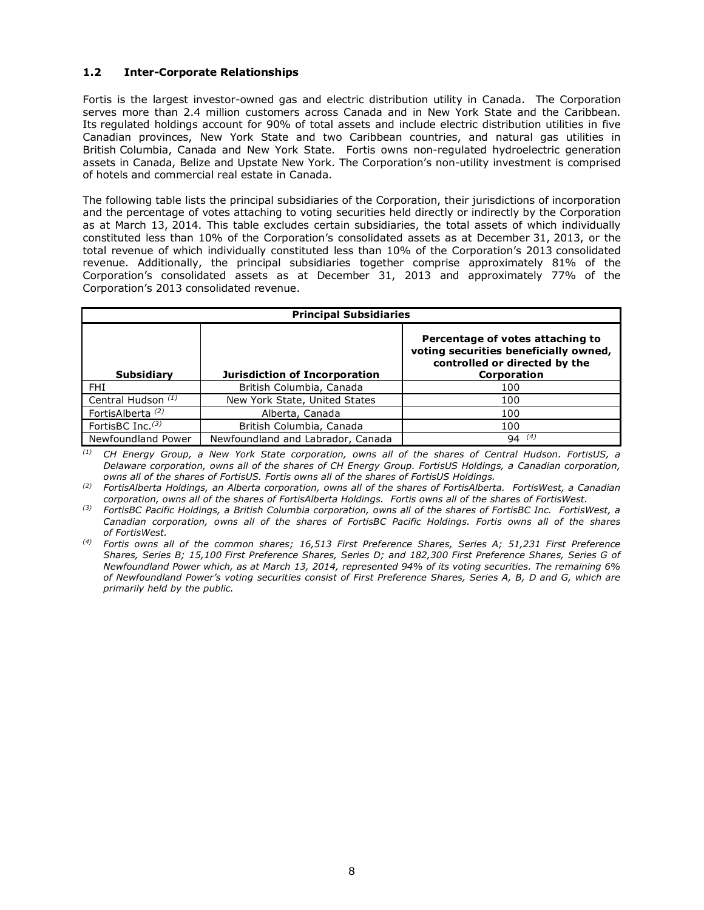## **1.2 Inter-Corporate Relationships**

Fortis is the largest investor-owned gas and electric distribution utility in Canada. The Corporation serves more than 2.4 million customers across Canada and in New York State and the Caribbean. Its regulated holdings account for 90% of total assets and include electric distribution utilities in five Canadian provinces, New York State and two Caribbean countries, and natural gas utilities in British Columbia, Canada and New York State. Fortis owns non-regulated hydroelectric generation assets in Canada, Belize and Upstate New York. The Corporation's non-utility investment is comprised of hotels and commercial real estate in Canada.

The following table lists the principal subsidiaries of the Corporation, their jurisdictions of incorporation and the percentage of votes attaching to voting securities held directly or indirectly by the Corporation as at March 13, 2014. This table excludes certain subsidiaries, the total assets of which individually constituted less than 10% of the Corporation's consolidated assets as at December 31, 2013, or the total revenue of which individually constituted less than 10% of the Corporation's 2013 consolidated revenue. Additionally, the principal subsidiaries together comprise approximately 81% of the Corporation's consolidated assets as at December 31, 2013 and approximately 77% of the Corporation's 2013 consolidated revenue.

| <b>Principal Subsidiaries</b>               |                                   |                                                                                                                           |  |  |
|---------------------------------------------|-----------------------------------|---------------------------------------------------------------------------------------------------------------------------|--|--|
| Jurisdiction of Incorporation<br>Subsidiary |                                   | Percentage of votes attaching to<br>voting securities beneficially owned,<br>controlled or directed by the<br>Corporation |  |  |
| <b>FHI</b>                                  | British Columbia, Canada          | 100                                                                                                                       |  |  |
| Central Hudson <sup>(1)</sup>               | New York State, United States     | 100                                                                                                                       |  |  |
| FortisAlberta <sup>(2)</sup>                | Alberta, Canada                   | 100                                                                                                                       |  |  |
| FortisBC Inc. $(3)$                         | British Columbia, Canada          | 100                                                                                                                       |  |  |
| Newfoundland Power                          | Newfoundland and Labrador, Canada | $94^{(4)}$                                                                                                                |  |  |

*(1) CH Energy Group, a New York State corporation, owns all of the shares of Central Hudson. FortisUS, a Delaware corporation, owns all of the shares of CH Energy Group. FortisUS Holdings, a Canadian corporation, owns all of the shares of FortisUS. Fortis owns all of the shares of FortisUS Holdings.* 

*(2) FortisAlberta Holdings, an Alberta corporation, owns all of the shares of FortisAlberta. FortisWest, a Canadian corporation, owns all of the shares of FortisAlberta Holdings. Fortis owns all of the shares of FortisWest.* 

*(3) FortisBC Pacific Holdings, a British Columbia corporation, owns all of the shares of FortisBC Inc. FortisWest, a Canadian corporation, owns all of the shares of FortisBC Pacific Holdings. Fortis owns all of the shares of FortisWest.* 

*<sup>(4)</sup> Fortis owns all of the common shares; 16,513 First Preference Shares, Series A; 51,231 First Preference Shares, Series B; 15,100 First Preference Shares, Series D; and 182,300 First Preference Shares, Series G of Newfoundland Power which, as at March 13, 2014, represented 94% of its voting securities. The remaining 6% of Newfoundland Power's voting securities consist of First Preference Shares, Series A, B, D and G, which are primarily held by the public.*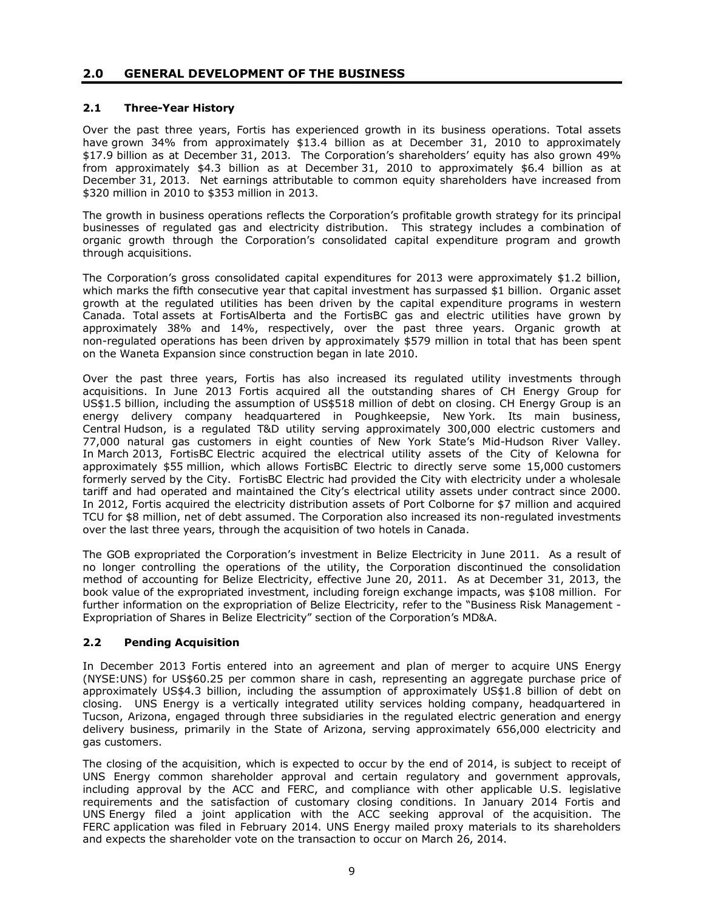## **2.0 GENERAL DEVELOPMENT OF THE BUSINESS**

## **2.1 Three-Year History**

Over the past three years, Fortis has experienced growth in its business operations. Total assets have grown 34% from approximately \$13.4 billion as at December 31, 2010 to approximately \$17.9 billion as at December 31, 2013. The Corporation's shareholders' equity has also grown 49% from approximately \$4.3 billion as at December 31, 2010 to approximately \$6.4 billion as at December 31, 2013. Net earnings attributable to common equity shareholders have increased from \$320 million in 2010 to \$353 million in 2013.

The growth in business operations reflects the Corporation's profitable growth strategy for its principal businesses of regulated gas and electricity distribution. This strategy includes a combination of organic growth through the Corporation's consolidated capital expenditure program and growth through acquisitions.

The Corporation's gross consolidated capital expenditures for 2013 were approximately \$1.2 billion, which marks the fifth consecutive year that capital investment has surpassed \$1 billion. Organic asset growth at the regulated utilities has been driven by the capital expenditure programs in western Canada. Total assets at FortisAlberta and the FortisBC gas and electric utilities have grown by approximately 38% and 14%, respectively, over the past three years. Organic growth at non-regulated operations has been driven by approximately \$579 million in total that has been spent on the Waneta Expansion since construction began in late 2010.

Over the past three years, Fortis has also increased its regulated utility investments through acquisitions. In June 2013 Fortis acquired all the outstanding shares of CH Energy Group for US\$1.5 billion, including the assumption of US\$518 million of debt on closing. CH Energy Group is an energy delivery company headquartered in Poughkeepsie, New York. Its main business, Central Hudson, is a regulated T&D utility serving approximately 300,000 electric customers and 77,000 natural gas customers in eight counties of New York State's Mid-Hudson River Valley. In March 2013, FortisBC Electric acquired the electrical utility assets of the City of Kelowna for approximately \$55 million, which allows FortisBC Electric to directly serve some 15,000 customers formerly served by the City. FortisBC Electric had provided the City with electricity under a wholesale tariff and had operated and maintained the City's electrical utility assets under contract since 2000. In 2012, Fortis acquired the electricity distribution assets of Port Colborne for \$7 million and acquired TCU for \$8 million, net of debt assumed. The Corporation also increased its non-regulated investments over the last three years, through the acquisition of two hotels in Canada.

The GOB expropriated the Corporation's investment in Belize Electricity in June 2011. As a result of no longer controlling the operations of the utility, the Corporation discontinued the consolidation method of accounting for Belize Electricity, effective June 20, 2011. As at December 31, 2013, the book value of the expropriated investment, including foreign exchange impacts, was \$108 million. For further information on the expropriation of Belize Electricity, refer to the "Business Risk Management - Expropriation of Shares in Belize Electricity" section of the Corporation's MD&A.

## **2.2 Pending Acquisition**

In December 2013 Fortis entered into an agreement and plan of merger to acquire UNS Energy (NYSE:UNS) for US\$60.25 per common share in cash, representing an aggregate purchase price of approximately US\$4.3 billion, including the assumption of approximately US\$1.8 billion of debt on closing. UNS Energy is a vertically integrated utility services holding company, headquartered in Tucson, Arizona, engaged through three subsidiaries in the regulated electric generation and energy delivery business, primarily in the State of Arizona, serving approximately 656,000 electricity and gas customers.

The closing of the acquisition, which is expected to occur by the end of 2014, is subject to receipt of UNS Energy common shareholder approval and certain regulatory and government approvals, including approval by the ACC and FERC, and compliance with other applicable U.S. legislative requirements and the satisfaction of customary closing conditions. In January 2014 Fortis and UNS Energy filed a joint application with the ACC seeking approval of the acquisition. The FERC application was filed in February 2014. UNS Energy mailed proxy materials to its shareholders and expects the shareholder vote on the transaction to occur on March 26, 2014.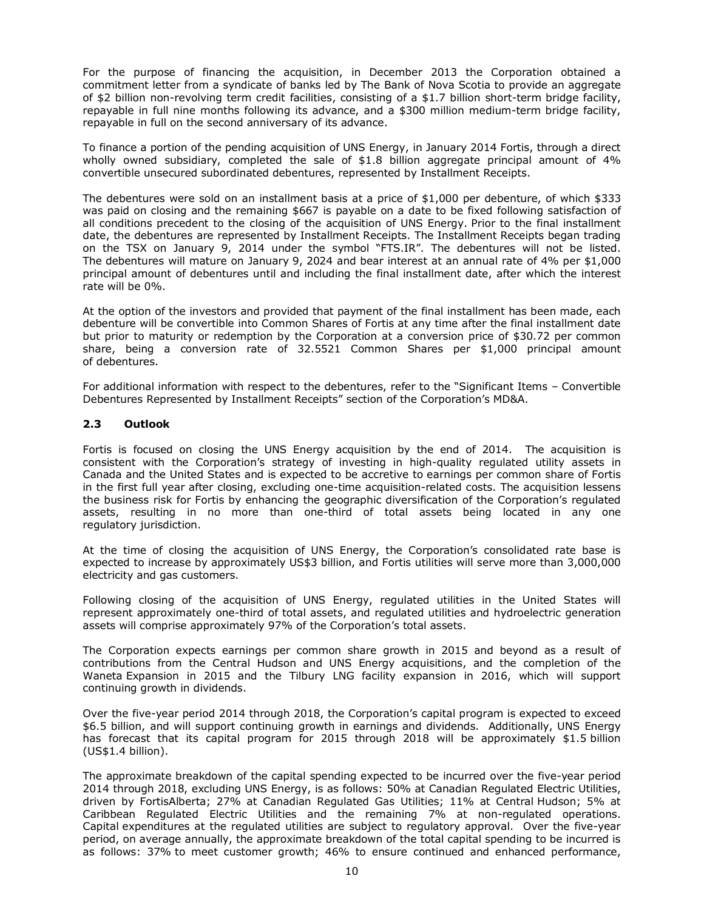For the purpose of financing the acquisition, in December 2013 the Corporation obtained a commitment letter from a syndicate of banks led by The Bank of Nova Scotia to provide an aggregate of \$2 billion non-revolving term credit facilities, consisting of a \$1.7 billion short-term bridge facility, repayable in full nine months following its advance, and a \$300 million medium-term bridge facility, repayable in full on the second anniversary of its advance.

To finance a portion of the pending acquisition of UNS Energy, in January 2014 Fortis, through a direct wholly owned subsidiary, completed the sale of \$1.8 billion aggregate principal amount of 4% convertible unsecured subordinated debentures, represented by Installment Receipts.

The debentures were sold on an installment basis at a price of \$1,000 per debenture, of which \$333 was paid on closing and the remaining \$667 is payable on a date to be fixed following satisfaction of all conditions precedent to the closing of the acquisition of UNS Energy. Prior to the final installment date, the debentures are represented by Installment Receipts. The Installment Receipts began trading on the TSX on January 9, 2014 under the symbol "FTS.IR". The debentures will not be listed. The debentures will mature on January 9, 2024 and bear interest at an annual rate of 4% per \$1,000 principal amount of debentures until and including the final installment date, after which the interest rate will be 0%.

At the option of the investors and provided that payment of the final installment has been made, each debenture will be convertible into Common Shares of Fortis at any time after the final installment date but prior to maturity or redemption by the Corporation at a conversion price of \$30.72 per common share, being a conversion rate of 32.5521 Common Shares per \$1,000 principal amount of debentures.

For additional information with respect to the debentures, refer to the "Significant Items – Convertible Debentures Represented by Installment Receipts" section of the Corporation's MD&A.

## **2.3 Outlook**

Fortis is focused on closing the UNS Energy acquisition by the end of 2014. The acquisition is consistent with the Corporation's strategy of investing in high-quality regulated utility assets in Canada and the United States and is expected to be accretive to earnings per common share of Fortis in the first full year after closing, excluding one-time acquisition-related costs. The acquisition lessens the business risk for Fortis by enhancing the geographic diversification of the Corporation's regulated assets, resulting in no more than one-third of total assets being located in any one regulatory jurisdiction.

At the time of closing the acquisition of UNS Energy, the Corporation's consolidated rate base is expected to increase by approximately US\$3 billion, and Fortis utilities will serve more than 3,000,000 electricity and gas customers.

Following closing of the acquisition of UNS Energy, regulated utilities in the United States will represent approximately one-third of total assets, and regulated utilities and hydroelectric generation assets will comprise approximately 97% of the Corporation's total assets.

The Corporation expects earnings per common share growth in 2015 and beyond as a result of contributions from the Central Hudson and UNS Energy acquisitions, and the completion of the Waneta Expansion in 2015 and the Tilbury LNG facility expansion in 2016, which will support continuing growth in dividends.

Over the five-year period 2014 through 2018, the Corporation's capital program is expected to exceed \$6.5 billion, and will support continuing growth in earnings and dividends. Additionally, UNS Energy has forecast that its capital program for 2015 through 2018 will be approximately \$1.5 billion (US\$1.4 billion).

The approximate breakdown of the capital spending expected to be incurred over the five-year period 2014 through 2018, excluding UNS Energy, is as follows: 50% at Canadian Regulated Electric Utilities, driven by FortisAlberta; 27% at Canadian Regulated Gas Utilities; 11% at Central Hudson; 5% at Caribbean Regulated Electric Utilities and the remaining 7% at non-regulated operations. Capital expenditures at the regulated utilities are subject to regulatory approval. Over the five-year period, on average annually, the approximate breakdown of the total capital spending to be incurred is as follows: 37% to meet customer growth; 46% to ensure continued and enhanced performance,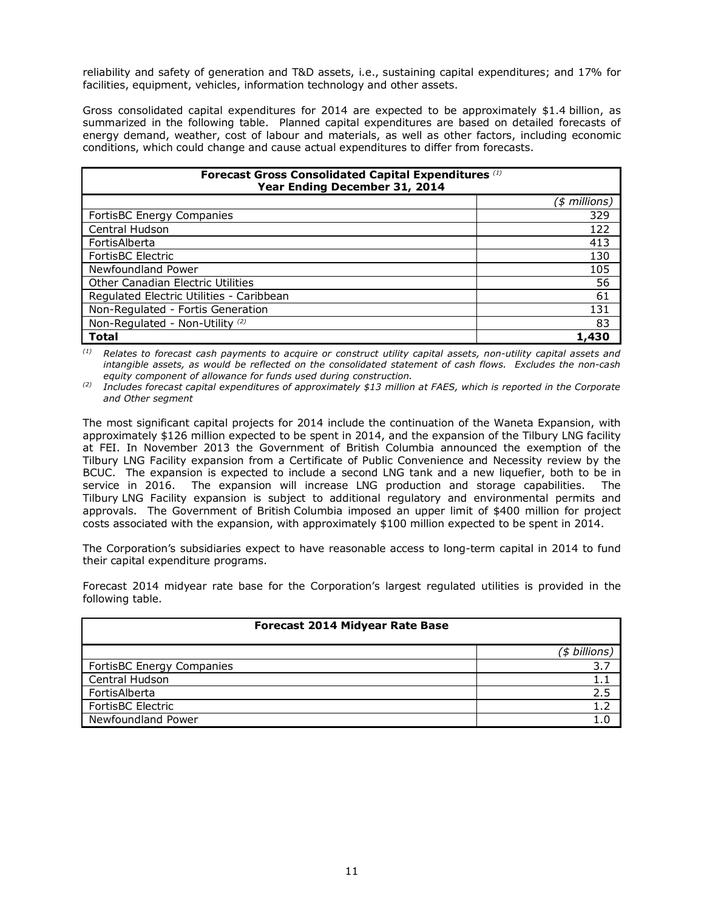reliability and safety of generation and T&D assets, i.e., sustaining capital expenditures; and 17% for facilities, equipment, vehicles, information technology and other assets.

Gross consolidated capital expenditures for 2014 are expected to be approximately \$1.4 billion, as summarized in the following table. Planned capital expenditures are based on detailed forecasts of energy demand, weather, cost of labour and materials, as well as other factors, including economic conditions, which could change and cause actual expenditures to differ from forecasts.

| Forecast Gross Consolidated Capital Expenditures (1)<br>Year Ending December 31, 2014 |               |
|---------------------------------------------------------------------------------------|---------------|
|                                                                                       | (\$ millions) |
| FortisBC Energy Companies                                                             | 329           |
| Central Hudson                                                                        | 122           |
| FortisAlberta                                                                         | 413           |
| FortisBC Electric                                                                     | 130           |
| Newfoundland Power                                                                    | 105           |
| Other Canadian Electric Utilities                                                     | 56            |
| Regulated Electric Utilities - Caribbean                                              | 61            |
| Non-Regulated - Fortis Generation                                                     | 131           |
| Non-Regulated - Non-Utility <sup>(2)</sup>                                            | 83            |
| <b>Total</b>                                                                          | 1,430         |

*(1) Relates to forecast cash payments to acquire or construct utility capital assets, non-utility capital assets and intangible assets, as would be reflected on the consolidated statement of cash flows. Excludes the non-cash equity component of allowance for funds used during construction.* 

*(2) Includes forecast capital expenditures of approximately \$13 million at FAES, which is reported in the Corporate and Other segment* 

The most significant capital projects for 2014 include the continuation of the Waneta Expansion, with approximately \$126 million expected to be spent in 2014, and the expansion of the Tilbury LNG facility at FEI. In November 2013 the Government of British Columbia announced the exemption of the Tilbury LNG Facility expansion from a Certificate of Public Convenience and Necessity review by the BCUC. The expansion is expected to include a second LNG tank and a new liquefier, both to be in service in 2016. The expansion will increase LNG production and storage capabilities. The Tilbury LNG Facility expansion is subject to additional regulatory and environmental permits and approvals. The Government of British Columbia imposed an upper limit of \$400 million for project costs associated with the expansion, with approximately \$100 million expected to be spent in 2014.

The Corporation's subsidiaries expect to have reasonable access to long-term capital in 2014 to fund their capital expenditure programs.

Forecast 2014 midyear rate base for the Corporation's largest regulated utilities is provided in the following table.

| <b>Forecast 2014 Midyear Rate Base</b> |               |
|----------------------------------------|---------------|
|                                        | (\$ billions) |
| FortisBC Energy Companies              | 3.7           |
| Central Hudson                         | $1.1\,$       |
| FortisAlberta                          | 2.5           |
| FortisBC Electric                      | 1.2           |
| Newfoundland Power                     | 1.0           |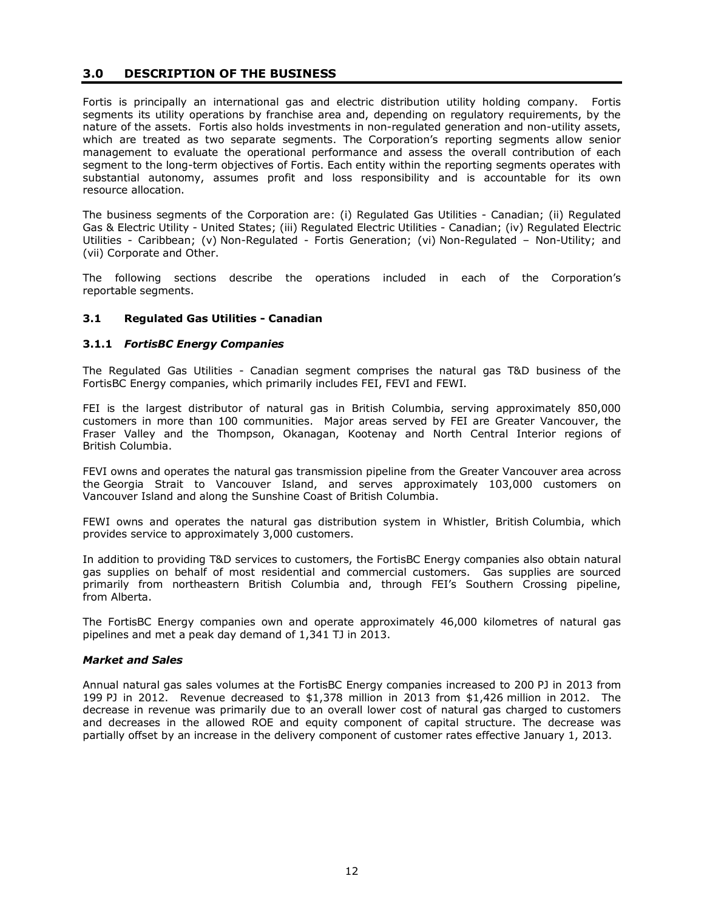## **3.0 DESCRIPTION OF THE BUSINESS**

Fortis is principally an international gas and electric distribution utility holding company. Fortis segments its utility operations by franchise area and, depending on regulatory requirements, by the nature of the assets. Fortis also holds investments in non-regulated generation and non-utility assets, which are treated as two separate segments. The Corporation's reporting segments allow senior management to evaluate the operational performance and assess the overall contribution of each segment to the long-term objectives of Fortis. Each entity within the reporting segments operates with substantial autonomy, assumes profit and loss responsibility and is accountable for its own resource allocation.

The business segments of the Corporation are: (i) Regulated Gas Utilities - Canadian; (ii) Regulated Gas & Electric Utility - United States; (iii) Regulated Electric Utilities - Canadian; (iv) Regulated Electric Utilities - Caribbean; (v) Non-Regulated - Fortis Generation; (vi) Non-Regulated – Non-Utility; and (vii) Corporate and Other.

The following sections describe the operations included in each of the Corporation's reportable segments.

## **3.1 Regulated Gas Utilities - Canadian**

## **3.1.1** *FortisBC Energy Companies*

The Regulated Gas Utilities - Canadian segment comprises the natural gas T&D business of the FortisBC Energy companies, which primarily includes FEI, FEVI and FEWI.

FEI is the largest distributor of natural gas in British Columbia, serving approximately 850,000 customers in more than 100 communities. Major areas served by FEI are Greater Vancouver, the Fraser Valley and the Thompson, Okanagan, Kootenay and North Central Interior regions of British Columbia.

FEVI owns and operates the natural gas transmission pipeline from the Greater Vancouver area across the Georgia Strait to Vancouver Island, and serves approximately 103,000 customers on Vancouver Island and along the Sunshine Coast of British Columbia.

FEWI owns and operates the natural gas distribution system in Whistler, British Columbia, which provides service to approximately 3,000 customers.

In addition to providing T&D services to customers, the FortisBC Energy companies also obtain natural gas supplies on behalf of most residential and commercial customers. Gas supplies are sourced primarily from northeastern British Columbia and, through FEI's Southern Crossing pipeline, from Alberta.

The FortisBC Energy companies own and operate approximately 46,000 kilometres of natural gas pipelines and met a peak day demand of 1,341 TJ in 2013.

## *Market and Sales*

Annual natural gas sales volumes at the FortisBC Energy companies increased to 200 PJ in 2013 from 199 PJ in 2012. Revenue decreased to \$1,378 million in 2013 from \$1,426 million in 2012. The decrease in revenue was primarily due to an overall lower cost of natural gas charged to customers and decreases in the allowed ROE and equity component of capital structure. The decrease was partially offset by an increase in the delivery component of customer rates effective January 1, 2013.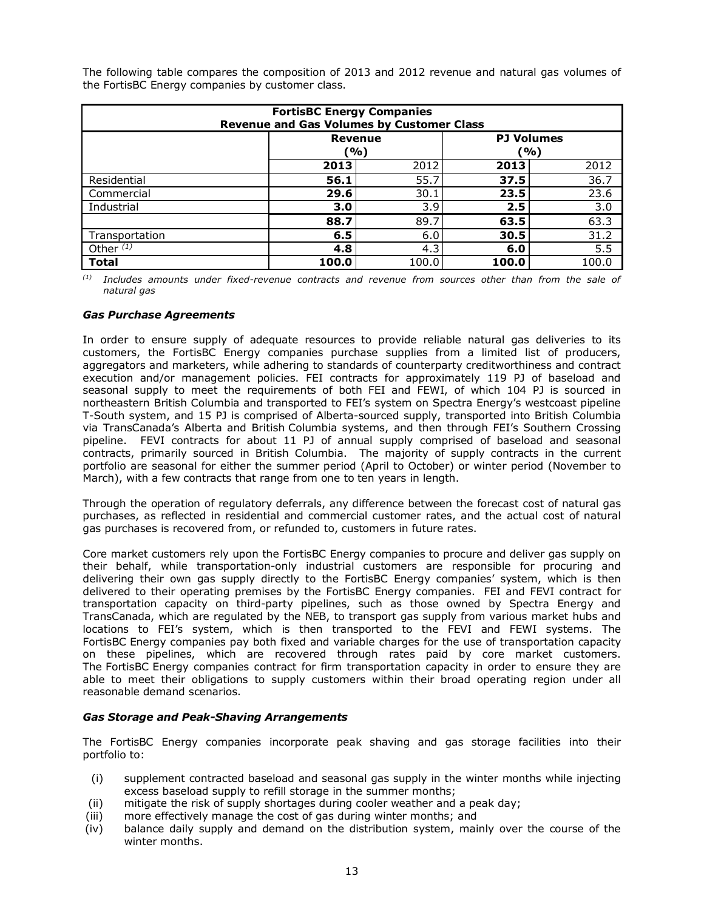The following table compares the composition of 2013 and 2012 revenue and natural gas volumes of the FortisBC Energy companies by customer class.

| <b>FortisBC Energy Companies</b><br><b>Revenue and Gas Volumes by Customer Class</b> |                |       |                   |       |  |
|--------------------------------------------------------------------------------------|----------------|-------|-------------------|-------|--|
|                                                                                      | <b>Revenue</b> |       | <b>PJ Volumes</b> |       |  |
|                                                                                      |                | (%)   | (%)               |       |  |
| 2012<br>2013<br>2012<br>2013                                                         |                |       |                   |       |  |
| Residential                                                                          | 56.1           | 55.7  | 37.5              | 36.7  |  |
| Commercial                                                                           | 29.6           | 30.1  | 23.5              | 23.6  |  |
| Industrial                                                                           | 3.0            | 3.9   | 2.5               | 3.0   |  |
|                                                                                      | 88.7           | 89.7  | 63.5              | 63.3  |  |
| Transportation                                                                       | 6.5            | 6.0   | 30.5              | 31.2  |  |
| Other $(1)$                                                                          | 4.8            | 4.3   | 6.0               | 5.5   |  |
| <b>Total</b>                                                                         | 100.0          | 100.0 | 100.0             | 100.0 |  |

*(1) Includes amounts under fixed-revenue contracts and revenue from sources other than from the sale of natural gas* 

#### *Gas Purchase Agreements*

In order to ensure supply of adequate resources to provide reliable natural gas deliveries to its customers, the FortisBC Energy companies purchase supplies from a limited list of producers, aggregators and marketers, while adhering to standards of counterparty creditworthiness and contract execution and/or management policies. FEI contracts for approximately 119 PJ of baseload and seasonal supply to meet the requirements of both FEI and FEWI, of which 104 PJ is sourced in northeastern British Columbia and transported to FEI's system on Spectra Energy's westcoast pipeline T-South system, and 15 PJ is comprised of Alberta-sourced supply, transported into British Columbia via TransCanada's Alberta and British Columbia systems, and then through FEI's Southern Crossing pipeline. FEVI contracts for about 11 PJ of annual supply comprised of baseload and seasonal contracts, primarily sourced in British Columbia. The majority of supply contracts in the current portfolio are seasonal for either the summer period (April to October) or winter period (November to March), with a few contracts that range from one to ten years in length.

Through the operation of regulatory deferrals, any difference between the forecast cost of natural gas purchases, as reflected in residential and commercial customer rates, and the actual cost of natural gas purchases is recovered from, or refunded to, customers in future rates.

Core market customers rely upon the FortisBC Energy companies to procure and deliver gas supply on their behalf, while transportation-only industrial customers are responsible for procuring and delivering their own gas supply directly to the FortisBC Energy companies' system, which is then delivered to their operating premises by the FortisBC Energy companies. FEI and FEVI contract for transportation capacity on third-party pipelines, such as those owned by Spectra Energy and TransCanada, which are regulated by the NEB, to transport gas supply from various market hubs and locations to FEI's system, which is then transported to the FEVI and FEWI systems. The FortisBC Energy companies pay both fixed and variable charges for the use of transportation capacity on these pipelines, which are recovered through rates paid by core market customers. The FortisBC Energy companies contract for firm transportation capacity in order to ensure they are able to meet their obligations to supply customers within their broad operating region under all reasonable demand scenarios.

#### *Gas Storage and Peak-Shaving Arrangements*

The FortisBC Energy companies incorporate peak shaving and gas storage facilities into their portfolio to:

- (i) supplement contracted baseload and seasonal gas supply in the winter months while injecting excess baseload supply to refill storage in the summer months;
- (ii) mitigate the risk of supply shortages during cooler weather and a peak day;
- (iii) more effectively manage the cost of gas during winter months; and
- (iv) balance daily supply and demand on the distribution system, mainly over the course of the winter months.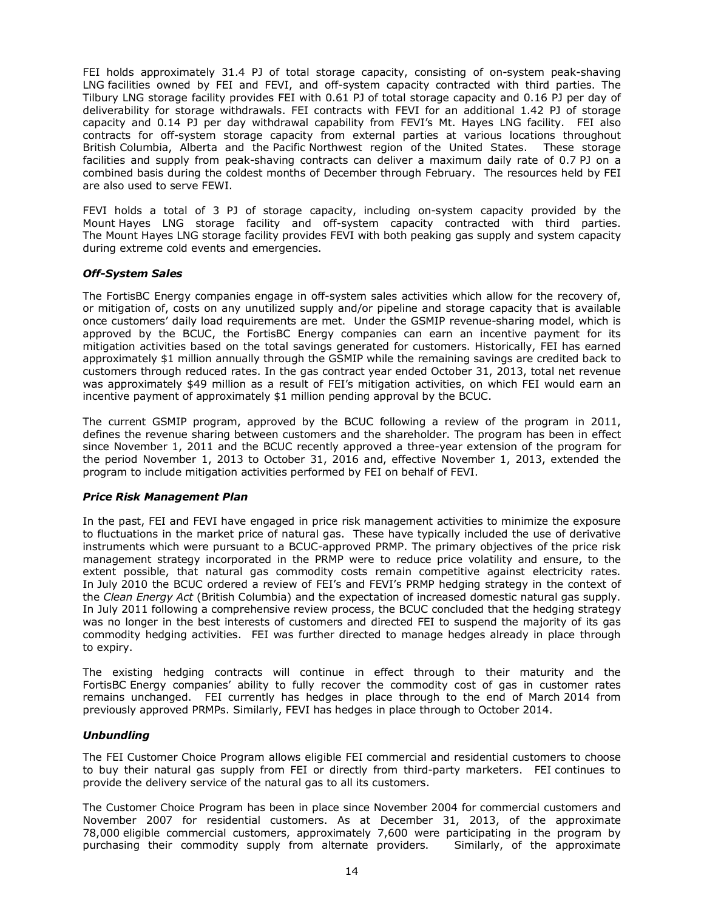FEI holds approximately 31.4 PJ of total storage capacity, consisting of on-system peak-shaving LNG facilities owned by FEI and FEVI, and off-system capacity contracted with third parties. The Tilbury LNG storage facility provides FEI with 0.61 PJ of total storage capacity and 0.16 PJ per day of deliverability for storage withdrawals. FEI contracts with FEVI for an additional 1.42 PJ of storage capacity and 0.14 PJ per day withdrawal capability from FEVI's Mt. Hayes LNG facility. FEI also contracts for off-system storage capacity from external parties at various locations throughout British Columbia, Alberta and the Pacific Northwest region of the United States. These storage facilities and supply from peak-shaving contracts can deliver a maximum daily rate of 0.7 PJ on a combined basis during the coldest months of December through February. The resources held by FEI are also used to serve FEWI.

FEVI holds a total of 3 PJ of storage capacity, including on-system capacity provided by the Mount Hayes LNG storage facility and off-system capacity contracted with third parties. The Mount Hayes LNG storage facility provides FEVI with both peaking gas supply and system capacity during extreme cold events and emergencies.

## *Off-System Sales*

The FortisBC Energy companies engage in off-system sales activities which allow for the recovery of, or mitigation of, costs on any unutilized supply and/or pipeline and storage capacity that is available once customers' daily load requirements are met. Under the GSMIP revenue-sharing model, which is approved by the BCUC, the FortisBC Energy companies can earn an incentive payment for its mitigation activities based on the total savings generated for customers. Historically, FEI has earned approximately \$1 million annually through the GSMIP while the remaining savings are credited back to customers through reduced rates. In the gas contract year ended October 31, 2013, total net revenue was approximately \$49 million as a result of FEI's mitigation activities, on which FEI would earn an incentive payment of approximately \$1 million pending approval by the BCUC.

The current GSMIP program, approved by the BCUC following a review of the program in 2011, defines the revenue sharing between customers and the shareholder. The program has been in effect since November 1, 2011 and the BCUC recently approved a three-year extension of the program for the period November 1, 2013 to October 31, 2016 and, effective November 1, 2013, extended the program to include mitigation activities performed by FEI on behalf of FEVI.

## *Price Risk Management Plan*

In the past, FEI and FEVI have engaged in price risk management activities to minimize the exposure to fluctuations in the market price of natural gas. These have typically included the use of derivative instruments which were pursuant to a BCUC-approved PRMP. The primary objectives of the price risk management strategy incorporated in the PRMP were to reduce price volatility and ensure, to the extent possible, that natural gas commodity costs remain competitive against electricity rates. In July 2010 the BCUC ordered a review of FEI's and FEVI's PRMP hedging strategy in the context of the *Clean Energy Act* (British Columbia) and the expectation of increased domestic natural gas supply. In July 2011 following a comprehensive review process, the BCUC concluded that the hedging strategy was no longer in the best interests of customers and directed FEI to suspend the majority of its gas commodity hedging activities. FEI was further directed to manage hedges already in place through to expiry.

The existing hedging contracts will continue in effect through to their maturity and the FortisBC Energy companies' ability to fully recover the commodity cost of gas in customer rates remains unchanged. FEI currently has hedges in place through to the end of March 2014 from previously approved PRMPs. Similarly, FEVI has hedges in place through to October 2014.

## *Unbundling*

The FEI Customer Choice Program allows eligible FEI commercial and residential customers to choose to buy their natural gas supply from FEI or directly from third-party marketers. FEI continues to provide the delivery service of the natural gas to all its customers.

The Customer Choice Program has been in place since November 2004 for commercial customers and November 2007 for residential customers. As at December 31, 2013, of the approximate 78,000 eligible commercial customers, approximately 7,600 were participating in the program by purchasing their commodity supply from alternate providers. Similarly, of the approximate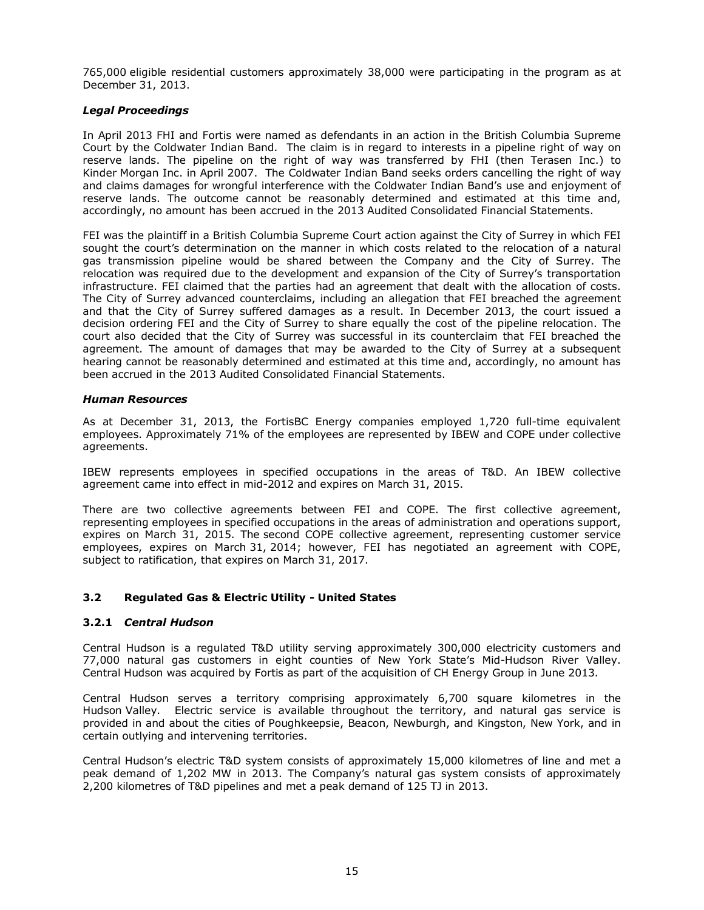765,000 eligible residential customers approximately 38,000 were participating in the program as at December 31, 2013.

## *Legal Proceedings*

In April 2013 FHI and Fortis were named as defendants in an action in the British Columbia Supreme Court by the Coldwater Indian Band. The claim is in regard to interests in a pipeline right of way on reserve lands. The pipeline on the right of way was transferred by FHI (then Terasen Inc.) to Kinder Morgan Inc. in April 2007. The Coldwater Indian Band seeks orders cancelling the right of way and claims damages for wrongful interference with the Coldwater Indian Band's use and enjoyment of reserve lands. The outcome cannot be reasonably determined and estimated at this time and, accordingly, no amount has been accrued in the 2013 Audited Consolidated Financial Statements.

FEI was the plaintiff in a British Columbia Supreme Court action against the City of Surrey in which FEI sought the court's determination on the manner in which costs related to the relocation of a natural gas transmission pipeline would be shared between the Company and the City of Surrey. The relocation was required due to the development and expansion of the City of Surrey's transportation infrastructure. FEI claimed that the parties had an agreement that dealt with the allocation of costs. The City of Surrey advanced counterclaims, including an allegation that FEI breached the agreement and that the City of Surrey suffered damages as a result. In December 2013, the court issued a decision ordering FEI and the City of Surrey to share equally the cost of the pipeline relocation. The court also decided that the City of Surrey was successful in its counterclaim that FEI breached the agreement. The amount of damages that may be awarded to the City of Surrey at a subsequent hearing cannot be reasonably determined and estimated at this time and, accordingly, no amount has been accrued in the 2013 Audited Consolidated Financial Statements.

#### *Human Resources*

As at December 31, 2013, the FortisBC Energy companies employed 1,720 full-time equivalent employees. Approximately 71% of the employees are represented by IBEW and COPE under collective agreements.

IBEW represents employees in specified occupations in the areas of T&D. An IBEW collective agreement came into effect in mid-2012 and expires on March 31, 2015.

There are two collective agreements between FEI and COPE. The first collective agreement, representing employees in specified occupations in the areas of administration and operations support, expires on March 31, 2015. The second COPE collective agreement, representing customer service employees, expires on March 31, 2014; however, FEI has negotiated an agreement with COPE, subject to ratification, that expires on March 31, 2017.

## **3.2 Regulated Gas & Electric Utility - United States**

## **3.2.1** *Central Hudson*

Central Hudson is a regulated T&D utility serving approximately 300,000 electricity customers and 77,000 natural gas customers in eight counties of New York State's Mid-Hudson River Valley. Central Hudson was acquired by Fortis as part of the acquisition of CH Energy Group in June 2013.

Central Hudson serves a territory comprising approximately 6,700 square kilometres in the Hudson Valley. Electric service is available throughout the territory, and natural gas service is provided in and about the cities of Poughkeepsie, Beacon, Newburgh, and Kingston, New York, and in certain outlying and intervening territories.

Central Hudson's electric T&D system consists of approximately 15,000 kilometres of line and met a peak demand of 1,202 MW in 2013. The Company's natural gas system consists of approximately 2,200 kilometres of T&D pipelines and met a peak demand of 125 TJ in 2013.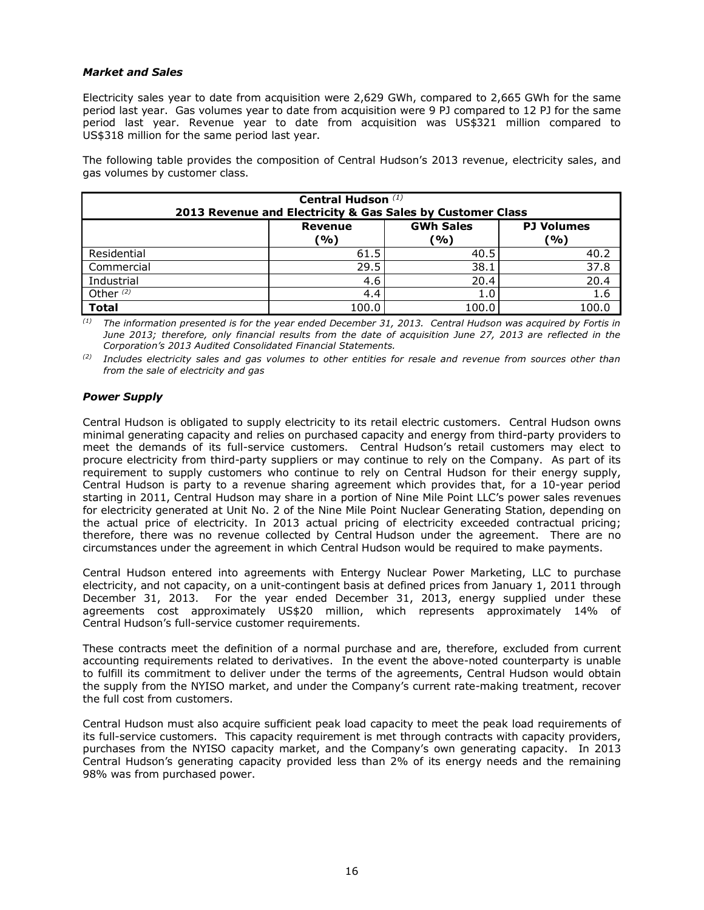## *Market and Sales*

Electricity sales year to date from acquisition were 2,629 GWh, compared to 2,665 GWh for the same period last year. Gas volumes year to date from acquisition were 9 PJ compared to 12 PJ for the same period last year. Revenue year to date from acquisition was US\$321 million compared to US\$318 million for the same period last year.

The following table provides the composition of Central Hudson's 2013 revenue, electricity sales, and gas volumes by customer class.

| Central Hudson (1)<br>2013 Revenue and Electricity & Gas Sales by Customer Class |       |       |       |  |  |  |  |
|----------------------------------------------------------------------------------|-------|-------|-------|--|--|--|--|
| <b>GWh Sales</b><br><b>PJ Volumes</b><br><b>Revenue</b><br>(%)<br>(%)<br>(%)     |       |       |       |  |  |  |  |
| Residential                                                                      | 61.5  | 40.5  | 40.2  |  |  |  |  |
| Commercial                                                                       | 29.5  | 38.1  | 37.8  |  |  |  |  |
| Industrial                                                                       | 4.6   | 20.4  | 20.4  |  |  |  |  |
| Other $(2)$                                                                      | 4.4   | 1.0   | 1.6   |  |  |  |  |
| <b>Total</b>                                                                     | 100.0 | 100.0 | 100.0 |  |  |  |  |

*(1) The information presented is for the year ended December 31, 2013. Central Hudson was acquired by Fortis in June 2013; therefore, only financial results from the date of acquisition June 27, 2013 are reflected in the Corporation's 2013 Audited Consolidated Financial Statements.* 

*(2) Includes electricity sales and gas volumes to other entities for resale and revenue from sources other than from the sale of electricity and gas* 

## *Power Supply*

Central Hudson is obligated to supply electricity to its retail electric customers. Central Hudson owns minimal generating capacity and relies on purchased capacity and energy from third-party providers to meet the demands of its full-service customers.Central Hudson's retail customers may elect to procure electricity from third-party suppliers or may continue to rely on the Company. As part of its requirement to supply customers who continue to rely on Central Hudson for their energy supply, Central Hudson is party to a revenue sharing agreement which provides that, for a 10-year period starting in 2011, Central Hudson may share in a portion of Nine Mile Point LLC's power sales revenues for electricity generated at Unit No. 2 of the Nine Mile Point Nuclear Generating Station, depending on the actual price of electricity. In 2013 actual pricing of electricity exceeded contractual pricing; therefore, there was no revenue collected by Central Hudson under the agreement. There are no circumstances under the agreement in which Central Hudson would be required to make payments.

Central Hudson entered into agreements with Entergy Nuclear Power Marketing, LLC to purchase electricity, and not capacity, on a unit-contingent basis at defined prices from January 1, 2011 through December 31, 2013. For the year ended December 31, 2013, energy supplied under these agreements cost approximately US\$20 million, which represents approximately 14% of Central Hudson's full-service customer requirements.

These contracts meet the definition of a normal purchase and are, therefore, excluded from current accounting requirements related to derivatives. In the event the above-noted counterparty is unable to fulfill its commitment to deliver under the terms of the agreements, Central Hudson would obtain the supply from the NYISO market, and under the Company's current rate-making treatment, recover the full cost from customers.

Central Hudson must also acquire sufficient peak load capacity to meet the peak load requirements of its full-service customers. This capacity requirement is met through contracts with capacity providers, purchases from the NYISO capacity market, and the Company's own generating capacity. In 2013 Central Hudson's generating capacity provided less than 2% of its energy needs and the remaining 98% was from purchased power.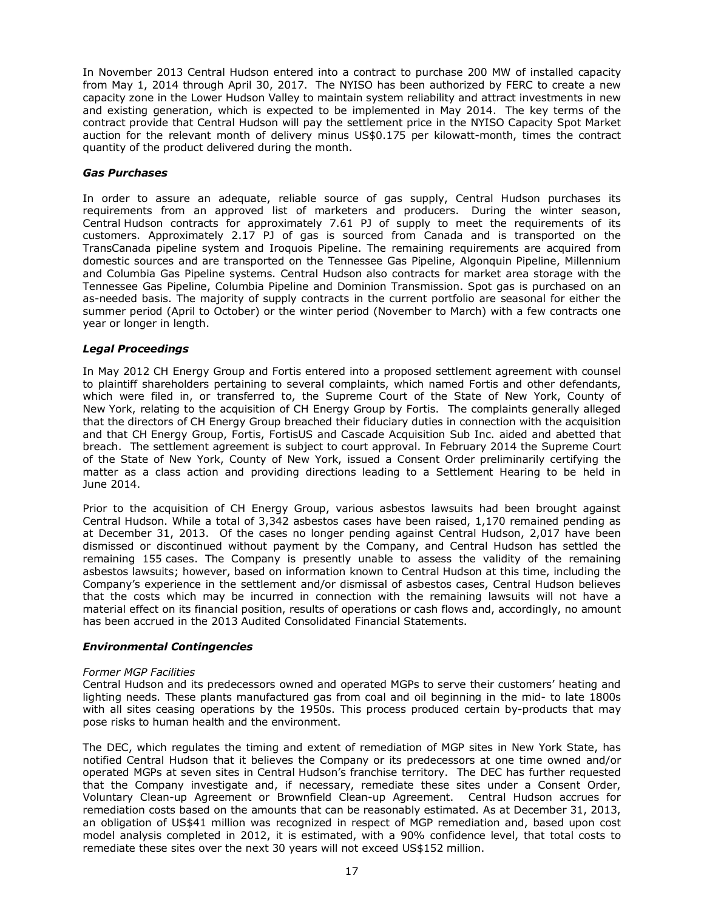In November 2013 Central Hudson entered into a contract to purchase 200 MW of installed capacity from May 1, 2014 through April 30, 2017. The NYISO has been authorized by FERC to create a new capacity zone in the Lower Hudson Valley to maintain system reliability and attract investments in new and existing generation, which is expected to be implemented in May 2014. The key terms of the contract provide that Central Hudson will pay the settlement price in the NYISO Capacity Spot Market auction for the relevant month of delivery minus US\$0.175 per kilowatt-month, times the contract quantity of the product delivered during the month.

### *Gas Purchases*

In order to assure an adequate, reliable source of gas supply, Central Hudson purchases its requirements from an approved list of marketers and producers. During the winter season, Central Hudson contracts for approximately 7.61 PJ of supply to meet the requirements of its customers. Approximately 2.17 PJ of gas is sourced from Canada and is transported on the TransCanada pipeline system and Iroquois Pipeline. The remaining requirements are acquired from domestic sources and are transported on the Tennessee Gas Pipeline, Algonquin Pipeline, Millennium and Columbia Gas Pipeline systems. Central Hudson also contracts for market area storage with the Tennessee Gas Pipeline, Columbia Pipeline and Dominion Transmission. Spot gas is purchased on an as-needed basis. The majority of supply contracts in the current portfolio are seasonal for either the summer period (April to October) or the winter period (November to March) with a few contracts one year or longer in length.

#### *Legal Proceedings*

In May 2012 CH Energy Group and Fortis entered into a proposed settlement agreement with counsel to plaintiff shareholders pertaining to several complaints, which named Fortis and other defendants, which were filed in, or transferred to, the Supreme Court of the State of New York, County of New York, relating to the acquisition of CH Energy Group by Fortis. The complaints generally alleged that the directors of CH Energy Group breached their fiduciary duties in connection with the acquisition and that CH Energy Group, Fortis, FortisUS and Cascade Acquisition Sub Inc. aided and abetted that breach. The settlement agreement is subject to court approval. In February 2014 the Supreme Court of the State of New York, County of New York, issued a Consent Order preliminarily certifying the matter as a class action and providing directions leading to a Settlement Hearing to be held in June 2014.

Prior to the acquisition of CH Energy Group, various asbestos lawsuits had been brought against Central Hudson. While a total of 3,342 asbestos cases have been raised, 1,170 remained pending as at December 31, 2013. Of the cases no longer pending against Central Hudson, 2,017 have been dismissed or discontinued without payment by the Company, and Central Hudson has settled the remaining 155 cases. The Company is presently unable to assess the validity of the remaining asbestos lawsuits; however, based on information known to Central Hudson at this time, including the Company's experience in the settlement and/or dismissal of asbestos cases, Central Hudson believes that the costs which may be incurred in connection with the remaining lawsuits will not have a material effect on its financial position, results of operations or cash flows and, accordingly, no amount has been accrued in the 2013 Audited Consolidated Financial Statements.

#### *Environmental Contingencies*

#### *Former MGP Facilities*

Central Hudson and its predecessors owned and operated MGPs to serve their customers' heating and lighting needs. These plants manufactured gas from coal and oil beginning in the mid- to late 1800s with all sites ceasing operations by the 1950s. This process produced certain by-products that may pose risks to human health and the environment.

The DEC, which regulates the timing and extent of remediation of MGP sites in New York State, has notified Central Hudson that it believes the Company or its predecessors at one time owned and/or operated MGPs at seven sites in Central Hudson's franchise territory. The DEC has further requested that the Company investigate and, if necessary, remediate these sites under a Consent Order, Voluntary Clean-up Agreement or Brownfield Clean-up Agreement. Central Hudson accrues for remediation costs based on the amounts that can be reasonably estimated. As at December 31, 2013, an obligation of US\$41 million was recognized in respect of MGP remediation and, based upon cost model analysis completed in 2012, it is estimated, with a 90% confidence level, that total costs to remediate these sites over the next 30 years will not exceed US\$152 million.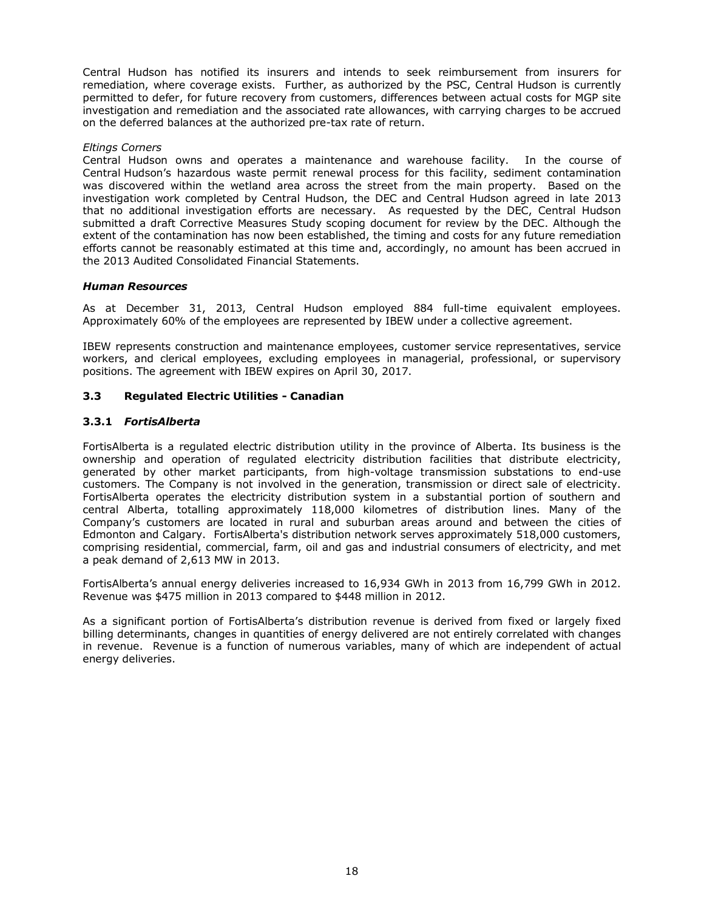Central Hudson has notified its insurers and intends to seek reimbursement from insurers for remediation, where coverage exists. Further, as authorized by the PSC, Central Hudson is currently permitted to defer, for future recovery from customers, differences between actual costs for MGP site investigation and remediation and the associated rate allowances, with carrying charges to be accrued on the deferred balances at the authorized pre-tax rate of return.

#### *Eltings Corners*

Central Hudson owns and operates a maintenance and warehouse facility. In the course of Central Hudson's hazardous waste permit renewal process for this facility, sediment contamination was discovered within the wetland area across the street from the main property. Based on the investigation work completed by Central Hudson, the DEC and Central Hudson agreed in late 2013 that no additional investigation efforts are necessary. As requested by the DEC, Central Hudson submitted a draft Corrective Measures Study scoping document for review by the DEC. Although the extent of the contamination has now been established, the timing and costs for any future remediation efforts cannot be reasonably estimated at this time and, accordingly, no amount has been accrued in the 2013 Audited Consolidated Financial Statements.

#### *Human Resources*

As at December 31, 2013, Central Hudson employed 884 full-time equivalent employees. Approximately 60% of the employees are represented by IBEW under a collective agreement.

IBEW represents construction and maintenance employees, customer service representatives, service workers, and clerical employees, excluding employees in managerial, professional, or supervisory positions. The agreement with IBEW expires on April 30, 2017.

## **3.3 Regulated Electric Utilities - Canadian**

#### **3.3.1** *FortisAlberta*

FortisAlberta is a regulated electric distribution utility in the province of Alberta. Its business is the ownership and operation of regulated electricity distribution facilities that distribute electricity, generated by other market participants, from high-voltage transmission substations to end-use customers. The Company is not involved in the generation, transmission or direct sale of electricity. FortisAlberta operates the electricity distribution system in a substantial portion of southern and central Alberta, totalling approximately 118,000 kilometres of distribution lines. Many of the Company's customers are located in rural and suburban areas around and between the cities of Edmonton and Calgary. FortisAlberta's distribution network serves approximately 518,000 customers, comprising residential, commercial, farm, oil and gas and industrial consumers of electricity, and met a peak demand of 2,613 MW in 2013.

FortisAlberta's annual energy deliveries increased to 16,934 GWh in 2013 from 16,799 GWh in 2012. Revenue was \$475 million in 2013 compared to \$448 million in 2012.

As a significant portion of FortisAlberta's distribution revenue is derived from fixed or largely fixed billing determinants, changes in quantities of energy delivered are not entirely correlated with changes in revenue. Revenue is a function of numerous variables, many of which are independent of actual energy deliveries.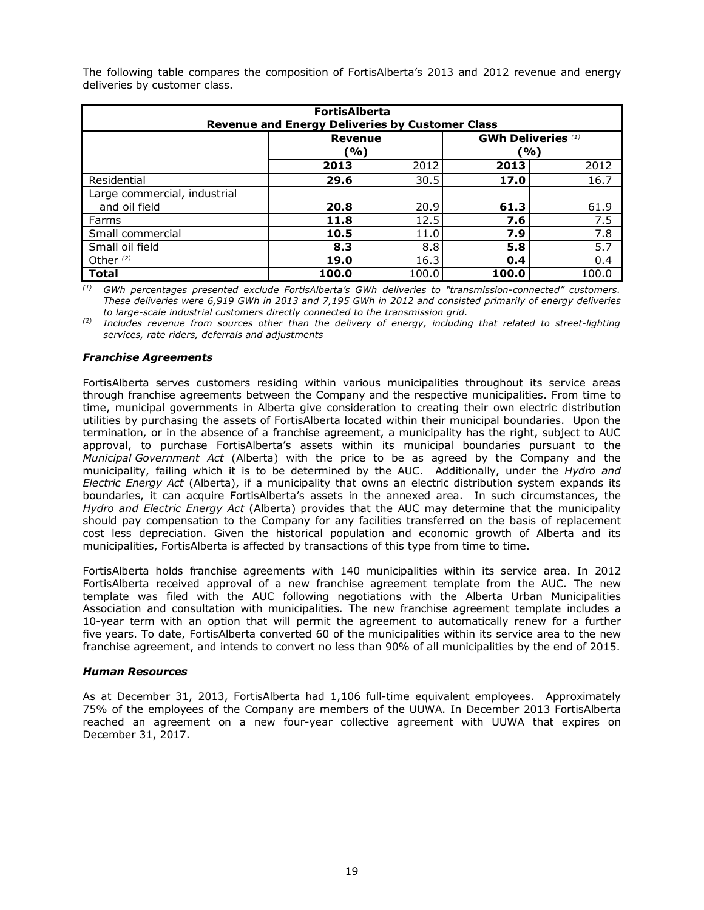| <b>FortisAlberta</b><br><b>Revenue and Energy Deliveries by Customer Class</b> |       |       |       |       |  |
|--------------------------------------------------------------------------------|-------|-------|-------|-------|--|
| <b>GWh Deliveries</b> (1)<br><b>Revenue</b><br>(%)<br>(%)                      |       |       |       |       |  |
|                                                                                | 2013  | 2012  | 2013  | 2012  |  |
| Residential                                                                    | 29.6  | 30.5  | 17.0  | 16.7  |  |
| Large commercial, industrial                                                   |       |       |       |       |  |
| and oil field                                                                  | 20.8  | 20.9  | 61.3  | 61.9  |  |
| Farms                                                                          | 11.8  | 12.5  | 7.6   | 7.5   |  |
| Small commercial                                                               | 10.5  | 11.0  | 7.9   | 7.8   |  |
| Small oil field                                                                | 8.3   | 8.8   | 5.8   | 5.7   |  |
| Other $(2)$<br>19.0<br>16.3<br>0.4<br>0.4                                      |       |       |       |       |  |
| <b>Total</b>                                                                   | 100.0 | 100.0 | 100.0 | 100.0 |  |

The following table compares the composition of FortisAlberta's 2013 and 2012 revenue and energy deliveries by customer class.

*(1) GWh percentages presented exclude FortisAlberta's GWh deliveries to "transmission-connected" customers. These deliveries were 6,919 GWh in 2013 and 7,195 GWh in 2012 and consisted primarily of energy deliveries to large-scale industrial customers directly connected to the transmission grid.* 

*(2) Includes revenue from sources other than the delivery of energy, including that related to street-lighting services, rate riders, deferrals and adjustments* 

## *Franchise Agreements*

FortisAlberta serves customers residing within various municipalities throughout its service areas through franchise agreements between the Company and the respective municipalities. From time to time, municipal governments in Alberta give consideration to creating their own electric distribution utilities by purchasing the assets of FortisAlberta located within their municipal boundaries. Upon the termination, or in the absence of a franchise agreement, a municipality has the right, subject to AUC approval, to purchase FortisAlberta's assets within its municipal boundaries pursuant to the *Municipal Government Act* (Alberta) with the price to be as agreed by the Company and the municipality, failing which it is to be determined by the AUC. Additionally, under the *Hydro and Electric Energy Act* (Alberta), if a municipality that owns an electric distribution system expands its boundaries, it can acquire FortisAlberta's assets in the annexed area. In such circumstances, the *Hydro and Electric Energy Act* (Alberta) provides that the AUC may determine that the municipality should pay compensation to the Company for any facilities transferred on the basis of replacement cost less depreciation. Given the historical population and economic growth of Alberta and its municipalities, FortisAlberta is affected by transactions of this type from time to time.

FortisAlberta holds franchise agreements with 140 municipalities within its service area. In 2012 FortisAlberta received approval of a new franchise agreement template from the AUC. The new template was filed with the AUC following negotiations with the Alberta Urban Municipalities Association and consultation with municipalities. The new franchise agreement template includes a 10-year term with an option that will permit the agreement to automatically renew for a further five years. To date, FortisAlberta converted 60 of the municipalities within its service area to the new franchise agreement, and intends to convert no less than 90% of all municipalities by the end of 2015.

## *Human Resources*

As at December 31, 2013, FortisAlberta had 1,106 full-time equivalent employees. Approximately 75% of the employees of the Company are members of the UUWA. In December 2013 FortisAlberta reached an agreement on a new four-year collective agreement with UUWA that expires on December 31, 2017.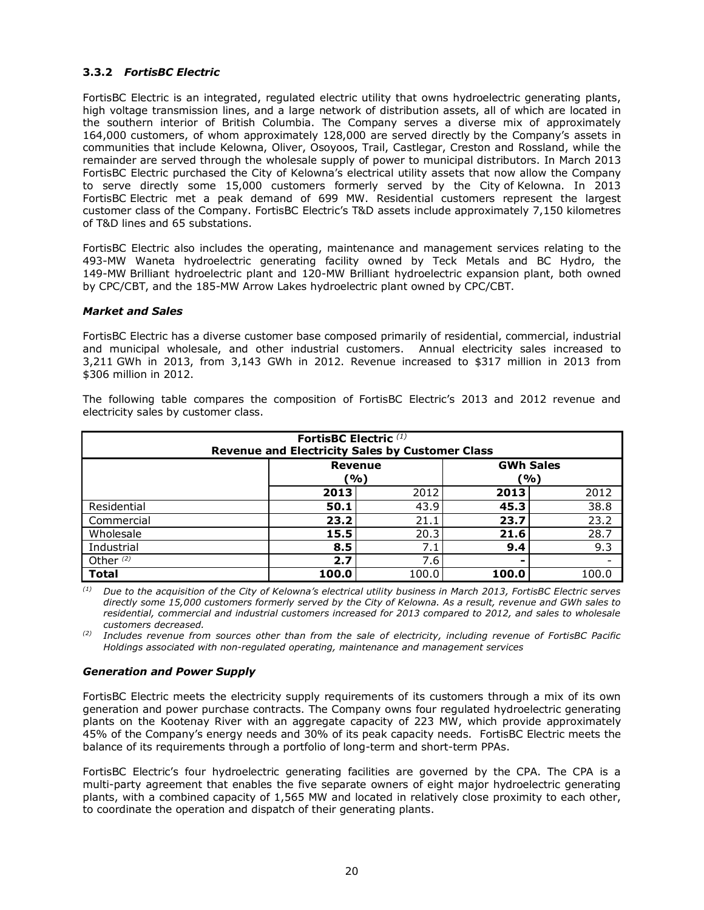## **3.3.2** *FortisBC Electric*

FortisBC Electric is an integrated, regulated electric utility that owns hydroelectric generating plants, high voltage transmission lines, and a large network of distribution assets, all of which are located in the southern interior of British Columbia. The Company serves a diverse mix of approximately 164,000 customers, of whom approximately 128,000 are served directly by the Company's assets in communities that include Kelowna, Oliver, Osoyoos, Trail, Castlegar, Creston and Rossland, while the remainder are served through the wholesale supply of power to municipal distributors. In March 2013 FortisBC Electric purchased the City of Kelowna's electrical utility assets that now allow the Company to serve directly some 15,000 customers formerly served by the City of Kelowna. In 2013 FortisBC Electric met a peak demand of 699 MW. Residential customers represent the largest customer class of the Company. FortisBC Electric's T&D assets include approximately 7,150 kilometres of T&D lines and 65 substations.

FortisBC Electric also includes the operating, maintenance and management services relating to the 493-MW Waneta hydroelectric generating facility owned by Teck Metals and BC Hydro, the 149-MW Brilliant hydroelectric plant and 120-MW Brilliant hydroelectric expansion plant, both owned by CPC/CBT, and the 185-MW Arrow Lakes hydroelectric plant owned by CPC/CBT.

#### *Market and Sales*

FortisBC Electric has a diverse customer base composed primarily of residential, commercial, industrial and municipal wholesale, and other industrial customers. Annual electricity sales increased to 3,211 GWh in 2013, from 3,143 GWh in 2012. Revenue increased to \$317 million in 2013 from \$306 million in 2012.

| FortisBC Electric (1)<br><b>Revenue and Electricity Sales by Customer Class</b> |       |       |       |       |  |
|---------------------------------------------------------------------------------|-------|-------|-------|-------|--|
| <b>GWh Sales</b><br><b>Revenue</b><br>(%)<br>(%)                                |       |       |       |       |  |
|                                                                                 | 2013  | 2012  | 2013  | 2012  |  |
| Residential                                                                     | 50.1  | 43.9  | 45.3  | 38.8  |  |
| Commercial                                                                      | 23.2  | 21.1  | 23.7  | 23.2  |  |
| Wholesale                                                                       | 15.5  | 20.3  | 21.6  | 28.7  |  |
| Industrial                                                                      | 8.5   | 7.1   | 9.4   | 9.3   |  |
| Other $(2)$                                                                     | 2.7   | 7.6   | -     |       |  |
| <b>Total</b>                                                                    | 100.0 | 100.0 | 100.0 | 100.0 |  |

The following table compares the composition of FortisBC Electric's 2013 and 2012 revenue and electricity sales by customer class.

*(1) Due to the acquisition of the City of Kelowna's electrical utility business in March 2013, FortisBC Electric serves directly some 15,000 customers formerly served by the City of Kelowna. As a result, revenue and GWh sales to residential, commercial and industrial customers increased for 2013 compared to 2012, and sales to wholesale customers decreased.*

*(2) Includes revenue from sources other than from the sale of electricity, including revenue of FortisBC Pacific Holdings associated with non-regulated operating, maintenance and management services*

## *Generation and Power Supply*

FortisBC Electric meets the electricity supply requirements of its customers through a mix of its own generation and power purchase contracts. The Company owns four regulated hydroelectric generating plants on the Kootenay River with an aggregate capacity of 223 MW, which provide approximately 45% of the Company's energy needs and 30% of its peak capacity needs. FortisBC Electric meets the balance of its requirements through a portfolio of long-term and short-term PPAs.

FortisBC Electric's four hydroelectric generating facilities are governed by the CPA. The CPA is a multi-party agreement that enables the five separate owners of eight major hydroelectric generating plants, with a combined capacity of 1,565 MW and located in relatively close proximity to each other, to coordinate the operation and dispatch of their generating plants.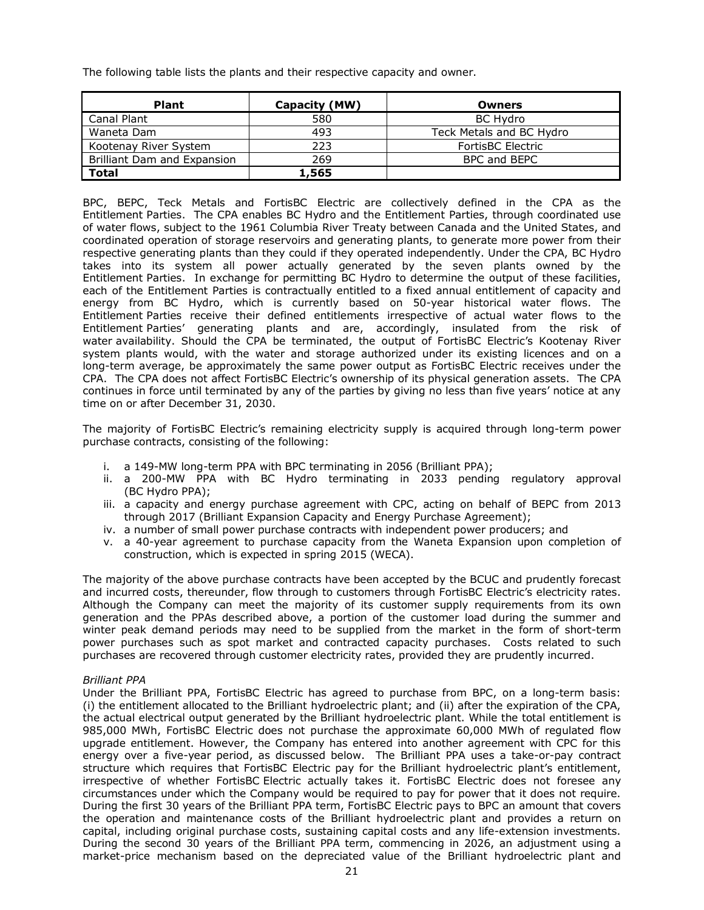The following table lists the plants and their respective capacity and owner.

| <b>Plant</b>                       | Capacity (MW) | <b>Owners</b>            |
|------------------------------------|---------------|--------------------------|
| Canal Plant                        | 580           | <b>BC Hydro</b>          |
| Waneta Dam                         | 493           | Teck Metals and BC Hydro |
| Kootenay River System              | 223           | FortisBC Electric        |
| <b>Brilliant Dam and Expansion</b> | 269           | BPC and BEPC             |
| <b>Total</b>                       | 1,565         |                          |

BPC, BEPC, Teck Metals and FortisBC Electric are collectively defined in the CPA as the Entitlement Parties. The CPA enables BC Hydro and the Entitlement Parties, through coordinated use of water flows, subject to the 1961 Columbia River Treaty between Canada and the United States, and coordinated operation of storage reservoirs and generating plants, to generate more power from their respective generating plants than they could if they operated independently. Under the CPA, BC Hydro takes into its system all power actually generated by the seven plants owned by the Entitlement Parties. In exchange for permitting BC Hydro to determine the output of these facilities, each of the Entitlement Parties is contractually entitled to a fixed annual entitlement of capacity and energy from BC Hydro, which is currently based on 50-year historical water flows. The Entitlement Parties receive their defined entitlements irrespective of actual water flows to the Entitlement Parties' generating plants and are, accordingly, insulated from the risk of water availability. Should the CPA be terminated, the output of FortisBC Electric's Kootenay River system plants would, with the water and storage authorized under its existing licences and on a long-term average, be approximately the same power output as FortisBC Electric receives under the CPA. The CPA does not affect FortisBC Electric's ownership of its physical generation assets. The CPA continues in force until terminated by any of the parties by giving no less than five years' notice at any time on or after December 31, 2030.

The majority of FortisBC Electric's remaining electricity supply is acquired through long-term power purchase contracts, consisting of the following:

- i. a 149-MW long-term PPA with BPC terminating in 2056 (Brilliant PPA);
- ii. a 200-MW PPA with BC Hydro terminating in 2033 pending regulatory approval (BC Hydro PPA);
- iii. a capacity and energy purchase agreement with CPC, acting on behalf of BEPC from 2013 through 2017 (Brilliant Expansion Capacity and Energy Purchase Agreement);
- iv. a number of small power purchase contracts with independent power producers; and
- v. a 40-year agreement to purchase capacity from the Waneta Expansion upon completion of construction, which is expected in spring 2015 (WECA).

The majority of the above purchase contracts have been accepted by the BCUC and prudently forecast and incurred costs, thereunder, flow through to customers through FortisBC Electric's electricity rates. Although the Company can meet the majority of its customer supply requirements from its own generation and the PPAs described above, a portion of the customer load during the summer and winter peak demand periods may need to be supplied from the market in the form of short-term power purchases such as spot market and contracted capacity purchases. Costs related to such purchases are recovered through customer electricity rates, provided they are prudently incurred.

#### *Brilliant PPA*

Under the Brilliant PPA, FortisBC Electric has agreed to purchase from BPC, on a long-term basis: (i) the entitlement allocated to the Brilliant hydroelectric plant; and (ii) after the expiration of the CPA, the actual electrical output generated by the Brilliant hydroelectric plant. While the total entitlement is 985,000 MWh, FortisBC Electric does not purchase the approximate 60,000 MWh of regulated flow upgrade entitlement. However, the Company has entered into another agreement with CPC for this energy over a five-year period, as discussed below. The Brilliant PPA uses a take-or-pay contract structure which requires that FortisBC Electric pay for the Brilliant hydroelectric plant's entitlement, irrespective of whether FortisBC Electric actually takes it. FortisBC Electric does not foresee any circumstances under which the Company would be required to pay for power that it does not require. During the first 30 years of the Brilliant PPA term, FortisBC Electric pays to BPC an amount that covers the operation and maintenance costs of the Brilliant hydroelectric plant and provides a return on capital, including original purchase costs, sustaining capital costs and any life-extension investments. During the second 30 years of the Brilliant PPA term, commencing in 2026, an adjustment using a market-price mechanism based on the depreciated value of the Brilliant hydroelectric plant and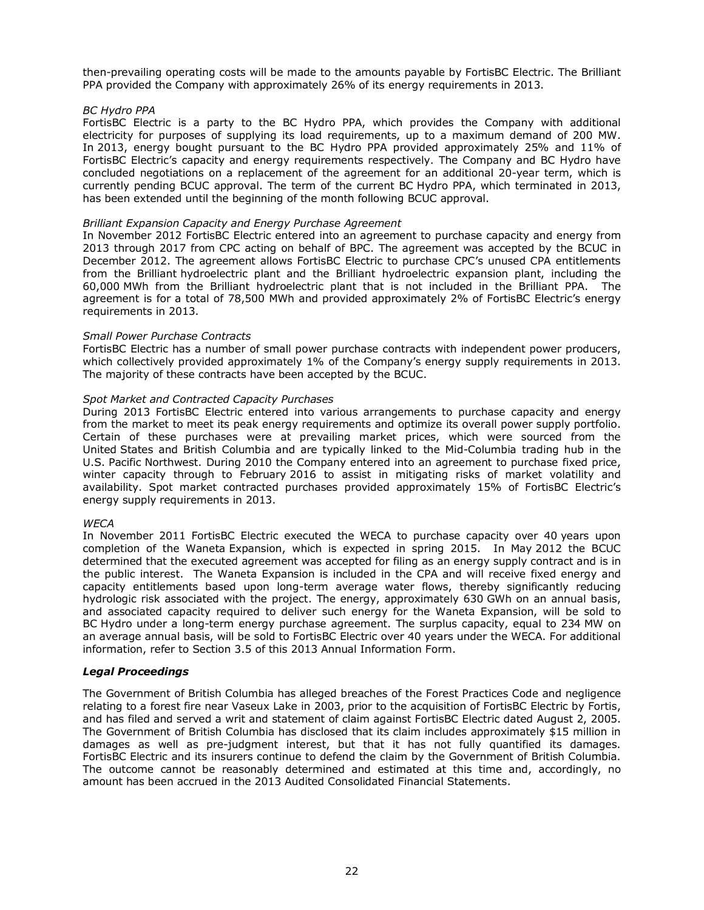then-prevailing operating costs will be made to the amounts payable by FortisBC Electric. The Brilliant PPA provided the Company with approximately 26% of its energy requirements in 2013.

### *BC Hydro PPA*

FortisBC Electric is a party to the BC Hydro PPA, which provides the Company with additional electricity for purposes of supplying its load requirements, up to a maximum demand of 200 MW. In 2013, energy bought pursuant to the BC Hydro PPA provided approximately 25% and 11% of FortisBC Electric's capacity and energy requirements respectively. The Company and BC Hydro have concluded negotiations on a replacement of the agreement for an additional 20-year term, which is currently pending BCUC approval. The term of the current BC Hydro PPA, which terminated in 2013, has been extended until the beginning of the month following BCUC approval.

#### *Brilliant Expansion Capacity and Energy Purchase Agreement*

In November 2012 FortisBC Electric entered into an agreement to purchase capacity and energy from 2013 through 2017 from CPC acting on behalf of BPC. The agreement was accepted by the BCUC in December 2012. The agreement allows FortisBC Electric to purchase CPC's unused CPA entitlements from the Brilliant hydroelectric plant and the Brilliant hydroelectric expansion plant, including the 60,000 MWh from the Brilliant hydroelectric plant that is not included in the Brilliant PPA. The agreement is for a total of 78,500 MWh and provided approximately 2% of FortisBC Electric's energy requirements in 2013.

#### *Small Power Purchase Contracts*

FortisBC Electric has a number of small power purchase contracts with independent power producers, which collectively provided approximately 1% of the Company's energy supply requirements in 2013. The majority of these contracts have been accepted by the BCUC.

#### *Spot Market and Contracted Capacity Purchases*

During 2013 FortisBC Electric entered into various arrangements to purchase capacity and energy from the market to meet its peak energy requirements and optimize its overall power supply portfolio. Certain of these purchases were at prevailing market prices, which were sourced from the United States and British Columbia and are typically linked to the Mid-Columbia trading hub in the U.S. Pacific Northwest. During 2010 the Company entered into an agreement to purchase fixed price, winter capacity through to February 2016 to assist in mitigating risks of market volatility and availability. Spot market contracted purchases provided approximately 15% of FortisBC Electric's energy supply requirements in 2013.

#### *WECA*

In November 2011 FortisBC Electric executed the WECA to purchase capacity over 40 years upon completion of the Waneta Expansion, which is expected in spring 2015. In May 2012 the BCUC determined that the executed agreement was accepted for filing as an energy supply contract and is in the public interest. The Waneta Expansion is included in the CPA and will receive fixed energy and capacity entitlements based upon long-term average water flows, thereby significantly reducing hydrologic risk associated with the project. The energy, approximately 630 GWh on an annual basis, and associated capacity required to deliver such energy for the Waneta Expansion, will be sold to BC Hydro under a long-term energy purchase agreement. The surplus capacity, equal to 234 MW on an average annual basis, will be sold to FortisBC Electric over 40 years under the WECA. For additional information, refer to Section 3.5 of this 2013 Annual Information Form.

#### *Legal Proceedings*

The Government of British Columbia has alleged breaches of the Forest Practices Code and negligence relating to a forest fire near Vaseux Lake in 2003, prior to the acquisition of FortisBC Electric by Fortis, and has filed and served a writ and statement of claim against FortisBC Electric dated August 2, 2005. The Government of British Columbia has disclosed that its claim includes approximately \$15 million in damages as well as pre-judgment interest, but that it has not fully quantified its damages. FortisBC Electric and its insurers continue to defend the claim by the Government of British Columbia. The outcome cannot be reasonably determined and estimated at this time and, accordingly, no amount has been accrued in the 2013 Audited Consolidated Financial Statements.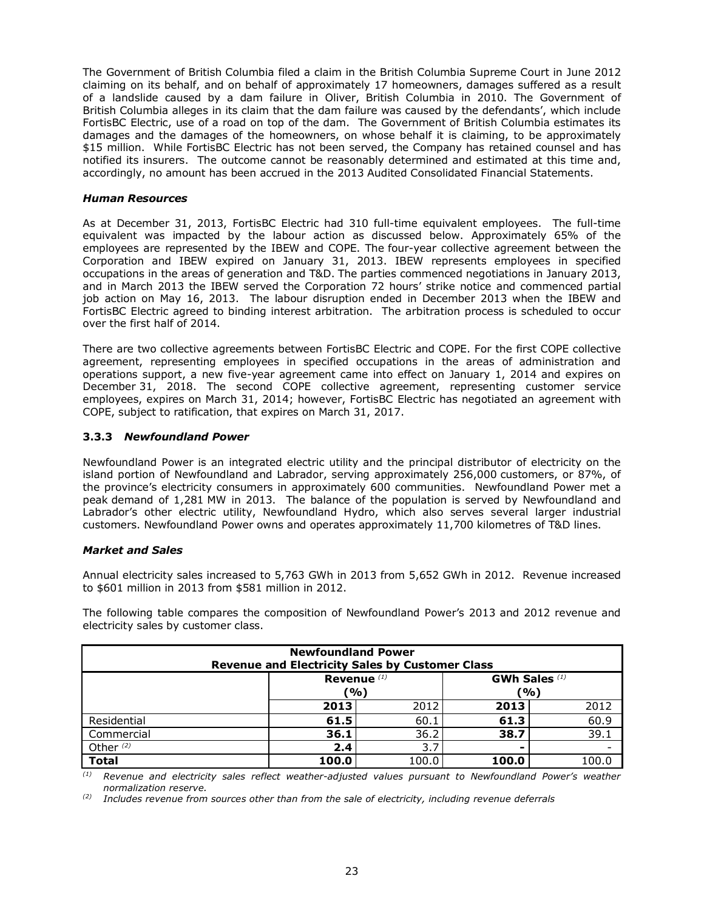The Government of British Columbia filed a claim in the British Columbia Supreme Court in June 2012 claiming on its behalf, and on behalf of approximately 17 homeowners, damages suffered as a result of a landslide caused by a dam failure in Oliver, British Columbia in 2010. The Government of British Columbia alleges in its claim that the dam failure was caused by the defendants', which include FortisBC Electric, use of a road on top of the dam. The Government of British Columbia estimates its damages and the damages of the homeowners, on whose behalf it is claiming, to be approximately \$15 million. While FortisBC Electric has not been served, the Company has retained counsel and has notified its insurers. The outcome cannot be reasonably determined and estimated at this time and, accordingly, no amount has been accrued in the 2013 Audited Consolidated Financial Statements.

#### *Human Resources*

As at December 31, 2013, FortisBC Electric had 310 full-time equivalent employees. The full-time equivalent was impacted by the labour action as discussed below. Approximately 65% of the employees are represented by the IBEW and COPE. The four-year collective agreement between the Corporation and IBEW expired on January 31, 2013. IBEW represents employees in specified occupations in the areas of generation and T&D. The parties commenced negotiations in January 2013, and in March 2013 the IBEW served the Corporation 72 hours' strike notice and commenced partial job action on May 16, 2013. The labour disruption ended in December 2013 when the IBEW and FortisBC Electric agreed to binding interest arbitration. The arbitration process is scheduled to occur over the first half of 2014.

There are two collective agreements between FortisBC Electric and COPE. For the first COPE collective agreement, representing employees in specified occupations in the areas of administration and operations support, a new five-year agreement came into effect on January 1, 2014 and expires on December 31, 2018. The second COPE collective agreement, representing customer service employees, expires on March 31, 2014; however, FortisBC Electric has negotiated an agreement with COPE, subject to ratification, that expires on March 31, 2017.

#### **3.3.3** *Newfoundland Power*

Newfoundland Power is an integrated electric utility and the principal distributor of electricity on the island portion of Newfoundland and Labrador, serving approximately 256,000 customers, or 87%, of the province's electricity consumers in approximately 600 communities. Newfoundland Power met a peak demand of 1,281 MW in 2013. The balance of the population is served by Newfoundland and Labrador's other electric utility, Newfoundland Hydro, which also serves several larger industrial customers. Newfoundland Power owns and operates approximately 11,700 kilometres of T&D lines.

## *Market and Sales*

Annual electricity sales increased to 5,763 GWh in 2013 from 5,652 GWh in 2012. Revenue increased to \$601 million in 2013 from \$581 million in 2012.

The following table compares the composition of Newfoundland Power's 2013 and 2012 revenue and electricity sales by customer class.

| <b>Newfoundland Power</b><br><b>Revenue and Electricity Sales by Customer Class</b> |                                  |      |      |      |  |  |  |
|-------------------------------------------------------------------------------------|----------------------------------|------|------|------|--|--|--|
| GWh Sales <sup>(1)</sup><br>Revenue $(1)$<br>(%)<br>(%)                             |                                  |      |      |      |  |  |  |
|                                                                                     | 2013                             | 2012 | 2013 | 2012 |  |  |  |
| Residential                                                                         | 61.5                             | 60.1 | 61.3 | 60.9 |  |  |  |
| Commercial                                                                          | 36.1                             | 36.2 | 38.7 | 39.1 |  |  |  |
| Other $(2)$                                                                         | 2.4                              | 3.7  | -    |      |  |  |  |
| Total                                                                               | 100.0<br>100.0<br>100.0<br>100.0 |      |      |      |  |  |  |

*(1) Revenue and electricity sales reflect weather-adjusted values pursuant to Newfoundland Power's weather normalization reserve.* 

*(2) Includes revenue from sources other than from the sale of electricity, including revenue deferrals*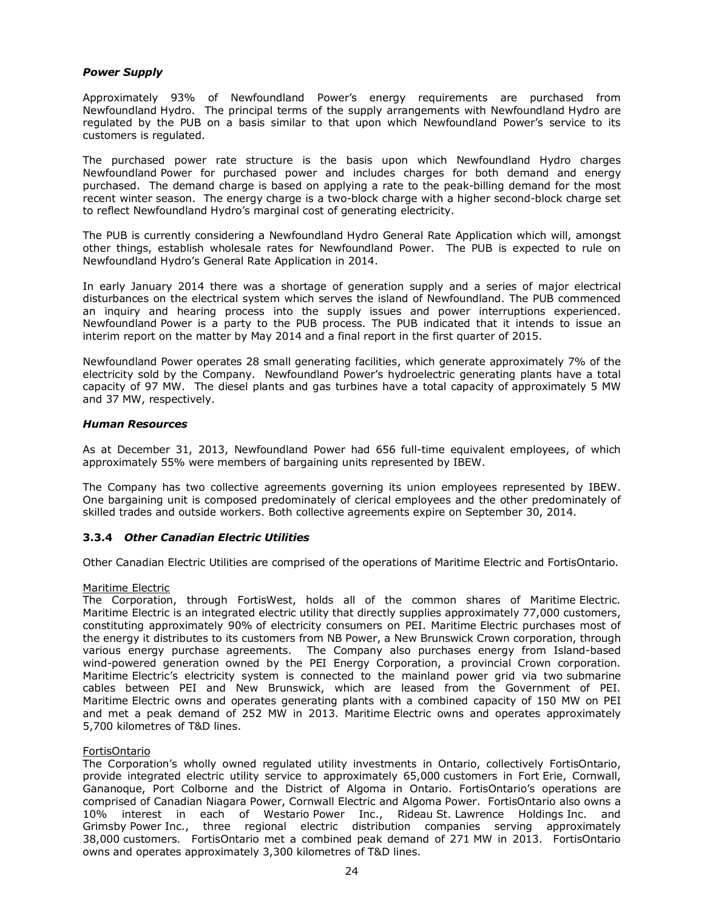## *Power Supply*

Approximately 93% of Newfoundland Power's energy requirements are purchased from Newfoundland Hydro. The principal terms of the supply arrangements with Newfoundland Hydro are regulated by the PUB on a basis similar to that upon which Newfoundland Power's service to its customers is regulated.

The purchased power rate structure is the basis upon which Newfoundland Hydro charges Newfoundland Power for purchased power and includes charges for both demand and energy purchased. The demand charge is based on applying a rate to the peak-billing demand for the most recent winter season. The energy charge is a two-block charge with a higher second-block charge set to reflect Newfoundland Hydro's marginal cost of generating electricity.

The PUB is currently considering a Newfoundland Hydro General Rate Application which will, amongst other things, establish wholesale rates for Newfoundland Power. The PUB is expected to rule on Newfoundland Hydro's General Rate Application in 2014.

In early January 2014 there was a shortage of generation supply and a series of major electrical disturbances on the electrical system which serves the island of Newfoundland. The PUB commenced an inquiry and hearing process into the supply issues and power interruptions experienced. Newfoundland Power is a party to the PUB process. The PUB indicated that it intends to issue an interim report on the matter by May 2014 and a final report in the first quarter of 2015.

Newfoundland Power operates 28 small generating facilities, which generate approximately 7% of the electricity sold by the Company. Newfoundland Power's hydroelectric generating plants have a total capacity of 97 MW. The diesel plants and gas turbines have a total capacity of approximately 5 MW and 37 MW, respectively.

#### *Human Resources*

As at December 31, 2013, Newfoundland Power had 656 full-time equivalent employees, of which approximately 55% were members of bargaining units represented by IBEW.

The Company has two collective agreements governing its union employees represented by IBEW. One bargaining unit is composed predominately of clerical employees and the other predominately of skilled trades and outside workers. Both collective agreements expire on September 30, 2014.

## **3.3.4** *Other Canadian Electric Utilities*

Other Canadian Electric Utilities are comprised of the operations of Maritime Electric and FortisOntario.

#### Maritime Electric

The Corporation, through FortisWest, holds all of the common shares of Maritime Electric. Maritime Electric is an integrated electric utility that directly supplies approximately 77,000 customers, constituting approximately 90% of electricity consumers on PEI. Maritime Electric purchases most of the energy it distributes to its customers from NB Power, a New Brunswick Crown corporation, through various energy purchase agreements. The Company also purchases energy from Island-based wind-powered generation owned by the PEI Energy Corporation, a provincial Crown corporation. Maritime Electric's electricity system is connected to the mainland power grid via two submarine cables between PEI and New Brunswick, which are leased from the Government of PEI. Maritime Electric owns and operates generating plants with a combined capacity of 150 MW on PEI and met a peak demand of 252 MW in 2013. Maritime Electric owns and operates approximately 5,700 kilometres of T&D lines.

#### FortisOntario

The Corporation's wholly owned regulated utility investments in Ontario, collectively FortisOntario, provide integrated electric utility service to approximately 65,000 customers in Fort Erie, Cornwall, Gananoque, Port Colborne and the District of Algoma in Ontario. FortisOntario's operations are comprised of Canadian Niagara Power, Cornwall Electric and Algoma Power. FortisOntario also owns a 10% interest in each of Westario Power Inc., Rideau St. Lawrence Holdings Inc. and Grimsby Power Inc., three regional electric distribution companies serving approximately 38,000 customers. FortisOntario met a combined peak demand of 271 MW in 2013. FortisOntario owns and operates approximately 3,300 kilometres of T&D lines.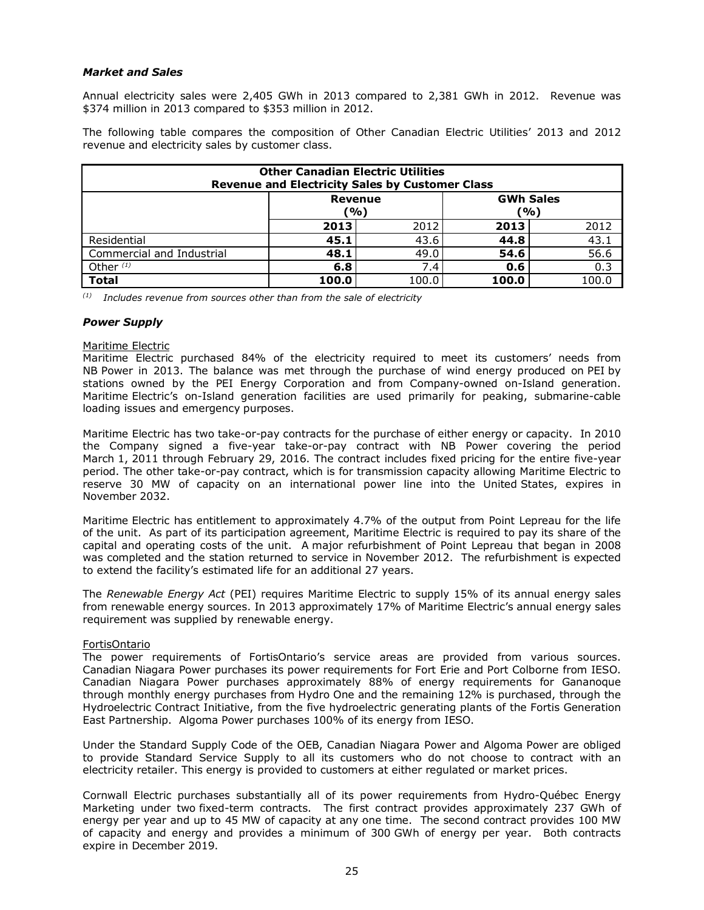## *Market and Sales*

Annual electricity sales were 2,405 GWh in 2013 compared to 2,381 GWh in 2012. Revenue was \$374 million in 2013 compared to \$353 million in 2012.

The following table compares the composition of Other Canadian Electric Utilities' 2013 and 2012 revenue and electricity sales by customer class.

| <b>Other Canadian Electric Utilities</b><br><b>Revenue and Electricity Sales by Customer Class</b> |                                  |      |      |      |  |  |  |  |
|----------------------------------------------------------------------------------------------------|----------------------------------|------|------|------|--|--|--|--|
| <b>GWh Sales</b><br><b>Revenue</b><br>(%)<br>(%)                                                   |                                  |      |      |      |  |  |  |  |
| 2012<br>2012<br>2013<br>2013                                                                       |                                  |      |      |      |  |  |  |  |
| Residential                                                                                        | 45.1                             | 43.6 | 44.8 | 43.1 |  |  |  |  |
| Commercial and Industrial                                                                          | 48.1                             | 49.0 | 54.6 | 56.6 |  |  |  |  |
| Other $(1)$                                                                                        | 6.8                              | 7.4  | 0.6  | 0.3  |  |  |  |  |
| Total                                                                                              | 100.0<br>100.0<br>100.0<br>100.0 |      |      |      |  |  |  |  |

*(1) Includes revenue from sources other than from the sale of electricity*

#### *Power Supply*

#### Maritime Electric

Maritime Electric purchased 84% of the electricity required to meet its customers' needs from NB Power in 2013. The balance was met through the purchase of wind energy produced on PEI by stations owned by the PEI Energy Corporation and from Company-owned on-Island generation. Maritime Electric's on-Island generation facilities are used primarily for peaking, submarine-cable loading issues and emergency purposes.

Maritime Electric has two take-or-pay contracts for the purchase of either energy or capacity. In 2010 the Company signed a five-year take-or-pay contract with NB Power covering the period March 1, 2011 through February 29, 2016. The contract includes fixed pricing for the entire five-year period. The other take-or-pay contract, which is for transmission capacity allowing Maritime Electric to reserve 30 MW of capacity on an international power line into the United States, expires in November 2032.

Maritime Electric has entitlement to approximately 4.7% of the output from Point Lepreau for the life of the unit. As part of its participation agreement, Maritime Electric is required to pay its share of the capital and operating costs of the unit. A major refurbishment of Point Lepreau that began in 2008 was completed and the station returned to service in November 2012. The refurbishment is expected to extend the facility's estimated life for an additional 27 years.

The *Renewable Energy Act* (PEI) requires Maritime Electric to supply 15% of its annual energy sales from renewable energy sources. In 2013 approximately 17% of Maritime Electric's annual energy sales requirement was supplied by renewable energy.

## FortisOntario

The power requirements of FortisOntario's service areas are provided from various sources. Canadian Niagara Power purchases its power requirements for Fort Erie and Port Colborne from IESO. Canadian Niagara Power purchases approximately 88% of energy requirements for Gananoque through monthly energy purchases from Hydro One and the remaining 12% is purchased, through the Hydroelectric Contract Initiative, from the five hydroelectric generating plants of the Fortis Generation East Partnership. Algoma Power purchases 100% of its energy from IESO.

Under the Standard Supply Code of the OEB, Canadian Niagara Power and Algoma Power are obliged to provide Standard Service Supply to all its customers who do not choose to contract with an electricity retailer. This energy is provided to customers at either regulated or market prices.

Cornwall Electric purchases substantially all of its power requirements from Hydro-Québec Energy Marketing under two fixed-term contracts. The first contract provides approximately 237 GWh of energy per year and up to 45 MW of capacity at any one time. The second contract provides 100 MW of capacity and energy and provides a minimum of 300 GWh of energy per year. Both contracts expire in December 2019.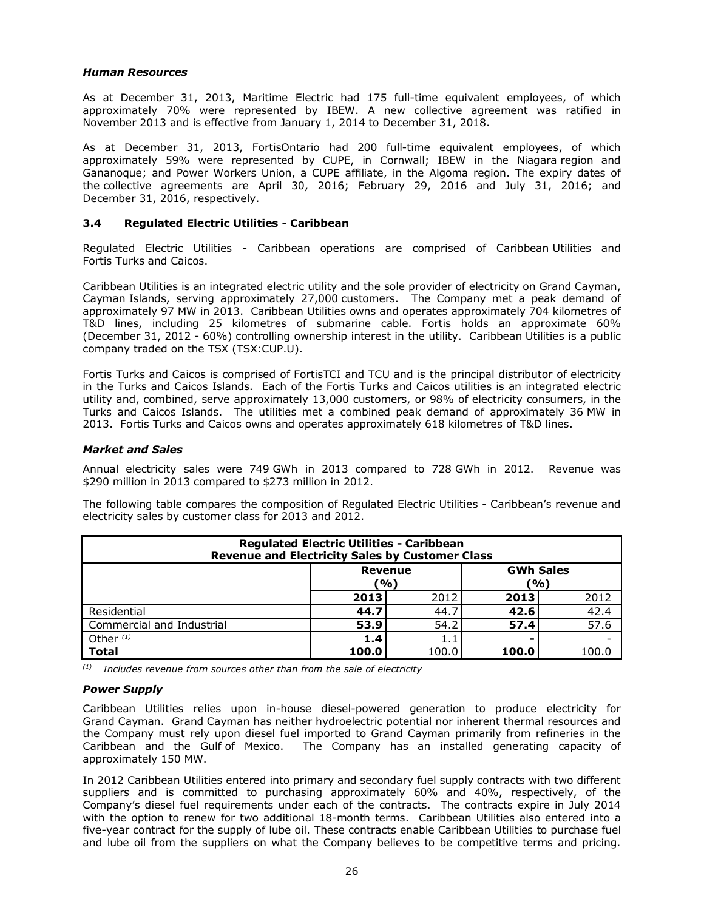### *Human Resources*

As at December 31, 2013, Maritime Electric had 175 full-time equivalent employees, of which approximately 70% were represented by IBEW. A new collective agreement was ratified in November 2013 and is effective from January 1, 2014 to December 31, 2018.

As at December 31, 2013, FortisOntario had 200 full-time equivalent employees, of which approximately 59% were represented by CUPE, in Cornwall; IBEW in the Niagara region and Gananoque; and Power Workers Union, a CUPE affiliate, in the Algoma region. The expiry dates of the collective agreements are April 30, 2016; February 29, 2016 and July 31, 2016; and December 31, 2016, respectively.

## **3.4 Regulated Electric Utilities - Caribbean**

Regulated Electric Utilities - Caribbean operations are comprised of Caribbean Utilities and Fortis Turks and Caicos.

Caribbean Utilities is an integrated electric utility and the sole provider of electricity on Grand Cayman, Cayman Islands, serving approximately 27,000 customers. The Company met a peak demand of approximately 97 MW in 2013. Caribbean Utilities owns and operates approximately 704 kilometres of T&D lines, including 25 kilometres of submarine cable. Fortis holds an approximate 60% (December 31, 2012 - 60%) controlling ownership interest in the utility. Caribbean Utilities is a public company traded on the TSX (TSX:CUP.U).

Fortis Turks and Caicos is comprised of FortisTCI and TCU and is the principal distributor of electricity in the Turks and Caicos Islands. Each of the Fortis Turks and Caicos utilities is an integrated electric utility and, combined, serve approximately 13,000 customers, or 98% of electricity consumers, in the Turks and Caicos Islands. The utilities met a combined peak demand of approximately 36 MW in 2013. Fortis Turks and Caicos owns and operates approximately 618 kilometres of T&D lines.

#### *Market and Sales*

Annual electricity sales were 749 GWh in 2013 compared to 728 GWh in 2012. Revenue was \$290 million in 2013 compared to \$273 million in 2012.

The following table compares the composition of Regulated Electric Utilities - Caribbean's revenue and electricity sales by customer class for 2013 and 2012.

| <b>Regulated Electric Utilities - Caribbean</b><br><b>Revenue and Electricity Sales by Customer Class</b> |                                    |      |      |      |  |  |
|-----------------------------------------------------------------------------------------------------------|------------------------------------|------|------|------|--|--|
|                                                                                                           | <b>GWh Sales</b><br><b>Revenue</b> |      |      |      |  |  |
| (%)<br>(%)                                                                                                |                                    |      |      |      |  |  |
| 2012<br>2012<br>2013<br>2013                                                                              |                                    |      |      |      |  |  |
| Residential                                                                                               | 44.7                               | 44.7 | 42.6 | 42.4 |  |  |
| Commercial and Industrial                                                                                 | 53.9                               | 54.2 | 57.4 | 57.6 |  |  |
| Other $(1)$<br>1.4<br>1.1<br>-                                                                            |                                    |      |      |      |  |  |
| <b>Total</b><br>100.0<br>100.0<br>100.0<br>100.0                                                          |                                    |      |      |      |  |  |

*(1) Includes revenue from sources other than from the sale of electricity* 

#### *Power Supply*

Caribbean Utilities relies upon in-house diesel-powered generation to produce electricity for Grand Cayman. Grand Cayman has neither hydroelectric potential nor inherent thermal resources and the Company must rely upon diesel fuel imported to Grand Cayman primarily from refineries in the Caribbean and the Gulf of Mexico. The Company has an installed generating capacity of approximately 150 MW.

In 2012 Caribbean Utilities entered into primary and secondary fuel supply contracts with two different suppliers and is committed to purchasing approximately 60% and 40%, respectively, of the Company's diesel fuel requirements under each of the contracts. The contracts expire in July 2014 with the option to renew for two additional 18-month terms. Caribbean Utilities also entered into a five-year contract for the supply of lube oil. These contracts enable Caribbean Utilities to purchase fuel and lube oil from the suppliers on what the Company believes to be competitive terms and pricing.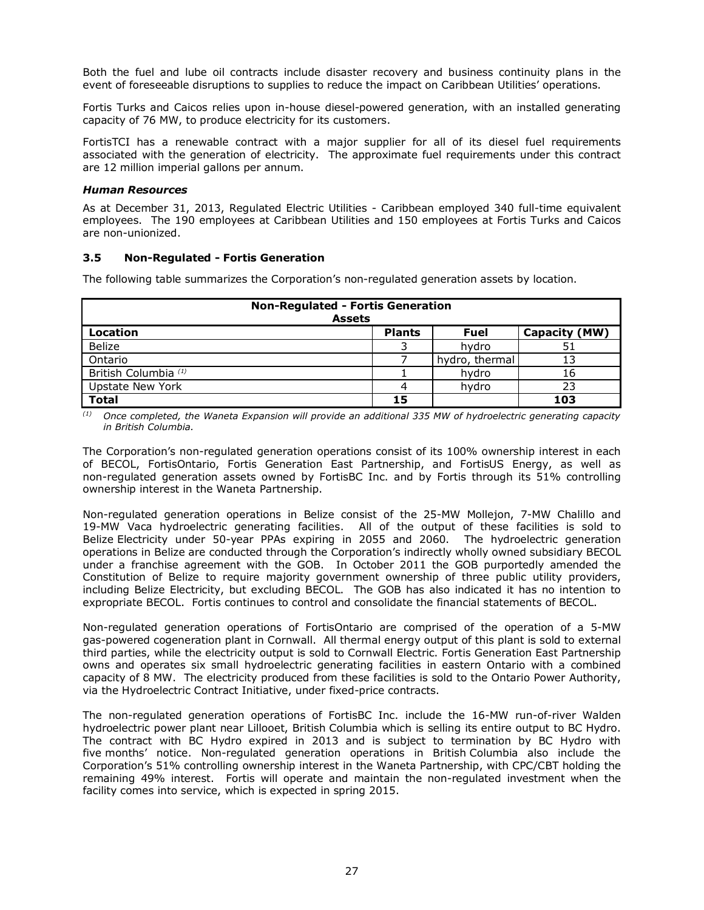Both the fuel and lube oil contracts include disaster recovery and business continuity plans in the event of foreseeable disruptions to supplies to reduce the impact on Caribbean Utilities' operations.

Fortis Turks and Caicos relies upon in-house diesel-powered generation, with an installed generating capacity of 76 MW, to produce electricity for its customers.

FortisTCI has a renewable contract with a major supplier for all of its diesel fuel requirements associated with the generation of electricity. The approximate fuel requirements under this contract are 12 million imperial gallons per annum.

#### *Human Resources*

As at December 31, 2013, Regulated Electric Utilities - Caribbean employed 340 full-time equivalent employees. The 190 employees at Caribbean Utilities and 150 employees at Fortis Turks and Caicos are non-unionized.

#### **3.5 Non-Regulated - Fortis Generation**

The following table summarizes the Corporation's non-regulated generation assets by location.

| <b>Non-Regulated - Fortis Generation</b><br><b>Assets</b> |               |                |               |
|-----------------------------------------------------------|---------------|----------------|---------------|
| <b>Location</b>                                           | <b>Plants</b> | Fuel           | Capacity (MW) |
| Belize                                                    |               | hydro          | 51            |
| Ontario                                                   |               | hydro, thermal | 13            |
| British Columbia <sup>(1)</sup>                           |               | hydro          | 16            |
| Upstate New York                                          | 4             | hydro          | 23            |
| <b>Total</b>                                              | 15            |                | 103           |

*(1) Once completed, the Waneta Expansion will provide an additional 335 MW of hydroelectric generating capacity in British Columbia.*

The Corporation's non-regulated generation operations consist of its 100% ownership interest in each of BECOL, FortisOntario, Fortis Generation East Partnership, and FortisUS Energy, as well as non-regulated generation assets owned by FortisBC Inc. and by Fortis through its 51% controlling ownership interest in the Waneta Partnership.

Non-regulated generation operations in Belize consist of the 25-MW Mollejon, 7-MW Chalillo and 19-MW Vaca hydroelectric generating facilities. All of the output of these facilities is sold to Belize Electricity under 50-year PPAs expiring in 2055 and 2060. The hydroelectric generation operations in Belize are conducted through the Corporation's indirectly wholly owned subsidiary BECOL under a franchise agreement with the GOB. In October 2011 the GOB purportedly amended the Constitution of Belize to require majority government ownership of three public utility providers, including Belize Electricity, but excluding BECOL. The GOB has also indicated it has no intention to expropriate BECOL. Fortis continues to control and consolidate the financial statements of BECOL.

Non-regulated generation operations of FortisOntario are comprised of the operation of a 5-MW gas-powered cogeneration plant in Cornwall. All thermal energy output of this plant is sold to external third parties, while the electricity output is sold to Cornwall Electric. Fortis Generation East Partnership owns and operates six small hydroelectric generating facilities in eastern Ontario with a combined capacity of 8 MW. The electricity produced from these facilities is sold to the Ontario Power Authority, via the Hydroelectric Contract Initiative, under fixed-price contracts.

The non-regulated generation operations of FortisBC Inc. include the 16-MW run-of-river Walden hydroelectric power plant near Lillooet, British Columbia which is selling its entire output to BC Hydro. The contract with BC Hydro expired in 2013 and is subject to termination by BC Hydro with five months' notice. Non-regulated generation operations in British Columbia also include the Corporation's 51% controlling ownership interest in the Waneta Partnership, with CPC/CBT holding the remaining 49% interest. Fortis will operate and maintain the non-regulated investment when the facility comes into service, which is expected in spring 2015.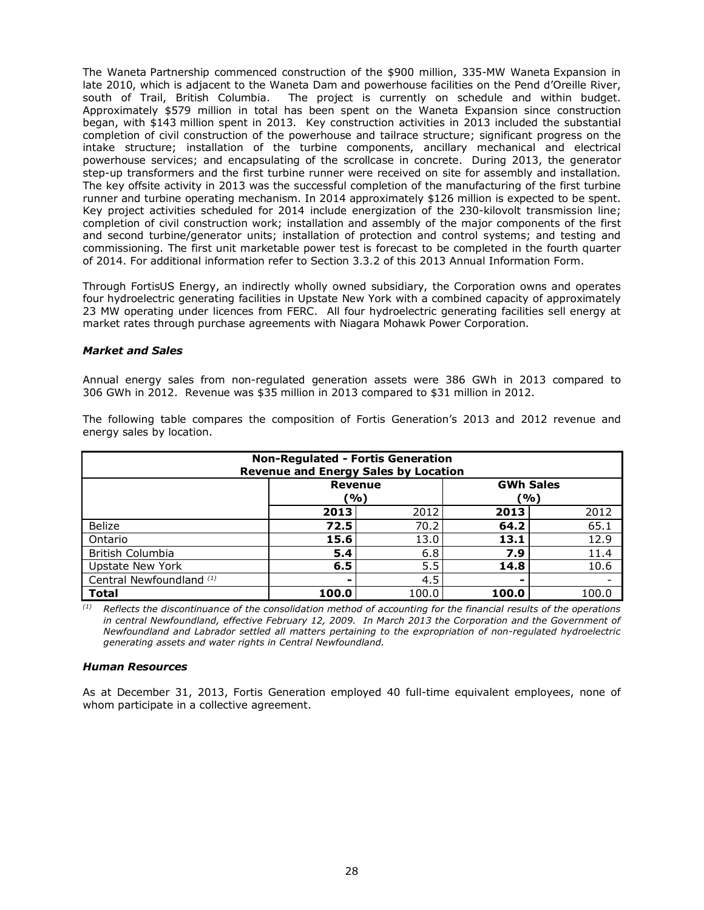The Waneta Partnership commenced construction of the \$900 million, 335-MW Waneta Expansion in late 2010, which is adjacent to the Waneta Dam and powerhouse facilities on the Pend d'Oreille River, south of Trail, British Columbia. The project is currently on schedule and within budget. Approximately \$579 million in total has been spent on the Waneta Expansion since construction began, with \$143 million spent in 2013. Key construction activities in 2013 included the substantial completion of civil construction of the powerhouse and tailrace structure; significant progress on the intake structure; installation of the turbine components, ancillary mechanical and electrical powerhouse services; and encapsulating of the scrollcase in concrete. During 2013, the generator step-up transformers and the first turbine runner were received on site for assembly and installation. The key offsite activity in 2013 was the successful completion of the manufacturing of the first turbine runner and turbine operating mechanism. In 2014 approximately \$126 million is expected to be spent. Key project activities scheduled for 2014 include energization of the 230-kilovolt transmission line; completion of civil construction work; installation and assembly of the major components of the first and second turbine/generator units; installation of protection and control systems; and testing and commissioning. The first unit marketable power test is forecast to be completed in the fourth quarter of 2014. For additional information refer to Section 3.3.2 of this 2013 Annual Information Form.

Through FortisUS Energy, an indirectly wholly owned subsidiary, the Corporation owns and operates four hydroelectric generating facilities in Upstate New York with a combined capacity of approximately 23 MW operating under licences from FERC. All four hydroelectric generating facilities sell energy at market rates through purchase agreements with Niagara Mohawk Power Corporation.

#### *Market and Sales*

Annual energy sales from non-regulated generation assets were 386 GWh in 2013 compared to 306 GWh in 2012. Revenue was \$35 million in 2013 compared to \$31 million in 2012.

| <b>Non-Regulated - Fortis Generation</b><br><b>Revenue and Energy Sales by Location</b> |       |                       |                         |       |  |
|-----------------------------------------------------------------------------------------|-------|-----------------------|-------------------------|-------|--|
|                                                                                         |       | <b>Revenue</b><br>(%) | <b>GWh Sales</b><br>(%) |       |  |
|                                                                                         | 2013  | 2012                  | 2013                    | 2012  |  |
| <b>Belize</b>                                                                           | 72.5  | 70.2                  | 64.2                    | 65.1  |  |
| Ontario                                                                                 | 15.6  | 13.0                  | 13.1                    | 12.9  |  |
| British Columbia                                                                        | 5.4   | 6.8                   | 7.9                     | 11.4  |  |
| Upstate New York                                                                        | 6.5   | 5.5                   | 14.8                    | 10.6  |  |
| Central Newfoundland <sup>(1)</sup>                                                     |       | 4.5                   |                         |       |  |
| <b>Total</b>                                                                            | 100.0 | 100.0                 | 100.0                   | 100.0 |  |

The following table compares the composition of Fortis Generation's 2013 and 2012 revenue and energy sales by location.

*(1) Reflects the discontinuance of the consolidation method of accounting for the financial results of the operations in central Newfoundland, effective February 12, 2009. In March 2013 the Corporation and the Government of Newfoundland and Labrador settled all matters pertaining to the expropriation of non-regulated hydroelectric generating assets and water rights in Central Newfoundland.* 

#### *Human Resources*

As at December 31, 2013, Fortis Generation employed 40 full-time equivalent employees, none of whom participate in a collective agreement.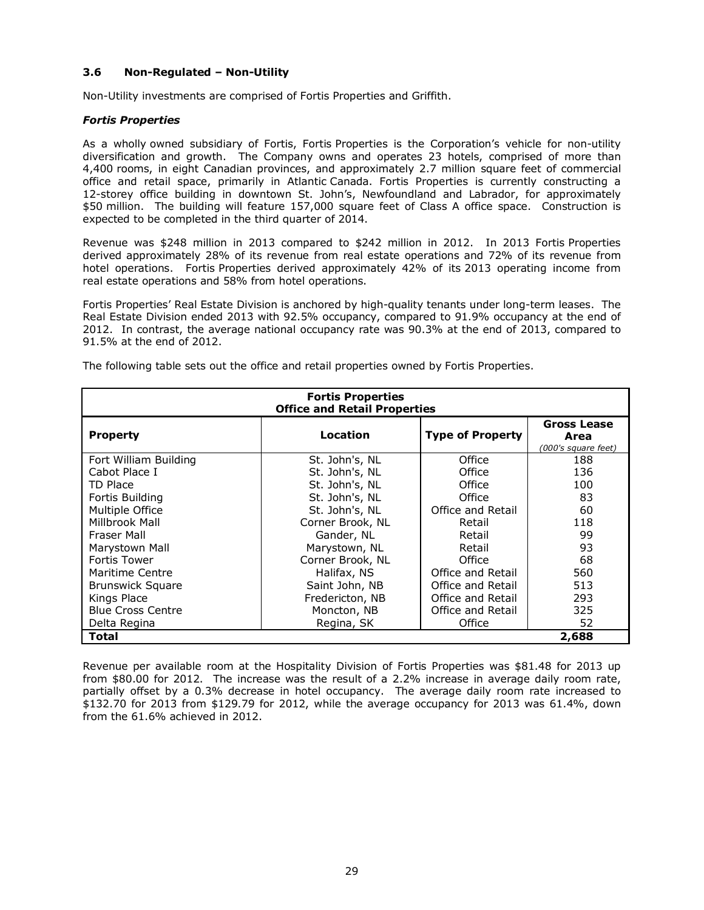## **3.6 Non-Regulated – Non-Utility**

Non-Utility investments are comprised of Fortis Properties and Griffith.

## *Fortis Properties*

As a wholly owned subsidiary of Fortis, Fortis Properties is the Corporation's vehicle for non-utility diversification and growth. The Company owns and operates 23 hotels, comprised of more than 4,400 rooms, in eight Canadian provinces, and approximately 2.7 million square feet of commercial office and retail space, primarily in Atlantic Canada. Fortis Properties is currently constructing a 12-storey office building in downtown St. John's, Newfoundland and Labrador, for approximately \$50 million. The building will feature 157,000 square feet of Class A office space. Construction is expected to be completed in the third quarter of 2014.

Revenue was \$248 million in 2013 compared to \$242 million in 2012. In 2013 Fortis Properties derived approximately 28% of its revenue from real estate operations and 72% of its revenue from hotel operations. Fortis Properties derived approximately 42% of its 2013 operating income from real estate operations and 58% from hotel operations.

Fortis Properties' Real Estate Division is anchored by high-quality tenants under long-term leases. The Real Estate Division ended 2013 with 92.5% occupancy, compared to 91.9% occupancy at the end of 2012. In contrast, the average national occupancy rate was 90.3% at the end of 2013, compared to 91.5% at the end of 2012.

| <b>Fortis Properties</b><br><b>Office and Retail Properties</b> |                  |                         |                                            |  |
|-----------------------------------------------------------------|------------------|-------------------------|--------------------------------------------|--|
| <b>Property</b>                                                 | Location         | <b>Type of Property</b> | Gross Lease<br>Area<br>(000's square feet) |  |
| Fort William Building                                           | St. John's, NL   | Office                  | 188                                        |  |
| Cabot Place I                                                   | St. John's, NL   | Office                  | 136                                        |  |
| TD Place                                                        | St. John's, NL   | Office                  | 100                                        |  |
| Fortis Building                                                 | St. John's, NL   | Office                  | 83                                         |  |
| Multiple Office                                                 | St. John's, NL   | Office and Retail       | 60                                         |  |
| Millbrook Mall                                                  | Corner Brook, NL | Retail                  | 118                                        |  |
| Fraser Mall                                                     | Gander, NL       | Retail                  | 99                                         |  |
| Marystown Mall                                                  | Marystown, NL    | Retail                  | 93                                         |  |
| <b>Fortis Tower</b>                                             | Corner Brook, NL | Office                  | 68                                         |  |
| Maritime Centre                                                 | Halifax, NS      | Office and Retail       | 560                                        |  |
| <b>Brunswick Square</b>                                         | Saint John, NB   | Office and Retail       | 513                                        |  |
| Kings Place                                                     | Fredericton, NB  | Office and Retail       | 293                                        |  |
| <b>Blue Cross Centre</b>                                        | Moncton, NB      | Office and Retail       | 325                                        |  |
| Delta Regina                                                    | Regina, SK       | Office                  | 52                                         |  |
| Total                                                           |                  |                         | 2,688                                      |  |

The following table sets out the office and retail properties owned by Fortis Properties.

Revenue per available room at the Hospitality Division of Fortis Properties was \$81.48 for 2013 up from \$80.00 for 2012. The increase was the result of a 2.2% increase in average daily room rate, partially offset by a 0.3% decrease in hotel occupancy. The average daily room rate increased to \$132.70 for 2013 from \$129.79 for 2012, while the average occupancy for 2013 was 61.4%, down from the 61.6% achieved in 2012.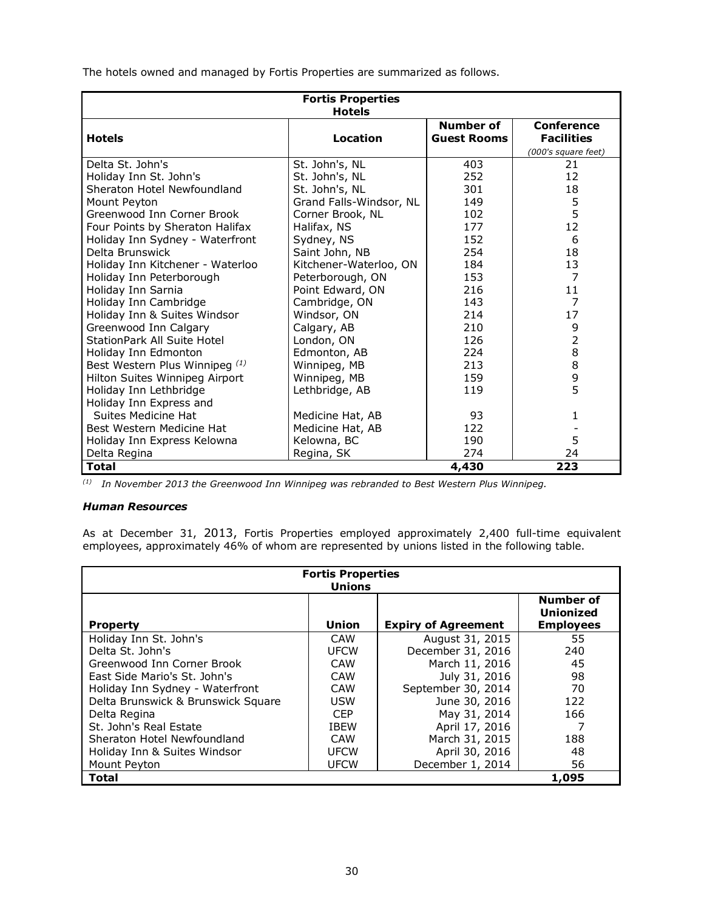| <b>Fortis Properties</b><br><b>Hotels</b> |                         |                                 |                                 |  |
|-------------------------------------------|-------------------------|---------------------------------|---------------------------------|--|
| <b>Hotels</b>                             | Location                | Number of<br><b>Guest Rooms</b> | Conference<br><b>Facilities</b> |  |
| Delta St. John's                          | St. John's, NL          | 403                             | (000's square feet)<br>21       |  |
| Holiday Inn St. John's                    | St. John's, NL          | 252                             | 12                              |  |
| Sheraton Hotel Newfoundland               | St. John's, NL          | 301                             | 18                              |  |
| Mount Peyton                              | Grand Falls-Windsor, NL | 149                             | 5                               |  |
| Greenwood Inn Corner Brook                | Corner Brook, NL        | 102                             | 5                               |  |
| Four Points by Sheraton Halifax           | Halifax, NS             | 177                             | 12                              |  |
| Holiday Inn Sydney - Waterfront           | Sydney, NS              | 152                             | 6                               |  |
| Delta Brunswick                           | Saint John, NB          | 254                             | 18                              |  |
| Holiday Inn Kitchener - Waterloo          | Kitchener-Waterloo, ON  | 184                             | 13                              |  |
| Holiday Inn Peterborough                  | Peterborough, ON        | 153                             | 7                               |  |
| Holiday Inn Sarnia                        | Point Edward, ON        | 216                             | 11                              |  |
| Holiday Inn Cambridge                     | Cambridge, ON           | 143                             | 7                               |  |
| Holiday Inn & Suites Windsor              | Windsor, ON             | 214                             | 17                              |  |
| Greenwood Inn Calgary                     | Calgary, AB             | 210                             | 9                               |  |
| StationPark All Suite Hotel               | London, ON              | 126                             | $\overline{2}$                  |  |
| Holiday Inn Edmonton                      | Edmonton, AB            | 224                             | 8                               |  |
| Best Western Plus Winnipeg (1)            | Winnipeg, MB            | 213                             | 8                               |  |
| Hilton Suites Winnipeg Airport            | Winnipeg, MB            | 159                             | 9                               |  |
| Holiday Inn Lethbridge                    | Lethbridge, AB          | 119                             | 5                               |  |
| Holiday Inn Express and                   |                         |                                 |                                 |  |
| Suites Medicine Hat                       | Medicine Hat, AB        | 93                              | 1                               |  |
| Best Western Medicine Hat                 | Medicine Hat, AB        | 122                             |                                 |  |
| Holiday Inn Express Kelowna               | Kelowna, BC             | 190                             | 5                               |  |
| Delta Regina                              | Regina, SK              | 274                             | 24                              |  |
| <b>Total</b>                              |                         | 4,430                           | 223                             |  |

The hotels owned and managed by Fortis Properties are summarized as follows.

*(1) In November 2013 the Greenwood Inn Winnipeg was rebranded to Best Western Plus Winnipeg.* 

## *Human Resources*

As at December 31, 2013, Fortis Properties employed approximately 2,400 full-time equivalent employees, approximately 46% of whom are represented by unions listed in the following table.

| <b>Fortis Properties</b><br><b>Unions</b> |              |                            |                                                   |  |
|-------------------------------------------|--------------|----------------------------|---------------------------------------------------|--|
| <b>Property</b>                           | <b>Union</b> | <b>Expiry of Agreement</b> | Number of<br><b>Unionized</b><br><b>Employees</b> |  |
| Holiday Inn St. John's                    | CAW          | August 31, 2015            | 55                                                |  |
| Delta St. John's                          | <b>UFCW</b>  | December 31, 2016          | 240                                               |  |
| Greenwood Inn Corner Brook                | <b>CAW</b>   | March 11, 2016             | 45                                                |  |
| East Side Mario's St. John's              | CAW          | July 31, 2016              | 98                                                |  |
| Holiday Inn Sydney - Waterfront           | <b>CAW</b>   | September 30, 2014         | 70                                                |  |
| Delta Brunswick & Brunswick Square        | <b>USW</b>   | June 30, 2016              | 122                                               |  |
| Delta Regina                              | <b>CFP</b>   | May 31, 2014               | 166                                               |  |
| St. John's Real Estate                    | <b>IBEW</b>  | April 17, 2016             |                                                   |  |
| Sheraton Hotel Newfoundland               | <b>CAW</b>   | March 31, 2015             | 188                                               |  |
| Holiday Inn & Suites Windsor              | <b>UFCW</b>  | April 30, 2016             | 48                                                |  |
| Mount Peyton                              | <b>UFCW</b>  | December 1, 2014           | 56                                                |  |
| Total                                     |              |                            | 1,095                                             |  |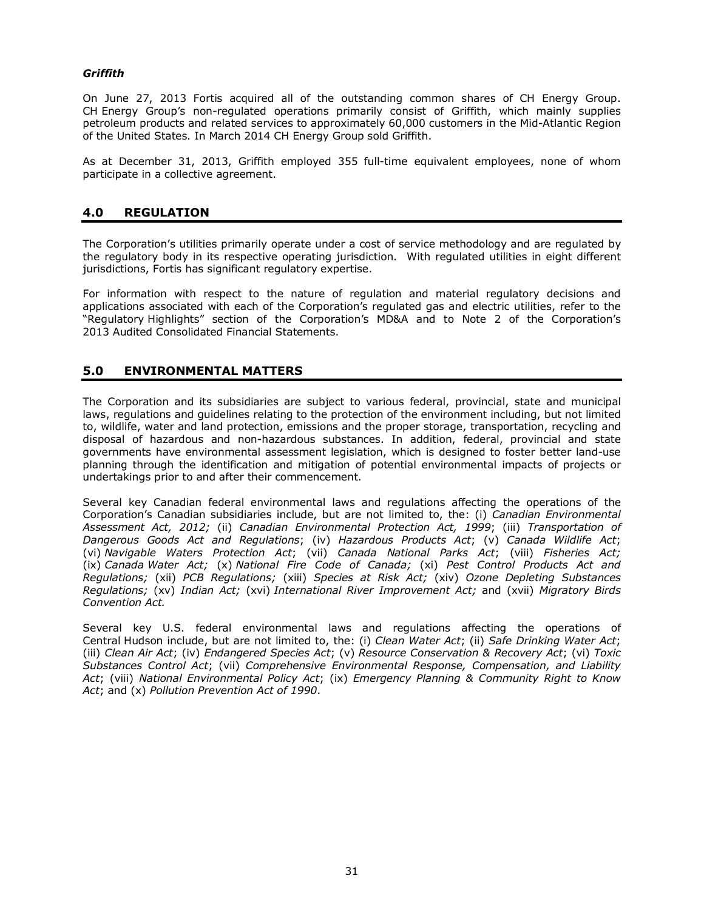## *Griffith*

On June 27, 2013 Fortis acquired all of the outstanding common shares of CH Energy Group. CH Energy Group's non-regulated operations primarily consist of Griffith, which mainly supplies petroleum products and related services to approximately 60,000 customers in the Mid-Atlantic Region of the United States. In March 2014 CH Energy Group sold Griffith.

As at December 31, 2013, Griffith employed 355 full-time equivalent employees, none of whom participate in a collective agreement.

## **4.0 REGULATION**

The Corporation's utilities primarily operate under a cost of service methodology and are regulated by the regulatory body in its respective operating jurisdiction. With regulated utilities in eight different jurisdictions, Fortis has significant regulatory expertise.

For information with respect to the nature of regulation and material regulatory decisions and applications associated with each of the Corporation's regulated gas and electric utilities, refer to the "Regulatory Highlights" section of the Corporation's MD&A and to Note 2 of the Corporation's 2013 Audited Consolidated Financial Statements.

## **5.0 ENVIRONMENTAL MATTERS**

The Corporation and its subsidiaries are subject to various federal, provincial, state and municipal laws, regulations and guidelines relating to the protection of the environment including, but not limited to, wildlife, water and land protection, emissions and the proper storage, transportation, recycling and disposal of hazardous and non-hazardous substances. In addition, federal, provincial and state governments have environmental assessment legislation, which is designed to foster better land-use planning through the identification and mitigation of potential environmental impacts of projects or undertakings prior to and after their commencement.

Several key Canadian federal environmental laws and regulations affecting the operations of the Corporation's Canadian subsidiaries include, but are not limited to, the: (i) *Canadian Environmental Assessment Act, 2012;* (ii) *Canadian Environmental Protection Act, 1999*; (iii) *Transportation of Dangerous Goods Act and Regulations*; (iv) *Hazardous Products Act*; (v) *Canada Wildlife Act*; (vi) *Navigable Waters Protection Act*; (vii) *Canada National Parks Act*; (viii) *Fisheries Act;*  (ix) *Canada Water Act;* (x) *National Fire Code of Canada;* (xi) *Pest Control Products Act and Regulations;* (xii) *PCB Regulations;* (xiii) *Species at Risk Act;* (xiv) *Ozone Depleting Substances Regulations;* (xv) *Indian Act;* (xvi) *International River Improvement Act;* and (xvii) *Migratory Birds Convention Act.* 

Several key U.S. federal environmental laws and regulations affecting the operations of Central Hudson include, but are not limited to, the: (i) *Clean Water Act*; (ii) *Safe Drinking Water Act*; (iii) *Clean Air Act*; (iv) *Endangered Species Act*; (v) *Resource Conservation & Recovery Act*; (vi) *Toxic Substances Control Act*; (vii) *Comprehensive Environmental Response, Compensation, and Liability Act*; (viii) *National Environmental Policy Act*; (ix) *Emergency Planning & Community Right to Know Act*; and (x) *Pollution Prevention Act of 1990*.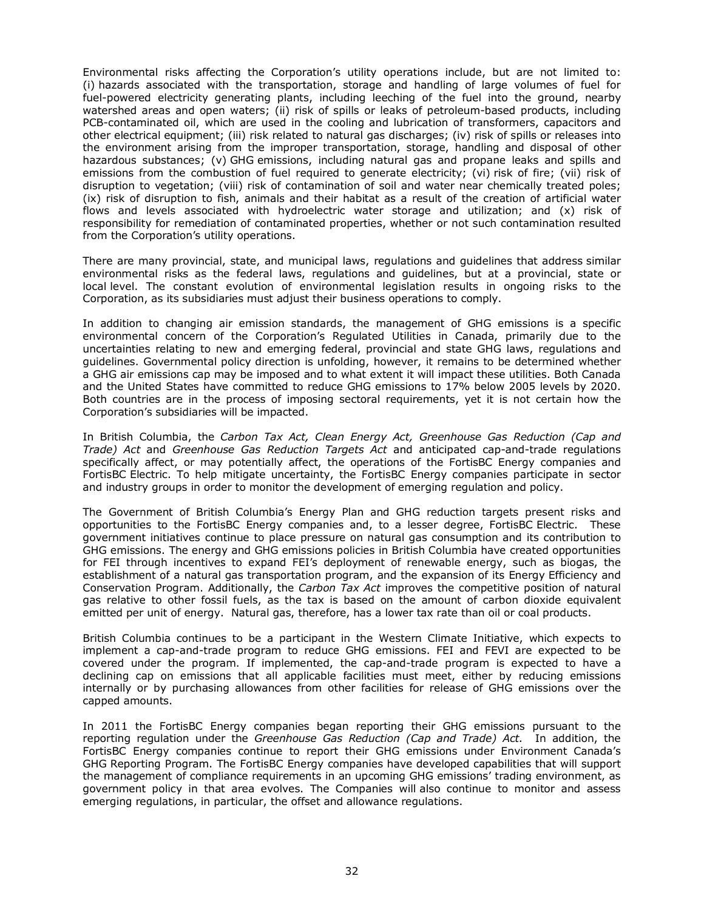Environmental risks affecting the Corporation's utility operations include, but are not limited to: (i) hazards associated with the transportation, storage and handling of large volumes of fuel for fuel-powered electricity generating plants, including leeching of the fuel into the ground, nearby watershed areas and open waters; (ii) risk of spills or leaks of petroleum-based products, including PCB-contaminated oil, which are used in the cooling and lubrication of transformers, capacitors and other electrical equipment; (iii) risk related to natural gas discharges; (iv) risk of spills or releases into the environment arising from the improper transportation, storage, handling and disposal of other hazardous substances; (v) GHG emissions, including natural gas and propane leaks and spills and emissions from the combustion of fuel required to generate electricity; (vi) risk of fire; (vii) risk of disruption to vegetation; (viii) risk of contamination of soil and water near chemically treated poles; (ix) risk of disruption to fish, animals and their habitat as a result of the creation of artificial water flows and levels associated with hydroelectric water storage and utilization; and (x) risk of responsibility for remediation of contaminated properties, whether or not such contamination resulted from the Corporation's utility operations.

There are many provincial, state, and municipal laws, regulations and guidelines that address similar environmental risks as the federal laws, regulations and guidelines, but at a provincial, state or local level. The constant evolution of environmental legislation results in ongoing risks to the Corporation, as its subsidiaries must adjust their business operations to comply.

In addition to changing air emission standards, the management of GHG emissions is a specific environmental concern of the Corporation's Regulated Utilities in Canada, primarily due to the uncertainties relating to new and emerging federal, provincial and state GHG laws, regulations and guidelines. Governmental policy direction is unfolding, however, it remains to be determined whether a GHG air emissions cap may be imposed and to what extent it will impact these utilities. Both Canada and the United States have committed to reduce GHG emissions to 17% below 2005 levels by 2020. Both countries are in the process of imposing sectoral requirements, yet it is not certain how the Corporation's subsidiaries will be impacted.

In British Columbia, the *Carbon Tax Act, Clean Energy Act, Greenhouse Gas Reduction (Cap and Trade) Act* and *Greenhouse Gas Reduction Targets Act* and anticipated cap-and-trade regulations specifically affect, or may potentially affect, the operations of the FortisBC Energy companies and FortisBC Electric. To help mitigate uncertainty, the FortisBC Energy companies participate in sector and industry groups in order to monitor the development of emerging regulation and policy.

The Government of British Columbia's Energy Plan and GHG reduction targets present risks and opportunities to the FortisBC Energy companies and, to a lesser degree, FortisBC Electric. These government initiatives continue to place pressure on natural gas consumption and its contribution to GHG emissions. The energy and GHG emissions policies in British Columbia have created opportunities for FEI through incentives to expand FEI's deployment of renewable energy, such as biogas, the establishment of a natural gas transportation program, and the expansion of its Energy Efficiency and Conservation Program. Additionally, the *Carbon Tax Act* improves the competitive position of natural gas relative to other fossil fuels, as the tax is based on the amount of carbon dioxide equivalent emitted per unit of energy. Natural gas, therefore, has a lower tax rate than oil or coal products.

British Columbia continues to be a participant in the Western Climate Initiative, which expects to implement a cap-and-trade program to reduce GHG emissions. FEI and FEVI are expected to be covered under the program. If implemented, the cap-and-trade program is expected to have a declining cap on emissions that all applicable facilities must meet, either by reducing emissions internally or by purchasing allowances from other facilities for release of GHG emissions over the capped amounts.

In 2011 the FortisBC Energy companies began reporting their GHG emissions pursuant to the reporting regulation under the *Greenhouse Gas Reduction (Cap and Trade) Act.* In addition, the FortisBC Energy companies continue to report their GHG emissions under Environment Canada's GHG Reporting Program. The FortisBC Energy companies have developed capabilities that will support the management of compliance requirements in an upcoming GHG emissions' trading environment, as government policy in that area evolves. The Companies will also continue to monitor and assess emerging regulations, in particular, the offset and allowance regulations.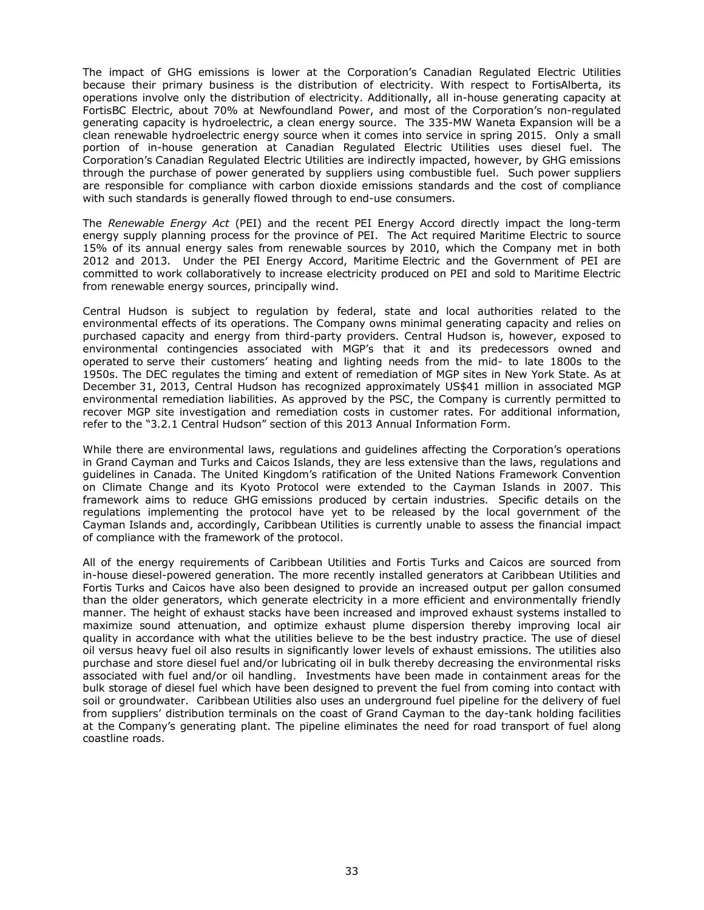The impact of GHG emissions is lower at the Corporation's Canadian Regulated Electric Utilities because their primary business is the distribution of electricity. With respect to FortisAlberta, its operations involve only the distribution of electricity. Additionally, all in-house generating capacity at FortisBC Electric, about 70% at Newfoundland Power, and most of the Corporation's non-regulated generating capacity is hydroelectric, a clean energy source. The 335-MW Waneta Expansion will be a clean renewable hydroelectric energy source when it comes into service in spring 2015. Only a small portion of in-house generation at Canadian Regulated Electric Utilities uses diesel fuel. The Corporation's Canadian Regulated Electric Utilities are indirectly impacted, however, by GHG emissions through the purchase of power generated by suppliers using combustible fuel. Such power suppliers are responsible for compliance with carbon dioxide emissions standards and the cost of compliance with such standards is generally flowed through to end-use consumers.

The *Renewable Energy Act* (PEI) and the recent PEI Energy Accord directly impact the long-term energy supply planning process for the province of PEI. The Act required Maritime Electric to source 15% of its annual energy sales from renewable sources by 2010, which the Company met in both 2012 and 2013. Under the PEI Energy Accord, Maritime Electric and the Government of PEI are committed to work collaboratively to increase electricity produced on PEI and sold to Maritime Electric from renewable energy sources, principally wind.

Central Hudson is subject to regulation by federal, state and local authorities related to the environmental effects of its operations. The Company owns minimal generating capacity and relies on purchased capacity and energy from third-party providers. Central Hudson is, however, exposed to environmental contingencies associated with MGP's that it and its predecessors owned and operated to serve their customers' heating and lighting needs from the mid- to late 1800s to the 1950s. The DEC regulates the timing and extent of remediation of MGP sites in New York State. As at December 31, 2013, Central Hudson has recognized approximately US\$41 million in associated MGP environmental remediation liabilities. As approved by the PSC, the Company is currently permitted to recover MGP site investigation and remediation costs in customer rates. For additional information, refer to the "3.2.1 Central Hudson" section of this 2013 Annual Information Form.

While there are environmental laws, regulations and guidelines affecting the Corporation's operations in Grand Cayman and Turks and Caicos Islands, they are less extensive than the laws, regulations and guidelines in Canada. The United Kingdom's ratification of the United Nations Framework Convention on Climate Change and its Kyoto Protocol were extended to the Cayman Islands in 2007. This framework aims to reduce GHG emissions produced by certain industries. Specific details on the regulations implementing the protocol have yet to be released by the local government of the Cayman Islands and, accordingly, Caribbean Utilities is currently unable to assess the financial impact of compliance with the framework of the protocol.

All of the energy requirements of Caribbean Utilities and Fortis Turks and Caicos are sourced from in-house diesel-powered generation. The more recently installed generators at Caribbean Utilities and Fortis Turks and Caicos have also been designed to provide an increased output per gallon consumed than the older generators, which generate electricity in a more efficient and environmentally friendly manner. The height of exhaust stacks have been increased and improved exhaust systems installed to maximize sound attenuation, and optimize exhaust plume dispersion thereby improving local air quality in accordance with what the utilities believe to be the best industry practice. The use of diesel oil versus heavy fuel oil also results in significantly lower levels of exhaust emissions. The utilities also purchase and store diesel fuel and/or lubricating oil in bulk thereby decreasing the environmental risks associated with fuel and/or oil handling. Investments have been made in containment areas for the bulk storage of diesel fuel which have been designed to prevent the fuel from coming into contact with soil or groundwater. Caribbean Utilities also uses an underground fuel pipeline for the delivery of fuel from suppliers' distribution terminals on the coast of Grand Cayman to the day-tank holding facilities at the Company's generating plant. The pipeline eliminates the need for road transport of fuel along coastline roads.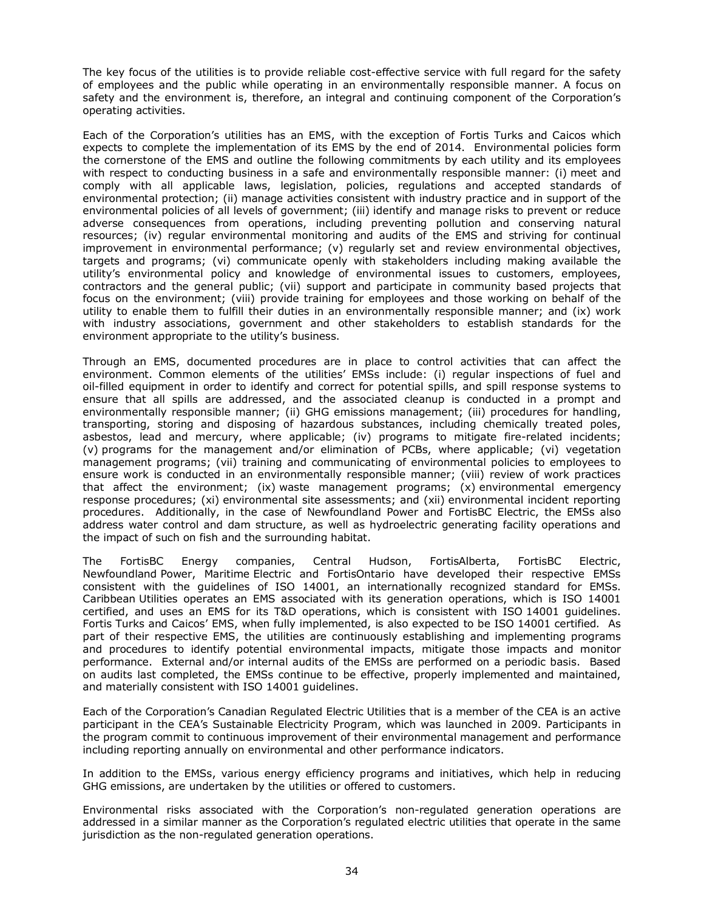The key focus of the utilities is to provide reliable cost-effective service with full regard for the safety of employees and the public while operating in an environmentally responsible manner. A focus on safety and the environment is, therefore, an integral and continuing component of the Corporation's operating activities.

Each of the Corporation's utilities has an EMS, with the exception of Fortis Turks and Caicos which expects to complete the implementation of its EMS by the end of 2014. Environmental policies form the cornerstone of the EMS and outline the following commitments by each utility and its employees with respect to conducting business in a safe and environmentally responsible manner: (i) meet and comply with all applicable laws, legislation, policies, regulations and accepted standards of environmental protection; (ii) manage activities consistent with industry practice and in support of the environmental policies of all levels of government; (iii) identify and manage risks to prevent or reduce adverse consequences from operations, including preventing pollution and conserving natural resources; (iv) regular environmental monitoring and audits of the EMS and striving for continual improvement in environmental performance; (v) regularly set and review environmental objectives, targets and programs; (vi) communicate openly with stakeholders including making available the utility's environmental policy and knowledge of environmental issues to customers, employees, contractors and the general public; (vii) support and participate in community based projects that focus on the environment; (viii) provide training for employees and those working on behalf of the utility to enable them to fulfill their duties in an environmentally responsible manner; and (ix) work with industry associations, government and other stakeholders to establish standards for the environment appropriate to the utility's business.

Through an EMS, documented procedures are in place to control activities that can affect the environment. Common elements of the utilities' EMSs include: (i) regular inspections of fuel and oil-filled equipment in order to identify and correct for potential spills, and spill response systems to ensure that all spills are addressed, and the associated cleanup is conducted in a prompt and environmentally responsible manner; (ii) GHG emissions management; (iii) procedures for handling, transporting, storing and disposing of hazardous substances, including chemically treated poles, asbestos, lead and mercury, where applicable; (iv) programs to mitigate fire-related incidents; (v) programs for the management and/or elimination of PCBs, where applicable; (vi) vegetation management programs; (vii) training and communicating of environmental policies to employees to ensure work is conducted in an environmentally responsible manner; (viii) review of work practices that affect the environment; (ix) waste management programs; (x) environmental emergency response procedures; (xi) environmental site assessments; and (xii) environmental incident reporting procedures. Additionally, in the case of Newfoundland Power and FortisBC Electric, the EMSs also address water control and dam structure, as well as hydroelectric generating facility operations and the impact of such on fish and the surrounding habitat.

The FortisBC Energy companies, Central Hudson, FortisAlberta, FortisBC Electric, Newfoundland Power, Maritime Electric and FortisOntario have developed their respective EMSs consistent with the guidelines of ISO 14001, an internationally recognized standard for EMSs. Caribbean Utilities operates an EMS associated with its generation operations, which is ISO 14001 certified, and uses an EMS for its T&D operations, which is consistent with ISO 14001 guidelines. Fortis Turks and Caicos' EMS, when fully implemented, is also expected to be ISO 14001 certified*.* As part of their respective EMS, the utilities are continuously establishing and implementing programs and procedures to identify potential environmental impacts, mitigate those impacts and monitor performance. External and/or internal audits of the EMSs are performed on a periodic basis. Based on audits last completed, the EMSs continue to be effective, properly implemented and maintained, and materially consistent with ISO 14001 guidelines.

Each of the Corporation's Canadian Regulated Electric Utilities that is a member of the CEA is an active participant in the CEA's Sustainable Electricity Program, which was launched in 2009. Participants in the program commit to continuous improvement of their environmental management and performance including reporting annually on environmental and other performance indicators.

In addition to the EMSs, various energy efficiency programs and initiatives, which help in reducing GHG emissions, are undertaken by the utilities or offered to customers.

Environmental risks associated with the Corporation's non-regulated generation operations are addressed in a similar manner as the Corporation's regulated electric utilities that operate in the same jurisdiction as the non-regulated generation operations.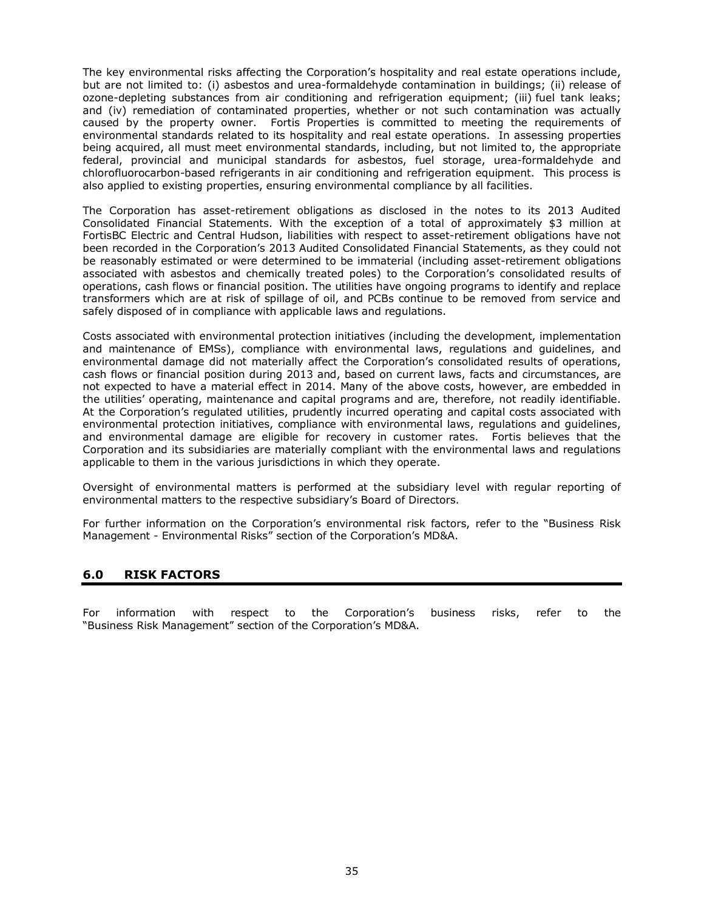The key environmental risks affecting the Corporation's hospitality and real estate operations include, but are not limited to: (i) asbestos and urea-formaldehyde contamination in buildings; (ii) release of ozone-depleting substances from air conditioning and refrigeration equipment; (iii) fuel tank leaks; and (iv) remediation of contaminated properties, whether or not such contamination was actually caused by the property owner. Fortis Properties is committed to meeting the requirements of environmental standards related to its hospitality and real estate operations. In assessing properties being acquired, all must meet environmental standards, including, but not limited to, the appropriate federal, provincial and municipal standards for asbestos, fuel storage, urea-formaldehyde and chlorofluorocarbon-based refrigerants in air conditioning and refrigeration equipment. This process is also applied to existing properties, ensuring environmental compliance by all facilities.

The Corporation has asset-retirement obligations as disclosed in the notes to its 2013 Audited Consolidated Financial Statements. With the exception of a total of approximately \$3 million at FortisBC Electric and Central Hudson, liabilities with respect to asset-retirement obligations have not been recorded in the Corporation's 2013 Audited Consolidated Financial Statements, as they could not be reasonably estimated or were determined to be immaterial (including asset-retirement obligations associated with asbestos and chemically treated poles) to the Corporation's consolidated results of operations, cash flows or financial position. The utilities have ongoing programs to identify and replace transformers which are at risk of spillage of oil, and PCBs continue to be removed from service and safely disposed of in compliance with applicable laws and regulations.

Costs associated with environmental protection initiatives (including the development, implementation and maintenance of EMSs), compliance with environmental laws, regulations and guidelines, and environmental damage did not materially affect the Corporation's consolidated results of operations, cash flows or financial position during 2013 and, based on current laws, facts and circumstances, are not expected to have a material effect in 2014. Many of the above costs, however, are embedded in the utilities' operating, maintenance and capital programs and are, therefore, not readily identifiable. At the Corporation's regulated utilities, prudently incurred operating and capital costs associated with environmental protection initiatives, compliance with environmental laws, regulations and guidelines, and environmental damage are eligible for recovery in customer rates. Fortis believes that the Corporation and its subsidiaries are materially compliant with the environmental laws and regulations applicable to them in the various jurisdictions in which they operate.

Oversight of environmental matters is performed at the subsidiary level with regular reporting of environmental matters to the respective subsidiary's Board of Directors.

For further information on the Corporation's environmental risk factors, refer to the "Business Risk Management - Environmental Risks" section of the Corporation's MD&A.

## **6.0 RISK FACTORS**

For information with respect to the Corporation's business risks, refer to the "Business Risk Management" section of the Corporation's MD&A.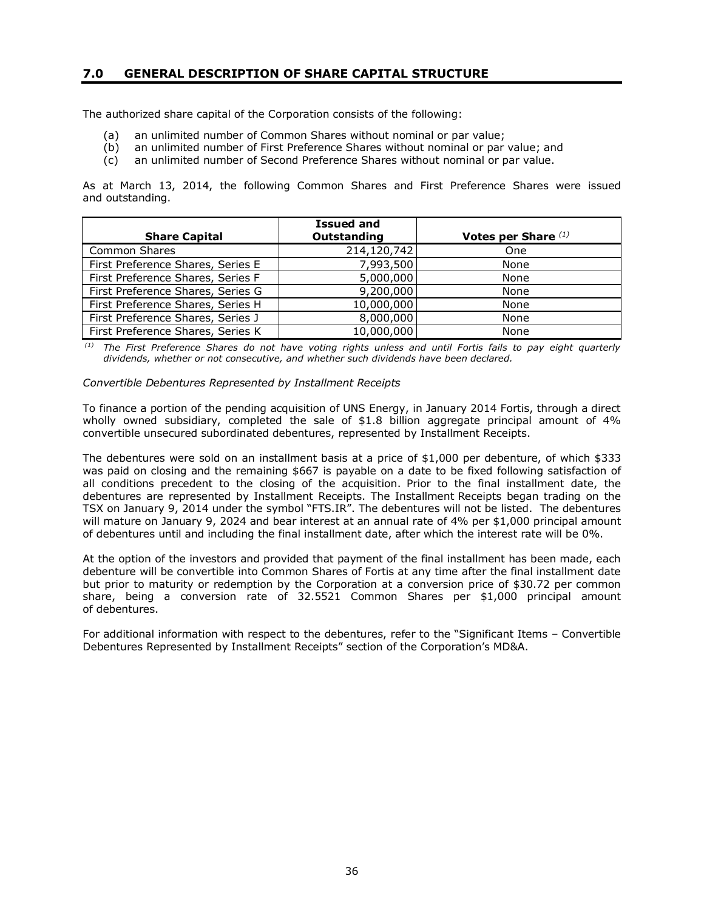## **7.0 GENERAL DESCRIPTION OF SHARE CAPITAL STRUCTURE**

The authorized share capital of the Corporation consists of the following:

- (a) an unlimited number of Common Shares without nominal or par value;
- (b) an unlimited number of First Preference Shares without nominal or par value; and
- (c) an unlimited number of Second Preference Shares without nominal or par value.

As at March 13, 2014, the following Common Shares and First Preference Shares were issued and outstanding.

| <b>Share Capital</b>              | <b>Issued and</b><br>Outstanding | Votes per Share (1) |
|-----------------------------------|----------------------------------|---------------------|
| <b>Common Shares</b>              | 214,120,742                      | <b>One</b>          |
| First Preference Shares, Series E | 7,993,500                        | None                |
| First Preference Shares, Series F | 5,000,000                        | None                |
| First Preference Shares, Series G | 9,200,000                        | None                |
| First Preference Shares, Series H | 10,000,000                       | None                |
| First Preference Shares, Series J | 8,000,000                        | None                |
| First Preference Shares, Series K | 10,000,000                       | None                |

 *(1) The First Preference Shares do not have voting rights unless and until Fortis fails to pay eight quarterly dividends, whether or not consecutive, and whether such dividends have been declared.* 

#### *Convertible Debentures Represented by Installment Receipts*

To finance a portion of the pending acquisition of UNS Energy, in January 2014 Fortis, through a direct wholly owned subsidiary, completed the sale of \$1.8 billion aggregate principal amount of 4% convertible unsecured subordinated debentures, represented by Installment Receipts.

The debentures were sold on an installment basis at a price of \$1,000 per debenture, of which \$333 was paid on closing and the remaining \$667 is payable on a date to be fixed following satisfaction of all conditions precedent to the closing of the acquisition. Prior to the final installment date, the debentures are represented by Installment Receipts. The Installment Receipts began trading on the TSX on January 9, 2014 under the symbol "FTS.IR". The debentures will not be listed. The debentures will mature on January 9, 2024 and bear interest at an annual rate of 4% per \$1,000 principal amount of debentures until and including the final installment date, after which the interest rate will be 0%.

At the option of the investors and provided that payment of the final installment has been made, each debenture will be convertible into Common Shares of Fortis at any time after the final installment date but prior to maturity or redemption by the Corporation at a conversion price of \$30.72 per common share, being a conversion rate of 32.5521 Common Shares per \$1,000 principal amount of debentures.

For additional information with respect to the debentures, refer to the "Significant Items – Convertible Debentures Represented by Installment Receipts" section of the Corporation's MD&A.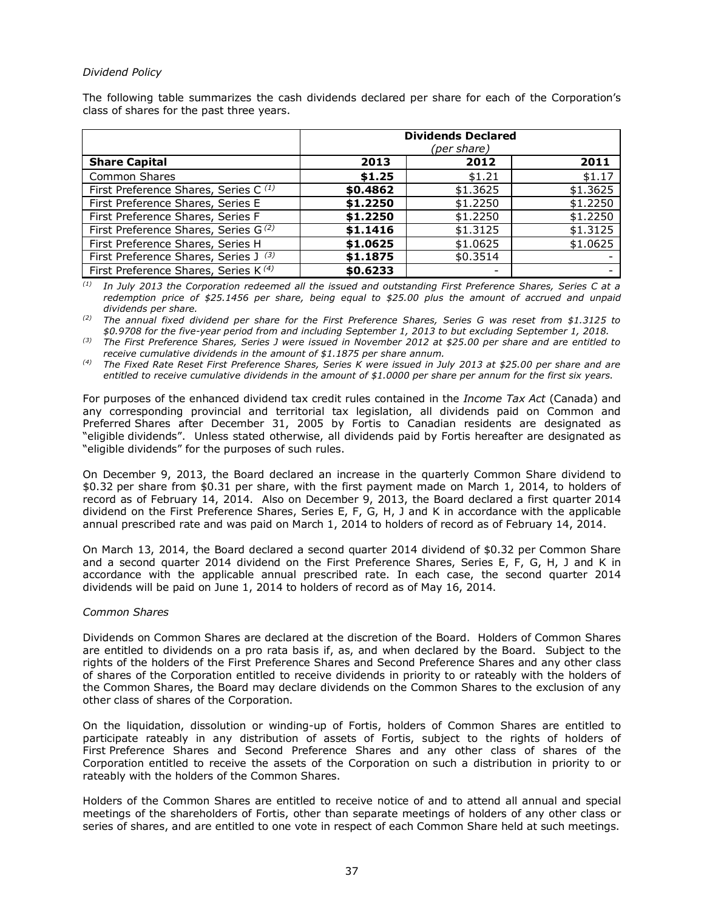## *Dividend Policy*

The following table summarizes the cash dividends declared per share for each of the Corporation's class of shares for the past three years.

|                                                  | <b>Dividends Declared</b><br>(per share) |                          |          |  |
|--------------------------------------------------|------------------------------------------|--------------------------|----------|--|
| <b>Share Capital</b>                             | 2013                                     | 2012                     | 2011     |  |
| Common Shares                                    | \$1.25                                   | \$1.21                   | \$1.17   |  |
| First Preference Shares, Series C (1)            | \$0.4862                                 | \$1.3625                 | \$1.3625 |  |
| First Preference Shares, Series E                | \$1,2250                                 | \$1.2250                 | \$1.2250 |  |
| First Preference Shares, Series F                | \$1.2250                                 | \$1.2250                 | \$1.2250 |  |
| First Preference Shares, Series G (2)            | \$1,1416                                 | \$1.3125                 | \$1.3125 |  |
| First Preference Shares, Series H                | \$1.0625                                 | \$1.0625                 | \$1.0625 |  |
| First Preference Shares, Series J <sup>(3)</sup> | \$1.1875                                 | \$0.3514                 |          |  |
| First Preference Shares, Series K <sup>(4)</sup> | \$0.6233                                 | $\overline{\phantom{0}}$ |          |  |

*(1) In July 2013 the Corporation redeemed all the issued and outstanding First Preference Shares, Series C at a redemption price of \$25.1456 per share, being equal to \$25.00 plus the amount of accrued and unpaid dividends per share.* 

*(2) The annual fixed dividend per share for the First Preference Shares, Series G was reset from \$1.3125 to \$0.9708 for the five-year period from and including September 1, 2013 to but excluding September 1, 2018.* 

*(3) The First Preference Shares, Series J were issued in November 2012 at \$25.00 per share and are entitled to receive cumulative dividends in the amount of \$1.1875 per share annum.* 

*(4) The Fixed Rate Reset First Preference Shares, Series K were issued in July 2013 at \$25.00 per share and are entitled to receive cumulative dividends in the amount of \$1.0000 per share per annum for the first six years.* 

For purposes of the enhanced dividend tax credit rules contained in the *Income Tax Act* (Canada) and any corresponding provincial and territorial tax legislation, all dividends paid on Common and Preferred Shares after December 31, 2005 by Fortis to Canadian residents are designated as "eligible dividends". Unless stated otherwise, all dividends paid by Fortis hereafter are designated as "eligible dividends" for the purposes of such rules.

On December 9, 2013, the Board declared an increase in the quarterly Common Share dividend to \$0.32 per share from \$0.31 per share, with the first payment made on March 1, 2014, to holders of record as of February 14, 2014. Also on December 9, 2013, the Board declared a first quarter 2014 dividend on the First Preference Shares, Series E, F, G, H, J and K in accordance with the applicable annual prescribed rate and was paid on March 1, 2014 to holders of record as of February 14, 2014.

On March 13, 2014, the Board declared a second quarter 2014 dividend of \$0.32 per Common Share and a second quarter 2014 dividend on the First Preference Shares, Series E, F, G, H, J and K in accordance with the applicable annual prescribed rate. In each case, the second quarter 2014 dividends will be paid on June 1, 2014 to holders of record as of May 16, 2014.

#### *Common Shares*

Dividends on Common Shares are declared at the discretion of the Board. Holders of Common Shares are entitled to dividends on a pro rata basis if, as, and when declared by the Board. Subject to the rights of the holders of the First Preference Shares and Second Preference Shares and any other class of shares of the Corporation entitled to receive dividends in priority to or rateably with the holders of the Common Shares, the Board may declare dividends on the Common Shares to the exclusion of any other class of shares of the Corporation.

On the liquidation, dissolution or winding-up of Fortis, holders of Common Shares are entitled to participate rateably in any distribution of assets of Fortis, subject to the rights of holders of First Preference Shares and Second Preference Shares and any other class of shares of the Corporation entitled to receive the assets of the Corporation on such a distribution in priority to or rateably with the holders of the Common Shares.

Holders of the Common Shares are entitled to receive notice of and to attend all annual and special meetings of the shareholders of Fortis, other than separate meetings of holders of any other class or series of shares, and are entitled to one vote in respect of each Common Share held at such meetings.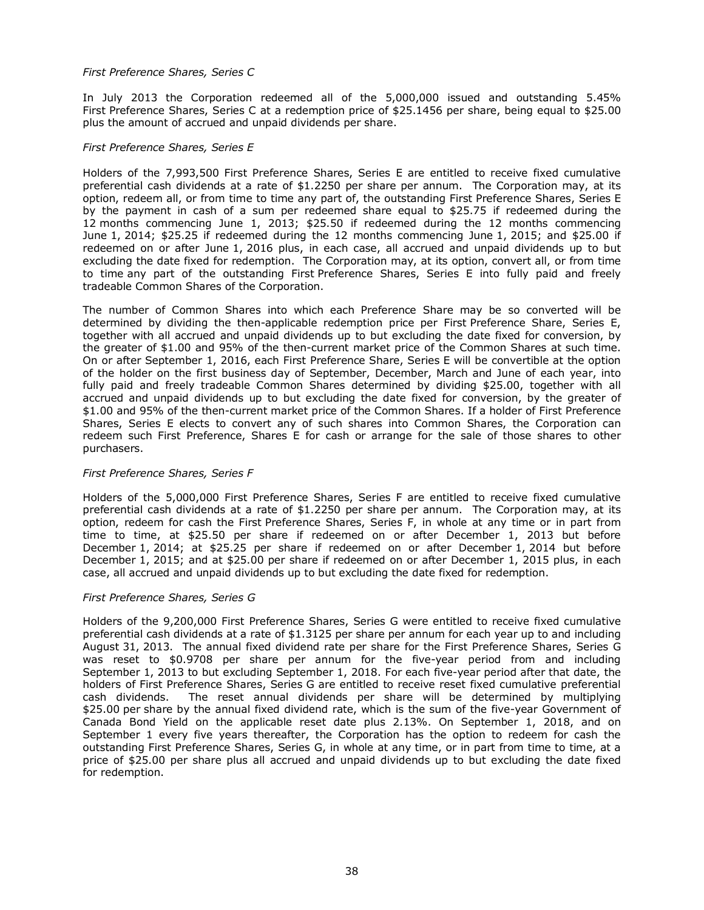### *First Preference Shares, Series C*

In July 2013 the Corporation redeemed all of the 5,000,000 issued and outstanding 5.45% First Preference Shares, Series C at a redemption price of \$25.1456 per share, being equal to \$25.00 plus the amount of accrued and unpaid dividends per share.

#### *First Preference Shares, Series E*

Holders of the 7,993,500 First Preference Shares, Series E are entitled to receive fixed cumulative preferential cash dividends at a rate of \$1.2250 per share per annum. The Corporation may, at its option, redeem all, or from time to time any part of, the outstanding First Preference Shares, Series E by the payment in cash of a sum per redeemed share equal to \$25.75 if redeemed during the 12 months commencing June 1, 2013; \$25.50 if redeemed during the 12 months commencing June 1, 2014; \$25.25 if redeemed during the 12 months commencing June 1, 2015; and \$25.00 if redeemed on or after June 1, 2016 plus, in each case, all accrued and unpaid dividends up to but excluding the date fixed for redemption. The Corporation may, at its option, convert all, or from time to time any part of the outstanding First Preference Shares, Series E into fully paid and freely tradeable Common Shares of the Corporation.

The number of Common Shares into which each Preference Share may be so converted will be determined by dividing the then-applicable redemption price per First Preference Share, Series E, together with all accrued and unpaid dividends up to but excluding the date fixed for conversion, by the greater of \$1.00 and 95% of the then-current market price of the Common Shares at such time. On or after September 1, 2016, each First Preference Share, Series E will be convertible at the option of the holder on the first business day of September, December, March and June of each year, into fully paid and freely tradeable Common Shares determined by dividing \$25.00, together with all accrued and unpaid dividends up to but excluding the date fixed for conversion, by the greater of \$1.00 and 95% of the then-current market price of the Common Shares. If a holder of First Preference Shares, Series E elects to convert any of such shares into Common Shares, the Corporation can redeem such First Preference, Shares E for cash or arrange for the sale of those shares to other purchasers.

#### *First Preference Shares, Series F*

Holders of the 5,000,000 First Preference Shares, Series F are entitled to receive fixed cumulative preferential cash dividends at a rate of \$1.2250 per share per annum. The Corporation may, at its option, redeem for cash the First Preference Shares, Series F, in whole at any time or in part from time to time, at \$25.50 per share if redeemed on or after December 1, 2013 but before December 1, 2014; at \$25.25 per share if redeemed on or after December 1, 2014 but before December 1, 2015; and at \$25.00 per share if redeemed on or after December 1, 2015 plus, in each case, all accrued and unpaid dividends up to but excluding the date fixed for redemption.

## *First Preference Shares, Series G*

Holders of the 9,200,000 First Preference Shares, Series G were entitled to receive fixed cumulative preferential cash dividends at a rate of \$1.3125 per share per annum for each year up to and including August 31, 2013. The annual fixed dividend rate per share for the First Preference Shares, Series G was reset to \$0.9708 per share per annum for the five-year period from and including September 1, 2013 to but excluding September 1, 2018. For each five-year period after that date, the holders of First Preference Shares, Series G are entitled to receive reset fixed cumulative preferential cash dividends. The reset annual dividends per share will be determined by multiplying \$25.00 per share by the annual fixed dividend rate, which is the sum of the five-year Government of Canada Bond Yield on the applicable reset date plus 2.13%. On September 1, 2018, and on September 1 every five years thereafter, the Corporation has the option to redeem for cash the outstanding First Preference Shares, Series G, in whole at any time, or in part from time to time, at a price of \$25.00 per share plus all accrued and unpaid dividends up to but excluding the date fixed for redemption.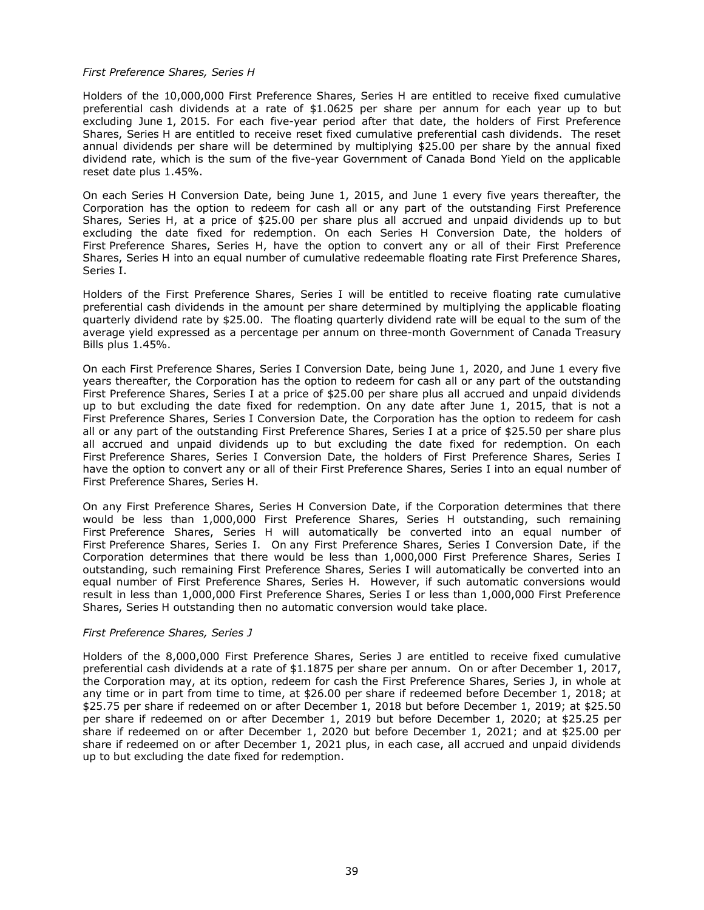#### *First Preference Shares, Series H*

Holders of the 10,000,000 First Preference Shares, Series H are entitled to receive fixed cumulative preferential cash dividends at a rate of \$1.0625 per share per annum for each year up to but excluding June 1, 2015. For each five-year period after that date, the holders of First Preference Shares, Series H are entitled to receive reset fixed cumulative preferential cash dividends. The reset annual dividends per share will be determined by multiplying \$25.00 per share by the annual fixed dividend rate, which is the sum of the five-year Government of Canada Bond Yield on the applicable reset date plus 1.45%.

On each Series H Conversion Date, being June 1, 2015, and June 1 every five years thereafter, the Corporation has the option to redeem for cash all or any part of the outstanding First Preference Shares, Series H, at a price of \$25.00 per share plus all accrued and unpaid dividends up to but excluding the date fixed for redemption. On each Series H Conversion Date, the holders of First Preference Shares, Series H, have the option to convert any or all of their First Preference Shares, Series H into an equal number of cumulative redeemable floating rate First Preference Shares, Series I.

Holders of the First Preference Shares, Series I will be entitled to receive floating rate cumulative preferential cash dividends in the amount per share determined by multiplying the applicable floating quarterly dividend rate by \$25.00. The floating quarterly dividend rate will be equal to the sum of the average yield expressed as a percentage per annum on three-month Government of Canada Treasury Bills plus 1.45%.

On each First Preference Shares, Series I Conversion Date, being June 1, 2020, and June 1 every five years thereafter, the Corporation has the option to redeem for cash all or any part of the outstanding First Preference Shares, Series I at a price of \$25.00 per share plus all accrued and unpaid dividends up to but excluding the date fixed for redemption. On any date after June 1, 2015, that is not a First Preference Shares, Series I Conversion Date, the Corporation has the option to redeem for cash all or any part of the outstanding First Preference Shares, Series I at a price of \$25.50 per share plus all accrued and unpaid dividends up to but excluding the date fixed for redemption. On each First Preference Shares, Series I Conversion Date, the holders of First Preference Shares, Series I have the option to convert any or all of their First Preference Shares, Series I into an equal number of First Preference Shares, Series H.

On any First Preference Shares, Series H Conversion Date, if the Corporation determines that there would be less than 1,000,000 First Preference Shares, Series H outstanding, such remaining First Preference Shares, Series H will automatically be converted into an equal number of First Preference Shares, Series I. On any First Preference Shares, Series I Conversion Date, if the Corporation determines that there would be less than 1,000,000 First Preference Shares, Series I outstanding, such remaining First Preference Shares, Series I will automatically be converted into an equal number of First Preference Shares, Series H. However, if such automatic conversions would result in less than 1,000,000 First Preference Shares, Series I or less than 1,000,000 First Preference Shares, Series H outstanding then no automatic conversion would take place.

#### *First Preference Shares, Series J*

Holders of the 8,000,000 First Preference Shares, Series J are entitled to receive fixed cumulative preferential cash dividends at a rate of \$1.1875 per share per annum. On or after December 1, 2017, the Corporation may, at its option, redeem for cash the First Preference Shares, Series J, in whole at any time or in part from time to time, at \$26.00 per share if redeemed before December 1, 2018; at \$25.75 per share if redeemed on or after December 1, 2018 but before December 1, 2019; at \$25.50 per share if redeemed on or after December 1, 2019 but before December 1, 2020; at \$25.25 per share if redeemed on or after December 1, 2020 but before December 1, 2021; and at \$25.00 per share if redeemed on or after December 1, 2021 plus, in each case, all accrued and unpaid dividends up to but excluding the date fixed for redemption.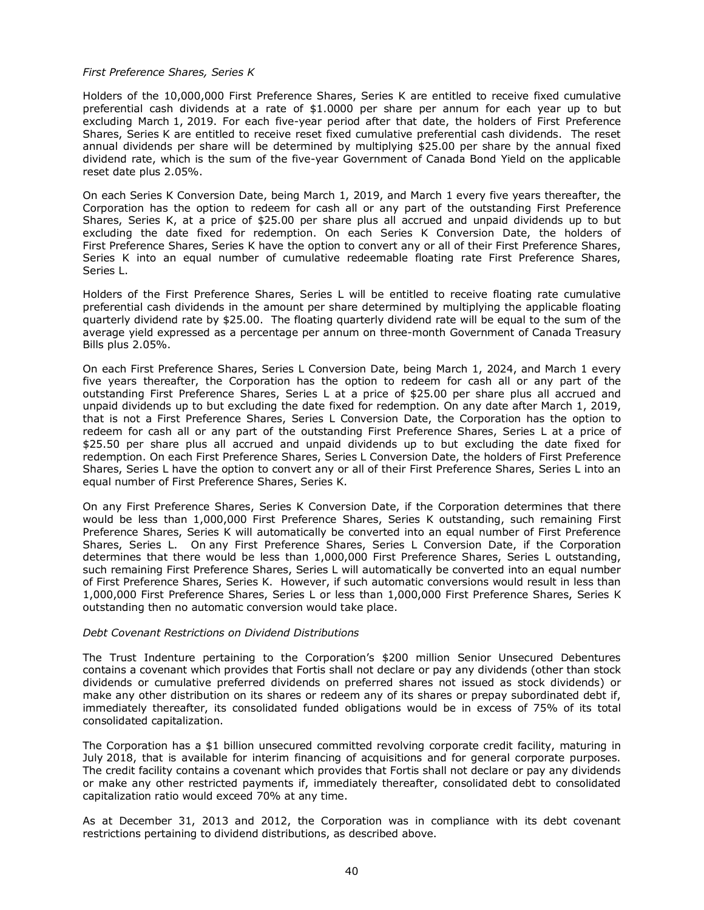#### *First Preference Shares, Series K*

Holders of the 10,000,000 First Preference Shares, Series K are entitled to receive fixed cumulative preferential cash dividends at a rate of \$1.0000 per share per annum for each year up to but excluding March 1, 2019. For each five-year period after that date, the holders of First Preference Shares, Series K are entitled to receive reset fixed cumulative preferential cash dividends. The reset annual dividends per share will be determined by multiplying \$25.00 per share by the annual fixed dividend rate, which is the sum of the five-year Government of Canada Bond Yield on the applicable reset date plus 2.05%.

On each Series K Conversion Date, being March 1, 2019, and March 1 every five years thereafter, the Corporation has the option to redeem for cash all or any part of the outstanding First Preference Shares, Series K, at a price of \$25.00 per share plus all accrued and unpaid dividends up to but excluding the date fixed for redemption. On each Series K Conversion Date, the holders of First Preference Shares, Series K have the option to convert any or all of their First Preference Shares, Series K into an equal number of cumulative redeemable floating rate First Preference Shares, Series L.

Holders of the First Preference Shares, Series L will be entitled to receive floating rate cumulative preferential cash dividends in the amount per share determined by multiplying the applicable floating quarterly dividend rate by \$25.00. The floating quarterly dividend rate will be equal to the sum of the average yield expressed as a percentage per annum on three-month Government of Canada Treasury Bills plus 2.05%.

On each First Preference Shares, Series L Conversion Date, being March 1, 2024, and March 1 every five years thereafter, the Corporation has the option to redeem for cash all or any part of the outstanding First Preference Shares, Series L at a price of \$25.00 per share plus all accrued and unpaid dividends up to but excluding the date fixed for redemption. On any date after March 1, 2019, that is not a First Preference Shares, Series L Conversion Date, the Corporation has the option to redeem for cash all or any part of the outstanding First Preference Shares, Series L at a price of \$25.50 per share plus all accrued and unpaid dividends up to but excluding the date fixed for redemption. On each First Preference Shares, Series L Conversion Date, the holders of First Preference Shares, Series L have the option to convert any or all of their First Preference Shares, Series L into an equal number of First Preference Shares, Series K.

On any First Preference Shares, Series K Conversion Date, if the Corporation determines that there would be less than 1,000,000 First Preference Shares, Series K outstanding, such remaining First Preference Shares, Series K will automatically be converted into an equal number of First Preference Shares, Series L. On any First Preference Shares, Series L Conversion Date, if the Corporation determines that there would be less than 1,000,000 First Preference Shares, Series L outstanding, such remaining First Preference Shares, Series L will automatically be converted into an equal number of First Preference Shares, Series K. However, if such automatic conversions would result in less than 1,000,000 First Preference Shares, Series L or less than 1,000,000 First Preference Shares, Series K outstanding then no automatic conversion would take place.

#### *Debt Covenant Restrictions on Dividend Distributions*

The Trust Indenture pertaining to the Corporation's \$200 million Senior Unsecured Debentures contains a covenant which provides that Fortis shall not declare or pay any dividends (other than stock dividends or cumulative preferred dividends on preferred shares not issued as stock dividends) or make any other distribution on its shares or redeem any of its shares or prepay subordinated debt if, immediately thereafter, its consolidated funded obligations would be in excess of 75% of its total consolidated capitalization.

The Corporation has a \$1 billion unsecured committed revolving corporate credit facility, maturing in July 2018, that is available for interim financing of acquisitions and for general corporate purposes. The credit facility contains a covenant which provides that Fortis shall not declare or pay any dividends or make any other restricted payments if, immediately thereafter, consolidated debt to consolidated capitalization ratio would exceed 70% at any time.

As at December 31, 2013 and 2012, the Corporation was in compliance with its debt covenant restrictions pertaining to dividend distributions, as described above.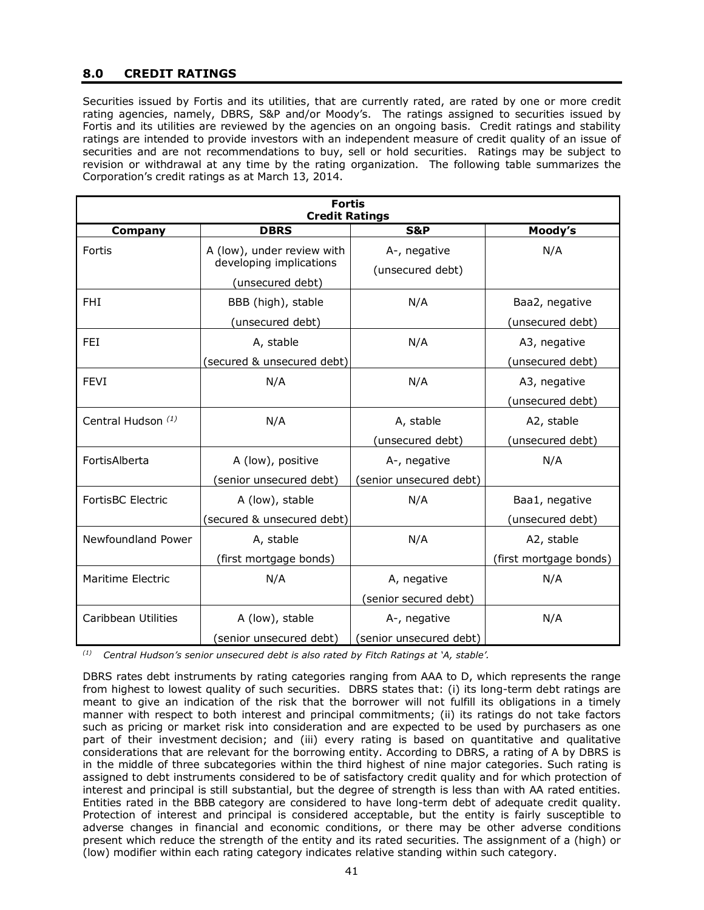## **8.0 CREDIT RATINGS**

Securities issued by Fortis and its utilities, that are currently rated, are rated by one or more credit rating agencies, namely, DBRS, S&P and/or Moody's. The ratings assigned to securities issued by Fortis and its utilities are reviewed by the agencies on an ongoing basis. Credit ratings and stability ratings are intended to provide investors with an independent measure of credit quality of an issue of securities and are not recommendations to buy, sell or hold securities. Ratings may be subject to revision or withdrawal at any time by the rating organization. The following table summarizes the Corporation's credit ratings as at March 13, 2014.

| <b>Fortis</b><br><b>Credit Ratings</b> |                                                                           |                                         |                                      |  |
|----------------------------------------|---------------------------------------------------------------------------|-----------------------------------------|--------------------------------------|--|
| <b>Company</b>                         | <b>DBRS</b>                                                               | <b>S&amp;P</b>                          | Moody's                              |  |
| Fortis                                 | A (low), under review with<br>developing implications<br>(unsecured debt) | A-, negative<br>(unsecured debt)        | N/A                                  |  |
| <b>FHI</b>                             | BBB (high), stable<br>(unsecured debt)                                    | N/A                                     | Baa2, negative<br>(unsecured debt)   |  |
| FEI                                    | A, stable<br>(secured & unsecured debt)                                   | N/A                                     | A3, negative<br>(unsecured debt)     |  |
| <b>FEVI</b>                            | N/A                                                                       | N/A                                     | A3, negative<br>(unsecured debt)     |  |
| Central Hudson (1)                     | N/A                                                                       | A, stable<br>(unsecured debt)           | A2, stable<br>(unsecured debt)       |  |
| FortisAlberta                          | A (low), positive<br>(senior unsecured debt)                              | A-, negative<br>(senior unsecured debt) | N/A                                  |  |
| <b>FortisBC Electric</b>               | A (low), stable<br>(secured & unsecured debt)                             | N/A                                     | Baa1, negative<br>(unsecured debt)   |  |
| Newfoundland Power                     | A, stable<br>(first mortgage bonds)                                       | N/A                                     | A2, stable<br>(first mortgage bonds) |  |
| <b>Maritime Electric</b>               | N/A                                                                       | A, negative<br>(senior secured debt)    | N/A                                  |  |
| Caribbean Utilities                    | A (low), stable<br>(senior unsecured debt)                                | A-, negative<br>(senior unsecured debt) | N/A                                  |  |

*(1) Central Hudson's senior unsecured debt is also rated by Fitch Ratings at 'A, stable'.* 

DBRS rates debt instruments by rating categories ranging from AAA to D, which represents the range from highest to lowest quality of such securities. DBRS states that: (i) its long-term debt ratings are meant to give an indication of the risk that the borrower will not fulfill its obligations in a timely manner with respect to both interest and principal commitments; (ii) its ratings do not take factors such as pricing or market risk into consideration and are expected to be used by purchasers as one part of their investment decision; and (iii) every rating is based on quantitative and qualitative considerations that are relevant for the borrowing entity. According to DBRS, a rating of A by DBRS is in the middle of three subcategories within the third highest of nine major categories. Such rating is assigned to debt instruments considered to be of satisfactory credit quality and for which protection of interest and principal is still substantial, but the degree of strength is less than with AA rated entities. Entities rated in the BBB category are considered to have long-term debt of adequate credit quality. Protection of interest and principal is considered acceptable, but the entity is fairly susceptible to adverse changes in financial and economic conditions, or there may be other adverse conditions present which reduce the strength of the entity and its rated securities. The assignment of a (high) or (low) modifier within each rating category indicates relative standing within such category.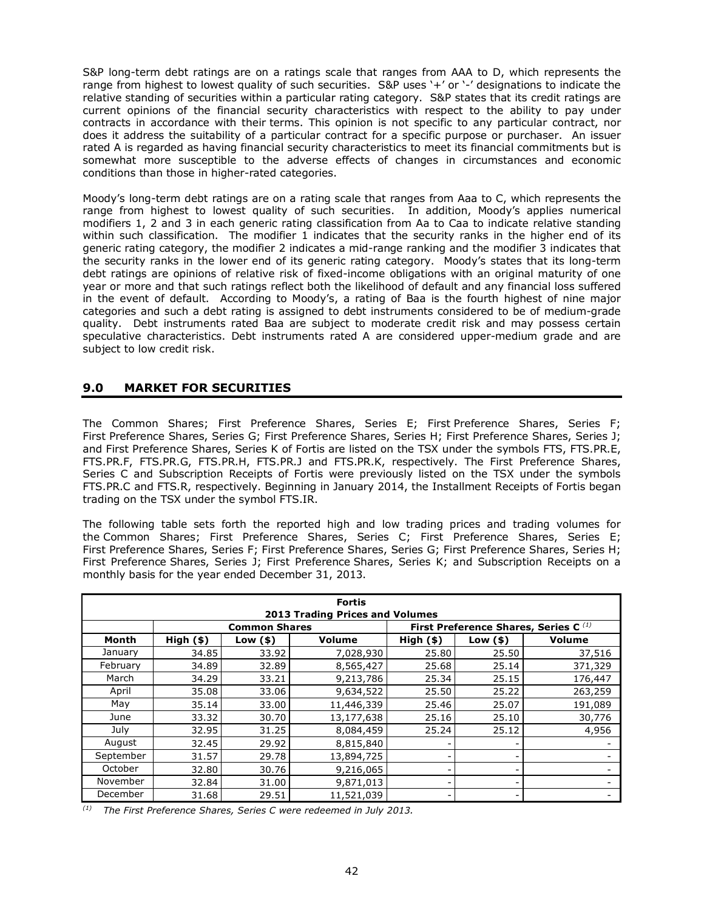S&P long-term debt ratings are on a ratings scale that ranges from AAA to D, which represents the range from highest to lowest quality of such securities. S&P uses '+' or '-' designations to indicate the relative standing of securities within a particular rating category. S&P states that its credit ratings are current opinions of the financial security characteristics with respect to the ability to pay under contracts in accordance with their terms. This opinion is not specific to any particular contract, nor does it address the suitability of a particular contract for a specific purpose or purchaser. An issuer rated A is regarded as having financial security characteristics to meet its financial commitments but is somewhat more susceptible to the adverse effects of changes in circumstances and economic conditions than those in higher-rated categories.

Moody's long-term debt ratings are on a rating scale that ranges from Aaa to C, which represents the range from highest to lowest quality of such securities. In addition, Moody's applies numerical modifiers 1, 2 and 3 in each generic rating classification from Aa to Caa to indicate relative standing within such classification. The modifier 1 indicates that the security ranks in the higher end of its generic rating category, the modifier 2 indicates a mid-range ranking and the modifier 3 indicates that the security ranks in the lower end of its generic rating category. Moody's states that its long-term debt ratings are opinions of relative risk of fixed-income obligations with an original maturity of one year or more and that such ratings reflect both the likelihood of default and any financial loss suffered in the event of default. According to Moody's, a rating of Baa is the fourth highest of nine major categories and such a debt rating is assigned to debt instruments considered to be of medium-grade quality. Debt instruments rated Baa are subject to moderate credit risk and may possess certain speculative characteristics. Debt instruments rated A are considered upper-medium grade and are subject to low credit risk.

## **9.0 MARKET FOR SECURITIES**

The Common Shares; First Preference Shares, Series E; First Preference Shares, Series F; First Preference Shares, Series G; First Preference Shares, Series H; First Preference Shares, Series J; and First Preference Shares, Series K of Fortis are listed on the TSX under the symbols FTS, FTS.PR.E, FTS.PR.F, FTS.PR.G, FTS.PR.H, FTS.PR.J and FTS.PR.K, respectively. The First Preference Shares, Series C and Subscription Receipts of Fortis were previously listed on the TSX under the symbols FTS.PR.C and FTS.R, respectively. Beginning in January 2014, the Installment Receipts of Fortis began trading on the TSX under the symbol FTS.IR.

The following table sets forth the reported high and low trading prices and trading volumes for the Common Shares; First Preference Shares, Series C; First Preference Shares, Series E; First Preference Shares, Series F; First Preference Shares, Series G; First Preference Shares, Series H; First Preference Shares, Series J; First Preference Shares, Series K; and Subscription Receipts on a monthly basis for the year ended December 31, 2013.

| <b>Fortis</b> |                                        |                      |            |              |                          |                                                  |
|---------------|----------------------------------------|----------------------|------------|--------------|--------------------------|--------------------------------------------------|
|               | <b>2013 Trading Prices and Volumes</b> |                      |            |              |                          |                                                  |
|               |                                        | <b>Common Shares</b> |            |              |                          | First Preference Shares, Series C <sup>(1)</sup> |
| Month         | High $($ \$ $)$                        | Low $($ \$ $)$       | Volume     | High $($ \$) | Low $($ \$ $)$           | Volume                                           |
| January       | 34.85                                  | 33.92                | 7,028,930  | 25.80        | 25.50                    | 37,516                                           |
| February      | 34.89                                  | 32.89                | 8,565,427  | 25.68        | 25.14                    | 371,329                                          |
| March         | 34.29                                  | 33.21                | 9,213,786  | 25.34        | 25.15                    | 176,447                                          |
| April         | 35.08                                  | 33.06                | 9,634,522  | 25.50        | 25.22                    | 263,259                                          |
| May           | 35.14                                  | 33.00                | 11,446,339 | 25.46        | 25.07                    | 191,089                                          |
| June          | 33.32                                  | 30.70                | 13,177,638 | 25.16        | 25.10                    | 30,776                                           |
| July          | 32.95                                  | 31.25                | 8,084,459  | 25.24        | 25.12                    | 4,956                                            |
| August        | 32.45                                  | 29.92                | 8,815,840  |              |                          |                                                  |
| September     | 31.57                                  | 29.78                | 13,894,725 |              | -                        |                                                  |
| October       | 32.80                                  | 30.76                | 9,216,065  |              | -                        |                                                  |
| November      | 32.84                                  | 31.00                | 9,871,013  |              | $\overline{\phantom{a}}$ |                                                  |
| December      | 31.68                                  | 29.51                | 11,521,039 |              | $\overline{\phantom{0}}$ |                                                  |

*(1) The First Preference Shares, Series C were redeemed in July 2013.*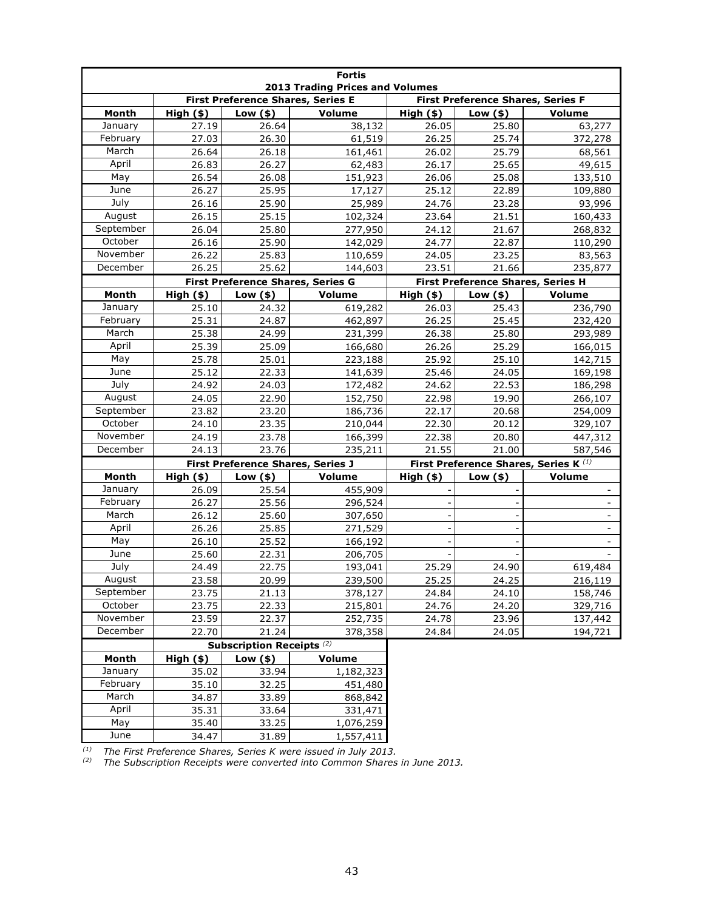| <b>Fortis</b><br><b>2013 Trading Prices and Volumes</b> |           |                                          |           |                              |                                   |                                                  |
|---------------------------------------------------------|-----------|------------------------------------------|-----------|------------------------------|-----------------------------------|--------------------------------------------------|
|                                                         |           | First Preference Shares, Series E        |           |                              | First Preference Shares, Series F |                                                  |
| <b>Month</b>                                            | High (\$) | Low $(*)$                                | Volume    | High ( \$)                   | Low $($ \$ $)$                    | Volume                                           |
| January                                                 | 27.19     | 26.64                                    | 38,132    | 26.05                        | 25.80                             | 63,277                                           |
| February                                                | 27.03     | 26.30                                    | 61,519    | 26.25                        | 25.74                             | 372,278                                          |
| March                                                   | 26.64     | 26.18                                    | 161,461   | 26.02                        | 25.79                             | 68,561                                           |
| April                                                   | 26.83     | 26.27                                    | 62,483    | 26.17                        | 25.65                             | 49,615                                           |
| May                                                     | 26.54     | 26.08                                    | 151,923   | 26.06                        | 25.08                             | 133,510                                          |
| June                                                    | 26.27     | 25.95                                    | 17,127    | 25.12                        | 22.89                             | 109,880                                          |
| July                                                    | 26.16     | 25.90                                    | 25,989    | 24.76                        | 23.28                             | 93,996                                           |
| August                                                  | 26.15     | 25.15                                    | 102,324   | 23.64                        | 21.51                             | 160,433                                          |
| September                                               | 26.04     | 25.80                                    | 277,950   | 24.12                        | 21.67                             | 268,832                                          |
| October                                                 | 26.16     | 25.90                                    | 142,029   | 24.77                        | 22.87                             | 110,290                                          |
| November                                                | 26.22     | 25.83                                    | 110,659   | 24.05                        | 23.25                             | 83,563                                           |
| December                                                | 26.25     | 25.62                                    | 144,603   | 23.51                        | 21.66                             | 235,877                                          |
|                                                         |           | First Preference Shares, Series G        |           |                              | First Preference Shares, Series H |                                                  |
| Month                                                   | High (\$) | Low $(*)$                                | Volume    | $High($ \$)                  | Low $(*)$                         | Volume                                           |
| January                                                 | 25.10     | 24.32                                    | 619,282   | 26.03                        | 25.43                             | 236,790                                          |
| February                                                | 25.31     | 24.87                                    | 462,897   | 26.25                        | 25.45                             | 232,420                                          |
| March                                                   | 25.38     | 24.99                                    | 231,399   | 26.38                        | 25.80                             | 293,989                                          |
| April                                                   | 25.39     | 25.09                                    | 166,680   | 26.26                        | 25.29                             | 166,015                                          |
| May                                                     | 25.78     | 25.01                                    | 223,188   | 25.92                        | 25.10                             | 142,715                                          |
| June                                                    | 25.12     | 22.33                                    | 141,639   | 25.46                        | 24.05                             | 169,198                                          |
| July                                                    | 24.92     | 24.03                                    | 172,482   | 24.62                        | 22.53                             | 186,298                                          |
| August                                                  | 24.05     | 22.90                                    | 152,750   | 22.98                        | 19.90                             | 266,107                                          |
| September                                               | 23.82     | 23.20                                    | 186,736   | 22.17                        | 20.68                             | 254,009                                          |
| October                                                 | 24.10     | 23.35                                    | 210,044   | 22.30                        | 20.12                             | 329,107                                          |
| November                                                | 24.19     | 23.78                                    | 166,399   | 22.38                        | 20.80                             | 447,312                                          |
| December                                                | 24.13     | 23.76                                    | 235,211   | 21.55                        | 21.00                             | 587,546                                          |
|                                                         |           | <b>First Preference Shares, Series J</b> |           |                              |                                   | First Preference Shares, Series K <sup>(1)</sup> |
| Month                                                   | High (\$) | Low $(*)$                                | Volume    | $High($ \$)                  | Low $(*)$                         | Volume                                           |
| January                                                 | 26.09     | 25.54                                    | 455,909   | $\qquad \qquad \blacksquare$ |                                   | $\blacksquare$                                   |
| February                                                | 26.27     | 25.56                                    | 296,524   | $\overline{\phantom{0}}$     |                                   |                                                  |
| March                                                   | 26.12     | 25.60                                    | 307,650   |                              |                                   | $\overline{\phantom{a}}$                         |
| April                                                   | 26.26     | 25.85                                    | 271,529   |                              |                                   | $\overline{\phantom{a}}$                         |
| $\overline{May}$                                        | 26.10     | 25.52                                    | 166,192   |                              |                                   |                                                  |
| June                                                    | 25.60     | 22.31                                    | 206,705   |                              |                                   |                                                  |
| July                                                    | 24.49     | 22.75                                    | 193,041   | 25.29                        | 24.90                             | 619,484                                          |
| August                                                  | 23.58     | 20.99                                    | 239,500   | 25.25                        | 24.25                             | 216,119                                          |
| September                                               | 23.75     | 21.13                                    | 378,127   | 24.84                        | 24.10                             | 158,746                                          |
| October                                                 | 23.75     | 22.33                                    | 215,801   | 24.76                        | 24.20                             | 329,716                                          |
| November                                                | 23.59     | 22.37                                    | 252,735   | 24.78                        | 23.96                             | 137,442                                          |
| December                                                | 22.70     | 21.24                                    | 378,358   | 24.84                        | 24.05                             | 194,721                                          |
|                                                         |           | <b>Subscription Receipts (2)</b>         |           |                              |                                   |                                                  |
| Month                                                   | High (\$) | Low $(*)$                                | Volume    |                              |                                   |                                                  |
| January                                                 | 35.02     | 33.94                                    | 1,182,323 |                              |                                   |                                                  |
| February                                                | 35.10     | 32.25                                    | 451,480   |                              |                                   |                                                  |
| March                                                   | 34.87     | 33.89                                    | 868,842   |                              |                                   |                                                  |
| April                                                   | 35.31     | 33.64                                    | 331,471   |                              |                                   |                                                  |
| May                                                     | 35.40     | 33.25                                    | 1,076,259 |                              |                                   |                                                  |
| June                                                    | 34.47     | 31.89                                    | 1,557,411 |                              |                                   |                                                  |

*(1) The First Preference Shares, Series K were issued in July 2013.* 

*(2) The Subscription Receipts were converted into Common Shares in June 2013.*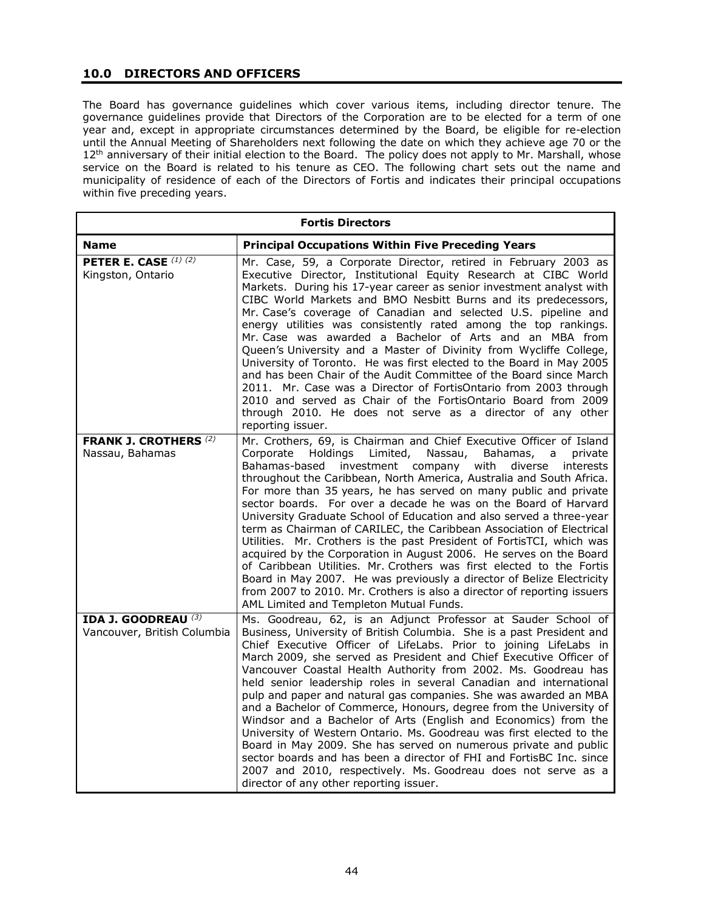## **10.0 DIRECTORS AND OFFICERS**

The Board has governance guidelines which cover various items, including director tenure. The governance guidelines provide that Directors of the Corporation are to be elected for a term of one year and, except in appropriate circumstances determined by the Board, be eligible for re-election until the Annual Meeting of Shareholders next following the date on which they achieve age 70 or the 12<sup>th</sup> anniversary of their initial election to the Board. The policy does not apply to Mr. Marshall, whose service on the Board is related to his tenure as CEO. The following chart sets out the name and municipality of residence of each of the Directors of Fortis and indicates their principal occupations within five preceding years.

٣Ī,

| <b>Fortis Directors</b>                            |                                                                                                                                                                                                                                                                                                                                                                                                                                                                                                                                                                                                                                                                                                                                                                                                                                                                                                                                                                                                             |  |  |
|----------------------------------------------------|-------------------------------------------------------------------------------------------------------------------------------------------------------------------------------------------------------------------------------------------------------------------------------------------------------------------------------------------------------------------------------------------------------------------------------------------------------------------------------------------------------------------------------------------------------------------------------------------------------------------------------------------------------------------------------------------------------------------------------------------------------------------------------------------------------------------------------------------------------------------------------------------------------------------------------------------------------------------------------------------------------------|--|--|
| <b>Name</b>                                        | <b>Principal Occupations Within Five Preceding Years</b>                                                                                                                                                                                                                                                                                                                                                                                                                                                                                                                                                                                                                                                                                                                                                                                                                                                                                                                                                    |  |  |
| <b>PETER E. CASE (1) (2)</b><br>Kingston, Ontario  | Mr. Case, 59, a Corporate Director, retired in February 2003 as<br>Executive Director, Institutional Equity Research at CIBC World<br>Markets. During his 17-year career as senior investment analyst with<br>CIBC World Markets and BMO Nesbitt Burns and its predecessors,<br>Mr. Case's coverage of Canadian and selected U.S. pipeline and<br>energy utilities was consistently rated among the top rankings.<br>Mr. Case was awarded a Bachelor of Arts and an MBA from<br>Queen's University and a Master of Divinity from Wycliffe College,<br>University of Toronto. He was first elected to the Board in May 2005<br>and has been Chair of the Audit Committee of the Board since March<br>2011. Mr. Case was a Director of FortisOntario from 2003 through<br>2010 and served as Chair of the FortisOntario Board from 2009<br>through 2010. He does not serve as a director of any other<br>reporting issuer.                                                                                    |  |  |
| <b>FRANK J. CROTHERS (2)</b><br>Nassau, Bahamas    | Mr. Crothers, 69, is Chairman and Chief Executive Officer of Island<br>Corporate Holdings<br>Limited,<br>Nassau,<br>Bahamas,<br>a<br>private<br>Bahamas-based<br>investment<br>company<br>with<br>diverse<br>interests<br>throughout the Caribbean, North America, Australia and South Africa.<br>For more than 35 years, he has served on many public and private<br>sector boards. For over a decade he was on the Board of Harvard<br>University Graduate School of Education and also served a three-year<br>term as Chairman of CARILEC, the Caribbean Association of Electrical<br>Utilities. Mr. Crothers is the past President of FortisTCI, which was<br>acquired by the Corporation in August 2006. He serves on the Board<br>of Caribbean Utilities. Mr. Crothers was first elected to the Fortis<br>Board in May 2007. He was previously a director of Belize Electricity<br>from 2007 to 2010. Mr. Crothers is also a director of reporting issuers<br>AML Limited and Templeton Mutual Funds. |  |  |
| IDA J. GOODREAU (3)<br>Vancouver, British Columbia | Ms. Goodreau, 62, is an Adjunct Professor at Sauder School of<br>Business, University of British Columbia. She is a past President and<br>Chief Executive Officer of LifeLabs. Prior to joining LifeLabs in<br>March 2009, she served as President and Chief Executive Officer of<br>Vancouver Coastal Health Authority from 2002. Ms. Goodreau has<br>held senior leadership roles in several Canadian and international<br>pulp and paper and natural gas companies. She was awarded an MBA<br>and a Bachelor of Commerce, Honours, degree from the University of<br>Windsor and a Bachelor of Arts (English and Economics) from the<br>University of Western Ontario. Ms. Goodreau was first elected to the<br>Board in May 2009. She has served on numerous private and public<br>sector boards and has been a director of FHI and FortisBC Inc. since<br>2007 and 2010, respectively. Ms. Goodreau does not serve as a<br>director of any other reporting issuer.                                      |  |  |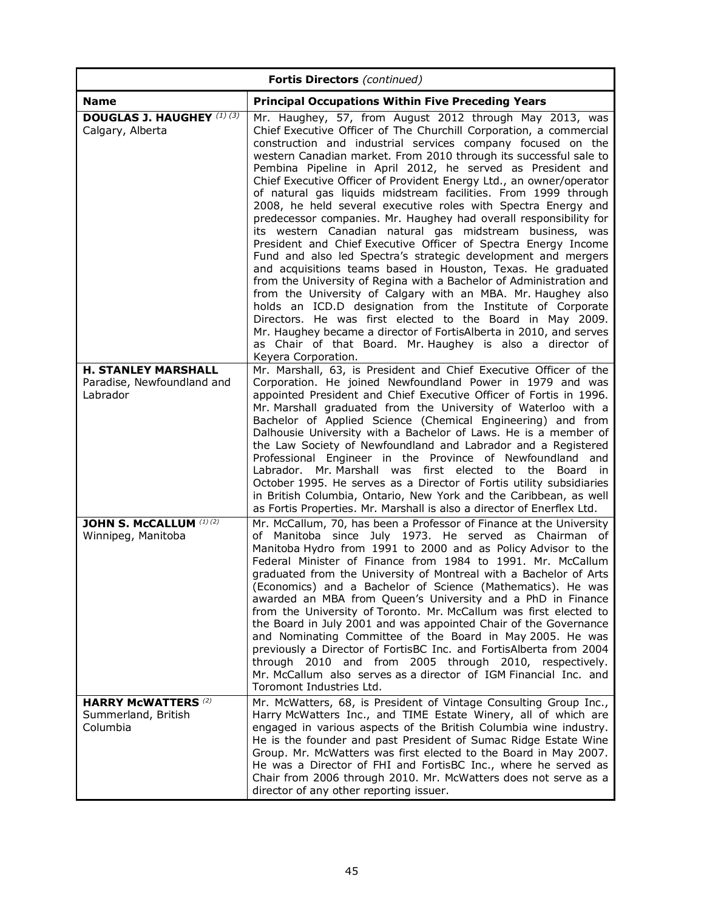| <b>Fortis Directors</b> (continued)                                  |                                                                                                                                                                                                                                                                                                                                                                                                                                                                                                                                                                                                                                                                                                                                                                                                                                                                                                                                                                                                                                                                                                                                                                                                                                                                                                           |  |  |
|----------------------------------------------------------------------|-----------------------------------------------------------------------------------------------------------------------------------------------------------------------------------------------------------------------------------------------------------------------------------------------------------------------------------------------------------------------------------------------------------------------------------------------------------------------------------------------------------------------------------------------------------------------------------------------------------------------------------------------------------------------------------------------------------------------------------------------------------------------------------------------------------------------------------------------------------------------------------------------------------------------------------------------------------------------------------------------------------------------------------------------------------------------------------------------------------------------------------------------------------------------------------------------------------------------------------------------------------------------------------------------------------|--|--|
| <b>Name</b>                                                          | <b>Principal Occupations Within Five Preceding Years</b>                                                                                                                                                                                                                                                                                                                                                                                                                                                                                                                                                                                                                                                                                                                                                                                                                                                                                                                                                                                                                                                                                                                                                                                                                                                  |  |  |
| <b>DOUGLAS J. HAUGHEY (1) (3)</b><br>Calgary, Alberta                | Mr. Haughey, 57, from August 2012 through May 2013, was<br>Chief Executive Officer of The Churchill Corporation, a commercial<br>construction and industrial services company focused on the<br>western Canadian market. From 2010 through its successful sale to<br>Pembina Pipeline in April 2012, he served as President and<br>Chief Executive Officer of Provident Energy Ltd., an owner/operator<br>of natural gas liquids midstream facilities. From 1999 through<br>2008, he held several executive roles with Spectra Energy and<br>predecessor companies. Mr. Haughey had overall responsibility for<br>its western Canadian natural gas midstream business, was<br>President and Chief Executive Officer of Spectra Energy Income<br>Fund and also led Spectra's strategic development and mergers<br>and acquisitions teams based in Houston, Texas. He graduated<br>from the University of Regina with a Bachelor of Administration and<br>from the University of Calgary with an MBA. Mr. Haughey also<br>holds an ICD.D designation from the Institute of Corporate<br>Directors. He was first elected to the Board in May 2009.<br>Mr. Haughey became a director of FortisAlberta in 2010, and serves<br>as Chair of that Board. Mr. Haughey is also a director of<br>Keyera Corporation. |  |  |
| <b>H. STANLEY MARSHALL</b><br>Paradise, Newfoundland and<br>Labrador | Mr. Marshall, 63, is President and Chief Executive Officer of the<br>Corporation. He joined Newfoundland Power in 1979 and was<br>appointed President and Chief Executive Officer of Fortis in 1996.<br>Mr. Marshall graduated from the University of Waterloo with a<br>Bachelor of Applied Science (Chemical Engineering) and from<br>Dalhousie University with a Bachelor of Laws. He is a member of<br>the Law Society of Newfoundland and Labrador and a Registered<br>Professional Engineer in the Province of Newfoundland and<br>Labrador. Mr. Marshall was first elected to the<br>Board<br>in<br>October 1995. He serves as a Director of Fortis utility subsidiaries<br>in British Columbia, Ontario, New York and the Caribbean, as well<br>as Fortis Properties. Mr. Marshall is also a director of Enerflex Ltd.                                                                                                                                                                                                                                                                                                                                                                                                                                                                            |  |  |
| <b>JOHN S. McCALLUM (1) (2)</b><br>Winnipeg, Manitoba                | Mr. McCallum, 70, has been a Professor of Finance at the University<br>of Manitoba since July 1973. He served as Chairman of<br>Manitoba Hydro from 1991 to 2000 and as Policy Advisor to the<br>Federal Minister of Finance from 1984 to 1991. Mr. McCallum<br>graduated from the University of Montreal with a Bachelor of Arts<br>(Economics) and a Bachelor of Science (Mathematics). He was<br>awarded an MBA from Queen's University and a PhD in Finance<br>from the University of Toronto. Mr. McCallum was first elected to<br>the Board in July 2001 and was appointed Chair of the Governance<br>and Nominating Committee of the Board in May 2005. He was<br>previously a Director of FortisBC Inc. and FortisAlberta from 2004<br>through 2010 and from 2005 through 2010, respectively.<br>Mr. McCallum also serves as a director of IGM Financial Inc. and<br>Toromont Industries Ltd.                                                                                                                                                                                                                                                                                                                                                                                                     |  |  |
| <b>HARRY MCWATTERS (2)</b><br>Summerland, British<br>Columbia        | Mr. McWatters, 68, is President of Vintage Consulting Group Inc.,<br>Harry McWatters Inc., and TIME Estate Winery, all of which are<br>engaged in various aspects of the British Columbia wine industry.<br>He is the founder and past President of Sumac Ridge Estate Wine<br>Group. Mr. McWatters was first elected to the Board in May 2007.<br>He was a Director of FHI and FortisBC Inc., where he served as<br>Chair from 2006 through 2010. Mr. McWatters does not serve as a<br>director of any other reporting issuer.                                                                                                                                                                                                                                                                                                                                                                                                                                                                                                                                                                                                                                                                                                                                                                           |  |  |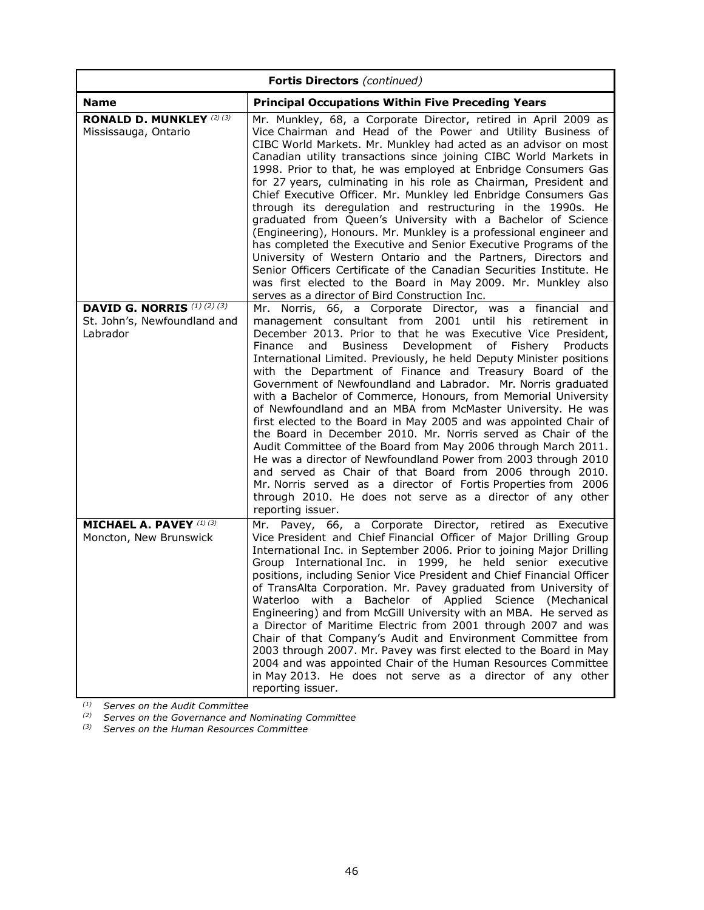| <b>Fortis Directors (continued)</b>                         |                                                                                                                                                                                                                                                                                                                                                                                                                                                                                                                                                                                                                                                                                                                                                                                                                                                                                                                                                                                                                     |  |  |
|-------------------------------------------------------------|---------------------------------------------------------------------------------------------------------------------------------------------------------------------------------------------------------------------------------------------------------------------------------------------------------------------------------------------------------------------------------------------------------------------------------------------------------------------------------------------------------------------------------------------------------------------------------------------------------------------------------------------------------------------------------------------------------------------------------------------------------------------------------------------------------------------------------------------------------------------------------------------------------------------------------------------------------------------------------------------------------------------|--|--|
| <b>Name</b>                                                 | <b>Principal Occupations Within Five Preceding Years</b>                                                                                                                                                                                                                                                                                                                                                                                                                                                                                                                                                                                                                                                                                                                                                                                                                                                                                                                                                            |  |  |
| RONALD D. MUNKLEY (2) (3)<br>Mississauga, Ontario           | Mr. Munkley, 68, a Corporate Director, retired in April 2009 as<br>Vice Chairman and Head of the Power and Utility Business of<br>CIBC World Markets. Mr. Munkley had acted as an advisor on most<br>Canadian utility transactions since joining CIBC World Markets in<br>1998. Prior to that, he was employed at Enbridge Consumers Gas<br>for 27 years, culminating in his role as Chairman, President and<br>Chief Executive Officer. Mr. Munkley led Enbridge Consumers Gas<br>through its deregulation and restructuring in the 1990s. He<br>graduated from Queen's University with a Bachelor of Science<br>(Engineering), Honours. Mr. Munkley is a professional engineer and<br>has completed the Executive and Senior Executive Programs of the<br>University of Western Ontario and the Partners, Directors and<br>Senior Officers Certificate of the Canadian Securities Institute. He<br>was first elected to the Board in May 2009. Mr. Munkley also<br>serves as a director of Bird Construction Inc. |  |  |
| DAVID G. NORRIS (1) (2) (3)<br>St. John's, Newfoundland and | Mr. Norris, 66, a Corporate Director, was a financial and<br>management consultant from 2001 until his retirement in                                                                                                                                                                                                                                                                                                                                                                                                                                                                                                                                                                                                                                                                                                                                                                                                                                                                                                |  |  |
| Labrador                                                    | December 2013. Prior to that he was Executive Vice President,<br>Business Development of Fishery<br>Finance<br>and<br>Products<br>International Limited. Previously, he held Deputy Minister positions<br>with the Department of Finance and Treasury Board of the<br>Government of Newfoundland and Labrador. Mr. Norris graduated<br>with a Bachelor of Commerce, Honours, from Memorial University<br>of Newfoundland and an MBA from McMaster University. He was<br>first elected to the Board in May 2005 and was appointed Chair of<br>the Board in December 2010. Mr. Norris served as Chair of the<br>Audit Committee of the Board from May 2006 through March 2011.<br>He was a director of Newfoundland Power from 2003 through 2010<br>and served as Chair of that Board from 2006 through 2010.<br>Mr. Norris served as a director of Fortis Properties from 2006<br>through 2010. He does not serve as a director of any other<br>reporting issuer.                                                    |  |  |
| <b>MICHAEL A. PAVEY (1) (3)</b><br>Moncton, New Brunswick   | Mr. Pavey, 66, a Corporate Director, retired as Executive<br>Vice President and Chief Financial Officer of Major Drilling Group<br>International Inc. in September 2006. Prior to joining Major Drilling<br>Group International Inc. in 1999, he held senior executive<br>positions, including Senior Vice President and Chief Financial Officer<br>of TransAlta Corporation. Mr. Pavey graduated from University of<br>Waterloo with a<br>Bachelor of Applied Science (Mechanical<br>Engineering) and from McGill University with an MBA. He served as<br>a Director of Maritime Electric from 2001 through 2007 and was<br>Chair of that Company's Audit and Environment Committee from<br>2003 through 2007. Mr. Pavey was first elected to the Board in May<br>2004 and was appointed Chair of the Human Resources Committee<br>in May 2013. He does not serve as a director of any other<br>reporting issuer.                                                                                                  |  |  |

*(1) Serves on the Audit Committee* 

*(2) Serves on the Governance and Nominating Committee* 

*(3) Serves on the Human Resources Committee*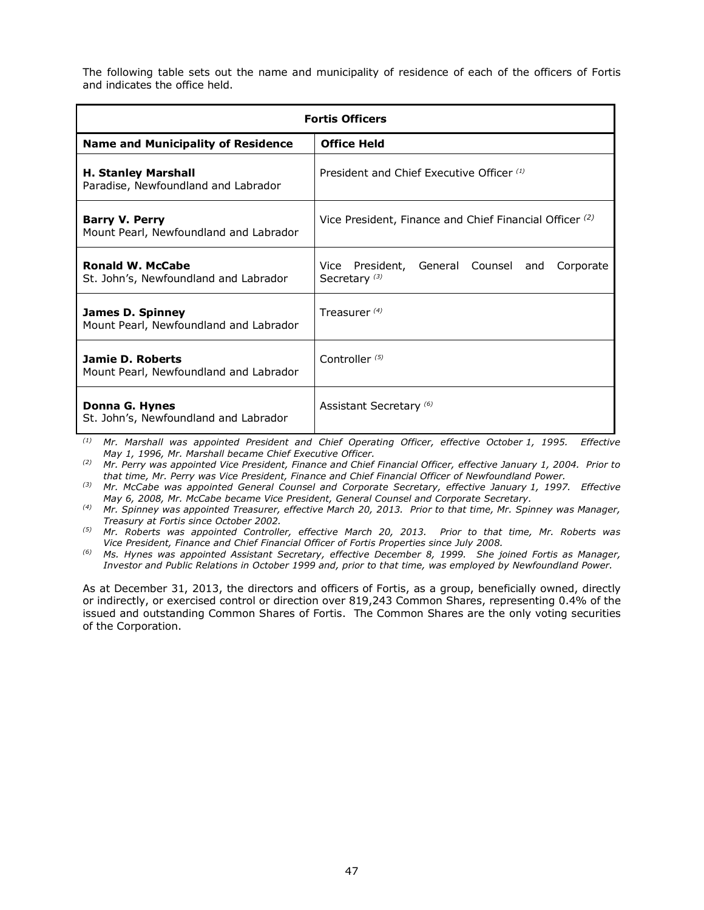The following table sets out the name and municipality of residence of each of the officers of Fortis and indicates the office held.

| <b>Fortis Officers</b>                                            |                                                                              |  |  |  |
|-------------------------------------------------------------------|------------------------------------------------------------------------------|--|--|--|
| <b>Name and Municipality of Residence</b>                         | <b>Office Held</b>                                                           |  |  |  |
| <b>H. Stanley Marshall</b><br>Paradise, Newfoundland and Labrador | President and Chief Executive Officer <sup>(1)</sup>                         |  |  |  |
| <b>Barry V. Perry</b><br>Mount Pearl, Newfoundland and Labrador   | Vice President, Finance and Chief Financial Officer (2)                      |  |  |  |
| Ronald W. McCabe<br>St. John's, Newfoundland and Labrador         | Vice President, General Counsel and<br>Corporate<br>Secretary <sup>(3)</sup> |  |  |  |
| James D. Spinney<br>Mount Pearl, Newfoundland and Labrador        | Treasurer $(4)$                                                              |  |  |  |
| Jamie D. Roberts<br>Mount Pearl, Newfoundland and Labrador        | Controller <sup>(5)</sup>                                                    |  |  |  |
| Donna G. Hynes<br>St. John's, Newfoundland and Labrador           | Assistant Secretary (6)                                                      |  |  |  |

*(1) Mr. Marshall was appointed President and Chief Operating Officer, effective October 1, 1995. Effective May 1, 1996, Mr. Marshall became Chief Executive Officer.* 

*(2) Mr. Perry was appointed Vice President, Finance and Chief Financial Officer, effective January 1, 2004. Prior to that time, Mr. Perry was Vice President, Finance and Chief Financial Officer of Newfoundland Power.* 

*(3) Mr. McCabe was appointed General Counsel and Corporate Secretary, effective January 1, 1997. Effective May 6, 2008, Mr. McCabe became Vice President, General Counsel and Corporate Secretary.* 

*(4) Mr. Spinney was appointed Treasurer, effective March 20, 2013. Prior to that time, Mr. Spinney was Manager, Treasury at Fortis since October 2002.* 

*(5) Mr. Roberts was appointed Controller, effective March 20, 2013. Prior to that time, Mr. Roberts was Vice President, Finance and Chief Financial Officer of Fortis Properties since July 2008.* 

*(6) Ms. Hynes was appointed Assistant Secretary, effective December 8, 1999. She joined Fortis as Manager, Investor and Public Relations in October 1999 and, prior to that time, was employed by Newfoundland Power.*

As at December 31, 2013, the directors and officers of Fortis, as a group, beneficially owned, directly or indirectly, or exercised control or direction over 819,243 Common Shares, representing 0.4% of the issued and outstanding Common Shares of Fortis. The Common Shares are the only voting securities of the Corporation.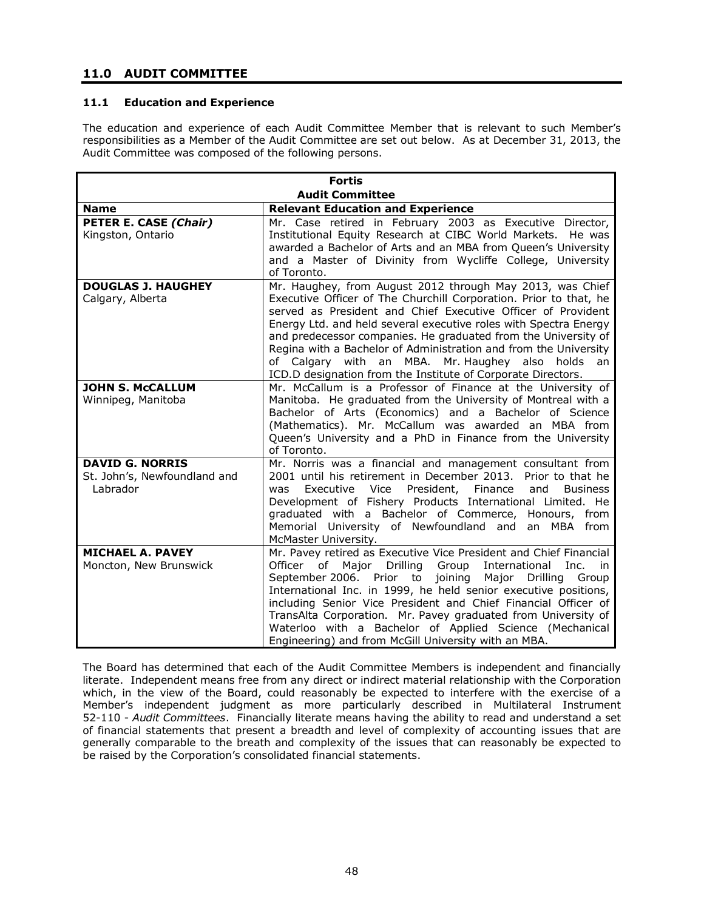## **11.0 AUDIT COMMITTEE**

## **11.1 Education and Experience**

The education and experience of each Audit Committee Member that is relevant to such Member's responsibilities as a Member of the Audit Committee are set out below. As at December 31, 2013, the Audit Committee was composed of the following persons.

| <b>Fortis</b>                                                      |                                                                                                                                                                                                                                                                                                                                                                                                                                                                                                                                             |  |  |
|--------------------------------------------------------------------|---------------------------------------------------------------------------------------------------------------------------------------------------------------------------------------------------------------------------------------------------------------------------------------------------------------------------------------------------------------------------------------------------------------------------------------------------------------------------------------------------------------------------------------------|--|--|
| <b>Audit Committee</b>                                             |                                                                                                                                                                                                                                                                                                                                                                                                                                                                                                                                             |  |  |
| <b>Name</b>                                                        | <b>Relevant Education and Experience</b>                                                                                                                                                                                                                                                                                                                                                                                                                                                                                                    |  |  |
| PETER E. CASE (Chair)<br>Kingston, Ontario                         | Mr. Case retired in February 2003 as Executive Director,<br>Institutional Equity Research at CIBC World Markets. He was<br>awarded a Bachelor of Arts and an MBA from Queen's University<br>and a Master of Divinity from Wycliffe College, University<br>of Toronto.                                                                                                                                                                                                                                                                       |  |  |
| <b>DOUGLAS J. HAUGHEY</b><br>Calgary, Alberta                      | Mr. Haughey, from August 2012 through May 2013, was Chief<br>Executive Officer of The Churchill Corporation. Prior to that, he<br>served as President and Chief Executive Officer of Provident<br>Energy Ltd. and held several executive roles with Spectra Energy<br>and predecessor companies. He graduated from the University of<br>Regina with a Bachelor of Administration and from the University<br>of Calgary with an MBA. Mr. Haughey also<br>holds<br>an<br>ICD.D designation from the Institute of Corporate Directors.         |  |  |
| <b>JOHN S. McCALLUM</b><br>Winnipeg, Manitoba                      | Mr. McCallum is a Professor of Finance at the University of<br>Manitoba. He graduated from the University of Montreal with a<br>Bachelor of Arts (Economics) and a Bachelor of Science<br>(Mathematics). Mr. McCallum was awarded an MBA from<br>Queen's University and a PhD in Finance from the University<br>of Toronto.                                                                                                                                                                                                                 |  |  |
| <b>DAVID G. NORRIS</b><br>St. John's, Newfoundland and<br>Labrador | Mr. Norris was a financial and management consultant from<br>2001 until his retirement in December 2013. Prior to that he<br>Vice<br>President, Finance<br>Executive<br>and<br><b>Business</b><br>was<br>Development of Fishery Products International Limited. He<br>graduated with a Bachelor of Commerce,<br>Honours, from<br>Memorial University of Newfoundland and<br>an MBA from<br>McMaster University.                                                                                                                             |  |  |
| <b>MICHAEL A. PAVEY</b><br>Moncton, New Brunswick                  | Mr. Pavey retired as Executive Vice President and Chief Financial<br>Officer<br>of<br>Drilling<br>Group<br>Major<br>International<br>Inc.<br>in.<br>September 2006. Prior to<br>joining<br>Major Drilling<br>Group<br>International Inc. in 1999, he held senior executive positions,<br>including Senior Vice President and Chief Financial Officer of<br>TransAlta Corporation. Mr. Pavey graduated from University of<br>Waterloo with a Bachelor of Applied Science (Mechanical<br>Engineering) and from McGill University with an MBA. |  |  |

The Board has determined that each of the Audit Committee Members is independent and financially literate. Independent means free from any direct or indirect material relationship with the Corporation which, in the view of the Board, could reasonably be expected to interfere with the exercise of a Member's independent judgment as more particularly described in Multilateral Instrument 52-110 - *Audit Committees*. Financially literate means having the ability to read and understand a set of financial statements that present a breadth and level of complexity of accounting issues that are generally comparable to the breath and complexity of the issues that can reasonably be expected to be raised by the Corporation's consolidated financial statements.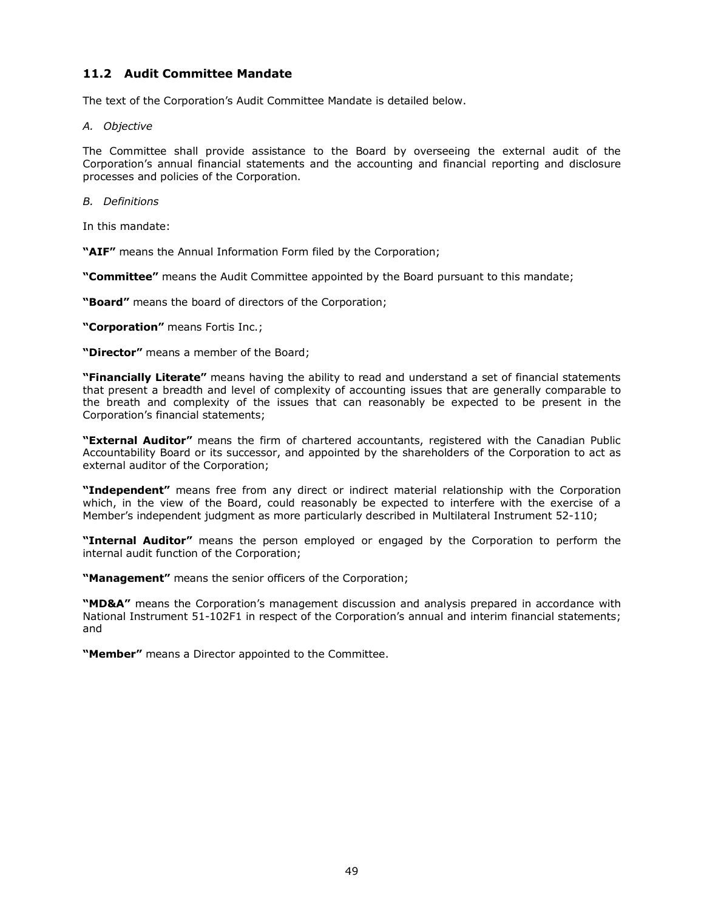## **11.2 Audit Committee Mandate**

The text of the Corporation's Audit Committee Mandate is detailed below.

*A. Objective* 

The Committee shall provide assistance to the Board by overseeing the external audit of the Corporation's annual financial statements and the accounting and financial reporting and disclosure processes and policies of the Corporation.

*B. Definitions* 

In this mandate:

**"AIF"** means the Annual Information Form filed by the Corporation;

**"Committee"** means the Audit Committee appointed by the Board pursuant to this mandate;

**"Board"** means the board of directors of the Corporation;

**"Corporation"** means Fortis Inc.;

**"Director"** means a member of the Board;

**"Financially Literate"** means having the ability to read and understand a set of financial statements that present a breadth and level of complexity of accounting issues that are generally comparable to the breath and complexity of the issues that can reasonably be expected to be present in the Corporation's financial statements;

**"External Auditor"** means the firm of chartered accountants, registered with the Canadian Public Accountability Board or its successor, and appointed by the shareholders of the Corporation to act as external auditor of the Corporation;

**"Independent"** means free from any direct or indirect material relationship with the Corporation which, in the view of the Board, could reasonably be expected to interfere with the exercise of a Member's independent judgment as more particularly described in Multilateral Instrument 52-110;

**"Internal Auditor"** means the person employed or engaged by the Corporation to perform the internal audit function of the Corporation;

**"Management"** means the senior officers of the Corporation;

**"MD&A"** means the Corporation's management discussion and analysis prepared in accordance with National Instrument 51-102F1 in respect of the Corporation's annual and interim financial statements; and

**"Member"** means a Director appointed to the Committee.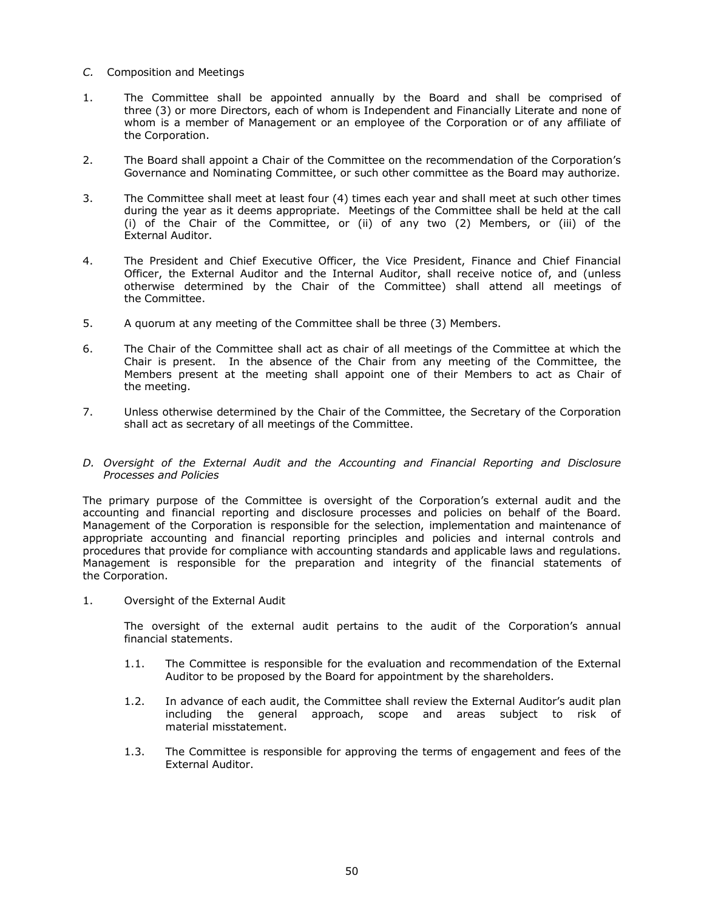- *C.* Composition and Meetings
- 1. The Committee shall be appointed annually by the Board and shall be comprised of three (3) or more Directors, each of whom is Independent and Financially Literate and none of whom is a member of Management or an employee of the Corporation or of any affiliate of the Corporation.
- 2. The Board shall appoint a Chair of the Committee on the recommendation of the Corporation's Governance and Nominating Committee, or such other committee as the Board may authorize.
- 3. The Committee shall meet at least four (4) times each year and shall meet at such other times during the year as it deems appropriate. Meetings of the Committee shall be held at the call (i) of the Chair of the Committee, or (ii) of any two (2) Members, or (iii) of the External Auditor.
- 4. The President and Chief Executive Officer, the Vice President, Finance and Chief Financial Officer, the External Auditor and the Internal Auditor, shall receive notice of, and (unless otherwise determined by the Chair of the Committee) shall attend all meetings of the Committee.
- 5. A quorum at any meeting of the Committee shall be three (3) Members.
- 6. The Chair of the Committee shall act as chair of all meetings of the Committee at which the Chair is present. In the absence of the Chair from any meeting of the Committee, the Members present at the meeting shall appoint one of their Members to act as Chair of the meeting.
- 7. Unless otherwise determined by the Chair of the Committee, the Secretary of the Corporation shall act as secretary of all meetings of the Committee.
- *D. Oversight of the External Audit and the Accounting and Financial Reporting and Disclosure Processes and Policies*

The primary purpose of the Committee is oversight of the Corporation's external audit and the accounting and financial reporting and disclosure processes and policies on behalf of the Board. Management of the Corporation is responsible for the selection, implementation and maintenance of appropriate accounting and financial reporting principles and policies and internal controls and procedures that provide for compliance with accounting standards and applicable laws and regulations. Management is responsible for the preparation and integrity of the financial statements of the Corporation.

1. Oversight of the External Audit

The oversight of the external audit pertains to the audit of the Corporation's annual financial statements.

- 1.1. The Committee is responsible for the evaluation and recommendation of the External Auditor to be proposed by the Board for appointment by the shareholders.
- 1.2. In advance of each audit, the Committee shall review the External Auditor's audit plan including the general approach, scope and areas subject to risk of material misstatement.
- 1.3. The Committee is responsible for approving the terms of engagement and fees of the External Auditor.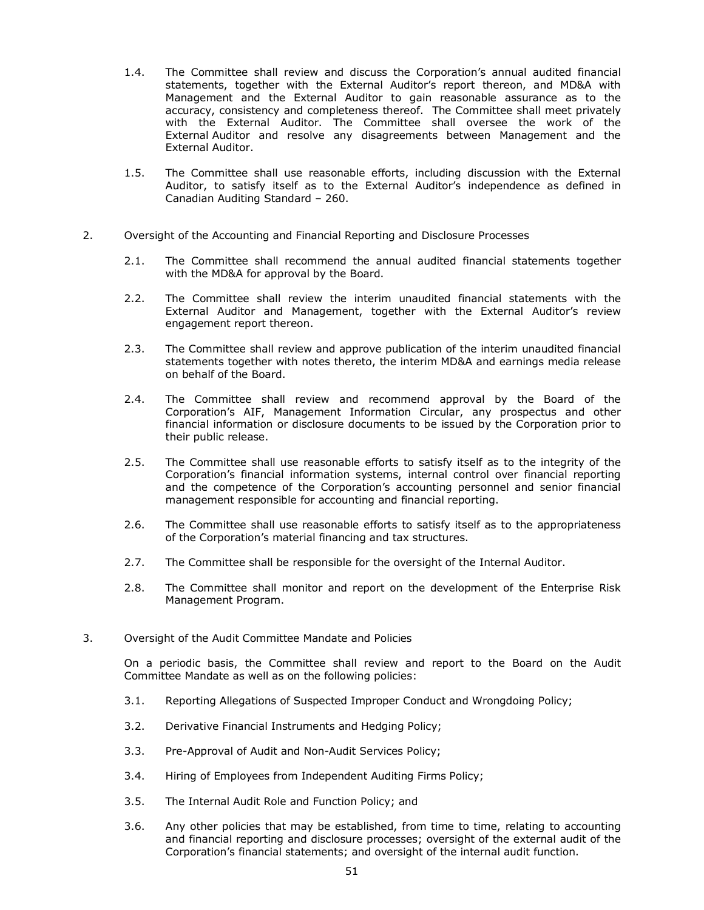- 1.4. The Committee shall review and discuss the Corporation's annual audited financial statements, together with the External Auditor's report thereon, and MD&A with Management and the External Auditor to gain reasonable assurance as to the accuracy, consistency and completeness thereof. The Committee shall meet privately with the External Auditor. The Committee shall oversee the work of the External Auditor and resolve any disagreements between Management and the External Auditor.
- 1.5. The Committee shall use reasonable efforts, including discussion with the External Auditor, to satisfy itself as to the External Auditor's independence as defined in Canadian Auditing Standard – 260.
- 2. Oversight of the Accounting and Financial Reporting and Disclosure Processes
	- 2.1. The Committee shall recommend the annual audited financial statements together with the MD&A for approval by the Board.
	- 2.2. The Committee shall review the interim unaudited financial statements with the External Auditor and Management, together with the External Auditor's review engagement report thereon.
	- 2.3. The Committee shall review and approve publication of the interim unaudited financial statements together with notes thereto, the interim MD&A and earnings media release on behalf of the Board.
	- 2.4. The Committee shall review and recommend approval by the Board of the Corporation's AIF, Management Information Circular, any prospectus and other financial information or disclosure documents to be issued by the Corporation prior to their public release.
	- 2.5. The Committee shall use reasonable efforts to satisfy itself as to the integrity of the Corporation's financial information systems, internal control over financial reporting and the competence of the Corporation's accounting personnel and senior financial management responsible for accounting and financial reporting.
	- 2.6. The Committee shall use reasonable efforts to satisfy itself as to the appropriateness of the Corporation's material financing and tax structures.
	- 2.7. The Committee shall be responsible for the oversight of the Internal Auditor.
	- 2.8. The Committee shall monitor and report on the development of the Enterprise Risk Management Program.
- 3. Oversight of the Audit Committee Mandate and Policies

On a periodic basis, the Committee shall review and report to the Board on the Audit Committee Mandate as well as on the following policies:

- 3.1. Reporting Allegations of Suspected Improper Conduct and Wrongdoing Policy;
- 3.2. Derivative Financial Instruments and Hedging Policy;
- 3.3. Pre-Approval of Audit and Non-Audit Services Policy;
- 3.4. Hiring of Employees from Independent Auditing Firms Policy;
- 3.5. The Internal Audit Role and Function Policy; and
- 3.6. Any other policies that may be established, from time to time, relating to accounting and financial reporting and disclosure processes; oversight of the external audit of the Corporation's financial statements; and oversight of the internal audit function.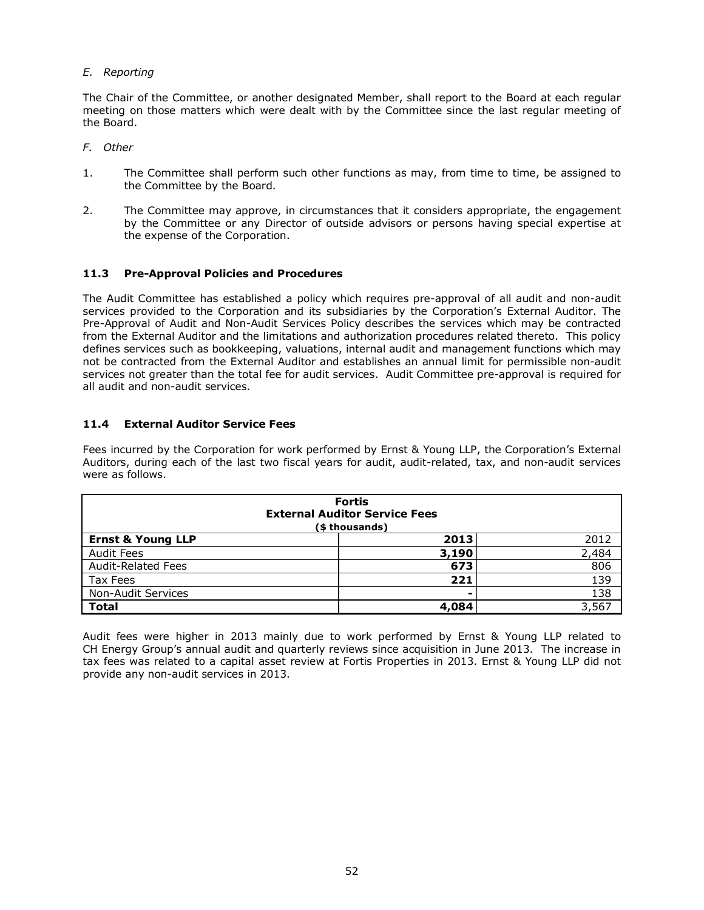## *E. Reporting*

The Chair of the Committee, or another designated Member, shall report to the Board at each regular meeting on those matters which were dealt with by the Committee since the last regular meeting of the Board.

- *F. Other*
- 1. The Committee shall perform such other functions as may, from time to time, be assigned to the Committee by the Board.
- 2. The Committee may approve, in circumstances that it considers appropriate, the engagement by the Committee or any Director of outside advisors or persons having special expertise at the expense of the Corporation.

## **11.3 Pre-Approval Policies and Procedures**

The Audit Committee has established a policy which requires pre-approval of all audit and non-audit services provided to the Corporation and its subsidiaries by the Corporation's External Auditor. The Pre-Approval of Audit and Non-Audit Services Policy describes the services which may be contracted from the External Auditor and the limitations and authorization procedures related thereto. This policy defines services such as bookkeeping, valuations, internal audit and management functions which may not be contracted from the External Auditor and establishes an annual limit for permissible non-audit services not greater than the total fee for audit services. Audit Committee pre-approval is required for all audit and non-audit services.

## **11.4 External Auditor Service Fees**

Fees incurred by the Corporation for work performed by Ernst & Young LLP, the Corporation's External Auditors, during each of the last two fiscal years for audit, audit-related, tax, and non-audit services were as follows.

| <b>Fortis</b><br><b>External Auditor Service Fees</b><br>(\$ thousands) |       |       |  |
|-------------------------------------------------------------------------|-------|-------|--|
| <b>Ernst &amp; Young LLP</b>                                            | 2013  | 2012  |  |
| <b>Audit Fees</b>                                                       | 3,190 | 2,484 |  |
| <b>Audit-Related Fees</b>                                               | 673   | 806   |  |
| Tax Fees                                                                | 221   | 139   |  |
| Non-Audit Services                                                      | ۰     | 138   |  |
| <b>Total</b>                                                            | 4,084 | 3,567 |  |

Audit fees were higher in 2013 mainly due to work performed by Ernst & Young LLP related to CH Energy Group's annual audit and quarterly reviews since acquisition in June 2013. The increase in tax fees was related to a capital asset review at Fortis Properties in 2013. Ernst & Young LLP did not provide any non-audit services in 2013.